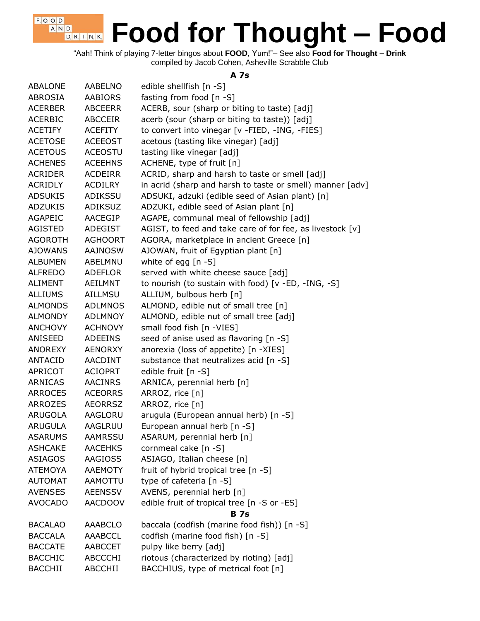"Aah! Think of playing 7-letter bingos about **FOOD**, Yum!"– See also **Food for Thought – Drink** compiled by Jacob Cohen, Asheville Scrabble Club

 $F$ , O, O, D, A N D

D R I N K

### **A 7s**

| <b>ABALONE</b> | <b>AABELNO</b> | edible shellfish [n -S]                                   |
|----------------|----------------|-----------------------------------------------------------|
| <b>ABROSIA</b> | <b>AABIORS</b> | fasting from food [n -S]                                  |
| <b>ACERBER</b> | <b>ABCEERR</b> | ACERB, sour (sharp or biting to taste) [adj]              |
| <b>ACERBIC</b> | ABCCEIR        | acerb (sour (sharp or biting to taste)) [adj]             |
| <b>ACETIFY</b> | <b>ACEFITY</b> | to convert into vinegar [v -FIED, -ING, -FIES]            |
| <b>ACETOSE</b> | <b>ACEEOST</b> | acetous (tasting like vinegar) [adj]                      |
| <b>ACETOUS</b> | <b>ACEOSTU</b> | tasting like vinegar [adj]                                |
| <b>ACHENES</b> | <b>ACEEHNS</b> | ACHENE, type of fruit [n]                                 |
| <b>ACRIDER</b> | <b>ACDEIRR</b> | ACRID, sharp and harsh to taste or smell [adj]            |
| ACRIDLY        | ACDILRY        | in acrid (sharp and harsh to taste or smell) manner [adv] |
| <b>ADSUKIS</b> | ADIKSSU        | ADSUKI, adzuki (edible seed of Asian plant) [n]           |
| <b>ADZUKIS</b> | <b>ADIKSUZ</b> | ADZUKI, edible seed of Asian plant [n]                    |
| <b>AGAPEIC</b> | AACEGIP        | AGAPE, communal meal of fellowship [adj]                  |
| <b>AGISTED</b> | ADEGIST        | AGIST, to feed and take care of for fee, as livestock [v] |
| <b>AGOROTH</b> | <b>AGHOORT</b> | AGORA, marketplace in ancient Greece [n]                  |
| <b>AJOWANS</b> | <b>AAJNOSW</b> | AJOWAN, fruit of Egyptian plant [n]                       |
| <b>ALBUMEN</b> | ABELMNU        | white of egg $[n - S]$                                    |
| <b>ALFREDO</b> | <b>ADEFLOR</b> | served with white cheese sauce [adj]                      |
| ALIMENT        | AEILMNT        | to nourish (to sustain with food) [v -ED, -ING, -S]       |
| <b>ALLIUMS</b> | <b>AILLMSU</b> | ALLIUM, bulbous herb [n]                                  |
| <b>ALMONDS</b> | <b>ADLMNOS</b> | ALMOND, edible nut of small tree [n]                      |
| <b>ALMONDY</b> | <b>ADLMNOY</b> | ALMOND, edible nut of small tree [adj]                    |
| <b>ANCHOVY</b> | <b>ACHNOVY</b> | small food fish [n -VIES]                                 |
| ANISEED        | <b>ADEEINS</b> | seed of anise used as flavoring [n -S]                    |
| ANOREXY        | <b>AENORXY</b> | anorexia (loss of appetite) [n -XIES]                     |
| ANTACID        | AACDINT        | substance that neutralizes acid [n -S]                    |
| APRICOT        | <b>ACIOPRT</b> | edible fruit [n -S]                                       |
| ARNICAS        | <b>AACINRS</b> | ARNICA, perennial herb [n]                                |
| <b>ARROCES</b> | <b>ACEORRS</b> | ARROZ, rice [n]                                           |
| ARROZES        | <b>AEORRSZ</b> | ARROZ, rice [n]                                           |
| <b>ARUGOLA</b> | AAGLORU        | arugula (European annual herb) [n -S]                     |
| <b>ARUGULA</b> | <b>AAGLRUU</b> | European annual herb [n -S]                               |
| <b>ASARUMS</b> | <b>AAMRSSU</b> | ASARUM, perennial herb [n]                                |
| <b>ASHCAKE</b> | <b>AACEHKS</b> | cornmeal cake [n -S]                                      |
| <b>ASIAGOS</b> | <b>AAGIOSS</b> | ASIAGO, Italian cheese [n]                                |
| <b>ATEMOYA</b> | <b>AAEMOTY</b> | fruit of hybrid tropical tree [n -S]                      |
| <b>AUTOMAT</b> | AAMOTTU        | type of cafeteria [n -S]                                  |
| <b>AVENSES</b> | <b>AEENSSV</b> | AVENS, perennial herb [n]                                 |
| <b>AVOCADO</b> | <b>AACDOOV</b> | edible fruit of tropical tree [n -S or -ES]               |
|                |                | <b>B</b> 7s                                               |
| <b>BACALAO</b> | <b>AAABCLO</b> | baccala (codfish (marine food fish)) [n -S]               |
| <b>BACCALA</b> | <b>AAABCCL</b> | codfish (marine food fish) [n -S]                         |
| <b>BACCATE</b> | AABCCET        | pulpy like berry [adj]                                    |
| <b>BACCHIC</b> | <b>ABCCCHI</b> | riotous (characterized by rioting) [adj]                  |
| <b>BACCHII</b> | ABCCHII        | BACCHIUS, type of metrical foot [n]                       |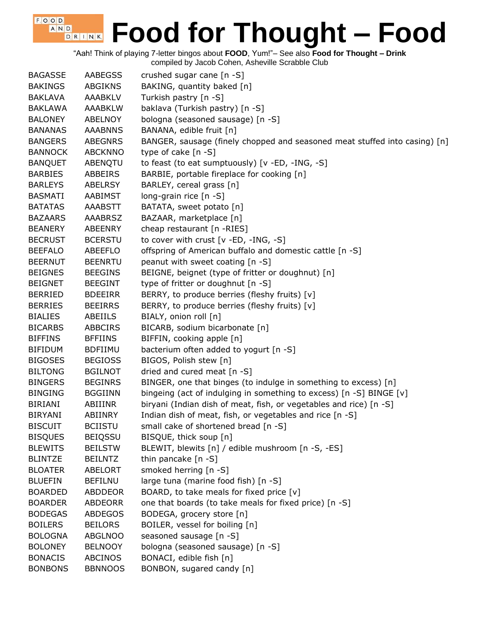"Aah! Think of playing 7-letter bingos about **FOOD**, Yum!"– See also **Food for Thought – Drink**

| <b>BAGASSE</b> | <b>AABEGSS</b> | crushed sugar cane [n -S]                                                  |
|----------------|----------------|----------------------------------------------------------------------------|
| <b>BAKINGS</b> | <b>ABGIKNS</b> | BAKING, quantity baked [n]                                                 |
| <b>BAKLAVA</b> | <b>AAABKLV</b> | Turkish pastry [n -S]                                                      |
| <b>BAKLAWA</b> | <b>AAABKLW</b> | baklava (Turkish pastry) [n -S]                                            |
| <b>BALONEY</b> | <b>ABELNOY</b> | bologna (seasoned sausage) [n -S]                                          |
| <b>BANANAS</b> | <b>AAABNNS</b> | BANANA, edible fruit [n]                                                   |
| <b>BANGERS</b> | <b>ABEGNRS</b> | BANGER, sausage (finely chopped and seasoned meat stuffed into casing) [n] |
| <b>BANNOCK</b> | <b>ABCKNNO</b> | type of cake $[n - S]$                                                     |
| <b>BANQUET</b> | ABENQTU        | to feast (to eat sumptuously) [v -ED, -ING, -S]                            |
| <b>BARBIES</b> | ABBEIRS        | BARBIE, portable fireplace for cooking [n]                                 |
| <b>BARLEYS</b> | <b>ABELRSY</b> | BARLEY, cereal grass [n]                                                   |
| <b>BASMATI</b> | AABIMST        | long-grain rice [n -S]                                                     |
| <b>BATATAS</b> | <b>AAABSTT</b> | BATATA, sweet potato [n]                                                   |
| <b>BAZAARS</b> | <b>AAABRSZ</b> | BAZAAR, marketplace [n]                                                    |
| <b>BEANERY</b> | ABEENRY        | cheap restaurant [n -RIES]                                                 |
| <b>BECRUST</b> | <b>BCERSTU</b> | to cover with crust [v -ED, -ING, -S]                                      |
| <b>BEEFALO</b> | <b>ABEEFLO</b> | offspring of American buffalo and domestic cattle [n -S]                   |
| <b>BEERNUT</b> | <b>BEENRTU</b> | peanut with sweet coating [n -S]                                           |
| <b>BEIGNES</b> | <b>BEEGINS</b> | BEIGNE, beignet (type of fritter or doughnut) [n]                          |
| <b>BEIGNET</b> | <b>BEEGINT</b> | type of fritter or doughnut [n -S]                                         |
| <b>BERRIED</b> | <b>BDEEIRR</b> | BERRY, to produce berries (fleshy fruits) [v]                              |
| <b>BERRIES</b> | <b>BEEIRRS</b> | BERRY, to produce berries (fleshy fruits) [v]                              |
| <b>BIALIES</b> | ABEIILS        | BIALY, onion roll [n]                                                      |
| <b>BICARBS</b> | <b>ABBCIRS</b> | BICARB, sodium bicarbonate [n]                                             |
| <b>BIFFINS</b> | <b>BFFIINS</b> | BIFFIN, cooking apple [n]                                                  |
| <b>BIFIDUM</b> | <b>BDFIIMU</b> | bacterium often added to yogurt [n -S]                                     |
| <b>BIGOSES</b> | <b>BEGIOSS</b> | BIGOS, Polish stew [n]                                                     |
| <b>BILTONG</b> | <b>BGILNOT</b> | dried and cured meat [n -S]                                                |
| <b>BINGERS</b> | <b>BEGINRS</b> | BINGER, one that binges (to indulge in something to excess) [n]            |
| <b>BINGING</b> | <b>BGGIINN</b> | bingeing (act of indulging in something to excess) [n -S] BINGE [v]        |
| <b>BIRIANI</b> | ABIIINR        | biryani (Indian dish of meat, fish, or vegetables and rice) [n -S]         |
| <b>BIRYANI</b> | <b>ABIINRY</b> | Indian dish of meat, fish, or vegetables and rice [n -S]                   |
| <b>BISCUIT</b> | <b>BCIISTU</b> | small cake of shortened bread [n -S]                                       |
| <b>BISQUES</b> | <b>BEIQSSU</b> | BISQUE, thick soup [n]                                                     |
| <b>BLEWITS</b> | <b>BEILSTW</b> | BLEWIT, blewits [n] / edible mushroom [n -S, -ES]                          |
| <b>BLINTZE</b> | <b>BEILNTZ</b> | thin pancake $[n - S]$                                                     |
| <b>BLOATER</b> | ABELORT        | smoked herring [n -S]                                                      |
| <b>BLUEFIN</b> | <b>BEFILNU</b> | large tuna (marine food fish) [n -S]                                       |
| <b>BOARDED</b> | ABDDEOR        | BOARD, to take meals for fixed price [v]                                   |
| <b>BOARDER</b> | <b>ABDEORR</b> | one that boards (to take meals for fixed price) [n -S]                     |
| <b>BODEGAS</b> | <b>ABDEGOS</b> | BODEGA, grocery store [n]                                                  |
| <b>BOILERS</b> | <b>BEILORS</b> | BOILER, vessel for boiling [n]                                             |
| <b>BOLOGNA</b> | <b>ABGLNOO</b> | seasoned sausage [n -S]                                                    |
| <b>BOLONEY</b> | <b>BELNOOY</b> | bologna (seasoned sausage) [n -S]                                          |
| <b>BONACIS</b> | <b>ABCINOS</b> | BONACI, edible fish [n]                                                    |
| <b>BONBONS</b> | <b>BBNNOOS</b> | BONBON, sugared candy [n]                                                  |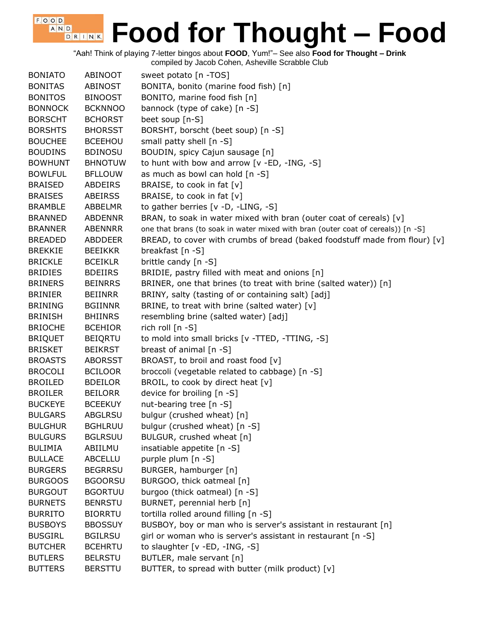"Aah! Think of playing 7-letter bingos about **FOOD**, Yum!"– See also **Food for Thought – Drink**

| <b>BONIATO</b> | ABINOOT        | sweet potato [n -TOS]                                                            |
|----------------|----------------|----------------------------------------------------------------------------------|
| <b>BONITAS</b> | <b>ABINOST</b> | BONITA, bonito (marine food fish) [n]                                            |
| <b>BONITOS</b> | <b>BINOOST</b> | BONITO, marine food fish [n]                                                     |
| <b>BONNOCK</b> | <b>BCKNNOO</b> | bannock (type of cake) [n -S]                                                    |
| <b>BORSCHT</b> | <b>BCHORST</b> | beet soup [n-S]                                                                  |
| <b>BORSHTS</b> | <b>BHORSST</b> | BORSHT, borscht (beet soup) [n -S]                                               |
| <b>BOUCHEE</b> | <b>BCEEHOU</b> | small patty shell [n -S]                                                         |
| <b>BOUDINS</b> | <b>BDINOSU</b> | BOUDIN, spicy Cajun sausage [n]                                                  |
| <b>BOWHUNT</b> | <b>BHNOTUW</b> | to hunt with bow and arrow [v -ED, -ING, -S]                                     |
| <b>BOWLFUL</b> | <b>BFLLOUW</b> | as much as bowl can hold [n -S]                                                  |
| <b>BRAISED</b> | ABDEIRS        | BRAISE, to cook in fat [v]                                                       |
| <b>BRAISES</b> | <b>ABEIRSS</b> | BRAISE, to cook in fat [v]                                                       |
| <b>BRAMBLE</b> | ABBELMR        | to gather berries [v -D, -LING, -S]                                              |
| <b>BRANNED</b> | <b>ABDENNR</b> | BRAN, to soak in water mixed with bran (outer coat of cereals) [v]               |
| <b>BRANNER</b> | ABENNRR        | one that brans (to soak in water mixed with bran (outer coat of cereals)) [n -S] |
| <b>BREADED</b> | <b>ABDDEER</b> | BREAD, to cover with crumbs of bread (baked foodstuff made from flour) [v]       |
| <b>BREKKIE</b> | <b>BEEIKKR</b> | breakfast [n -S]                                                                 |
| <b>BRICKLE</b> | <b>BCEIKLR</b> | brittle candy [n -S]                                                             |
| <b>BRIDIES</b> | <b>BDEIIRS</b> | BRIDIE, pastry filled with meat and onions [n]                                   |
| <b>BRINERS</b> | <b>BEINRRS</b> | BRINER, one that brines (to treat with brine (salted water)) [n]                 |
| <b>BRINIER</b> | <b>BEIINRR</b> | BRINY, salty (tasting of or containing salt) [adj]                               |
| <b>BRINING</b> | <b>BGIINNR</b> | BRINE, to treat with brine (salted water) [v]                                    |
| <b>BRINISH</b> | <b>BHIINRS</b> | resembling brine (salted water) [adj]                                            |
| <b>BRIOCHE</b> | <b>BCEHIOR</b> | rich roll $[n - S]$                                                              |
| <b>BRIQUET</b> | <b>BEIQRTU</b> | to mold into small bricks [v -TTED, -TTING, -S]                                  |
| <b>BRISKET</b> | <b>BEIKRST</b> | breast of animal [n -S]                                                          |
| <b>BROASTS</b> | <b>ABORSST</b> | BROAST, to broil and roast food [v]                                              |
| <b>BROCOLI</b> | <b>BCILOOR</b> | broccoli (vegetable related to cabbage) [n -S]                                   |
| <b>BROILED</b> | <b>BDEILOR</b> | BROIL, to cook by direct heat [v]                                                |
| <b>BROILER</b> | <b>BEILORR</b> | device for broiling [n -S]                                                       |
| <b>BUCKEYE</b> | <b>BCEEKUY</b> | nut-bearing tree [n -S]                                                          |
| <b>BULGARS</b> | <b>ABGLRSU</b> | bulgur (crushed wheat) [n]                                                       |
| <b>BULGHUR</b> | <b>BGHLRUU</b> | bulgur (crushed wheat) [n -S]                                                    |
| <b>BULGURS</b> | <b>BGLRSUU</b> | BULGUR, crushed wheat [n]                                                        |
| <b>BULIMIA</b> | ABIILMU        | insatiable appetite [n -S]                                                       |
| <b>BULLACE</b> | <b>ABCELLU</b> | purple plum [n -S]                                                               |
| <b>BURGERS</b> | <b>BEGRRSU</b> | BURGER, hamburger [n]                                                            |
| <b>BURGOOS</b> | <b>BGOORSU</b> | BURGOO, thick oatmeal [n]                                                        |
| <b>BURGOUT</b> | <b>BGORTUU</b> | burgoo (thick oatmeal) [n -S]                                                    |
| <b>BURNETS</b> | <b>BENRSTU</b> | BURNET, perennial herb [n]                                                       |
| <b>BURRITO</b> | <b>BIORRTU</b> | tortilla rolled around filling [n -S]                                            |
| <b>BUSBOYS</b> | <b>BBOSSUY</b> | BUSBOY, boy or man who is server's assistant in restaurant [n]                   |
| <b>BUSGIRL</b> | <b>BGILRSU</b> | girl or woman who is server's assistant in restaurant [n -S]                     |
| <b>BUTCHER</b> | <b>BCEHRTU</b> | to slaughter $[v - ED, -ING, -S]$                                                |
| <b>BUTLERS</b> | <b>BELRSTU</b> | BUTLER, male servant [n]                                                         |
| <b>BUTTERS</b> | <b>BERSTTU</b> | BUTTER, to spread with butter (milk product) [v]                                 |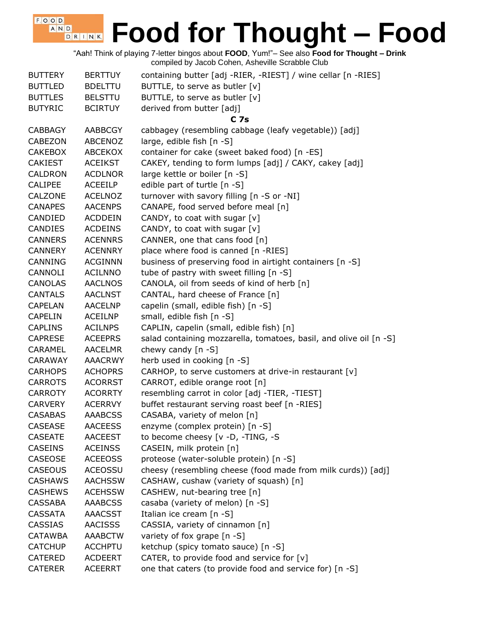"Aah! Think of playing 7-letter bingos about **FOOD**, Yum!"– See also **Food for Thought – Drink** compiled by Jacob Cohen, Asheville Scrabble Club

 $F$ , O, O, D, A N D

| <b>BUTTERY</b> | <b>BERTTUY</b> | containing butter [adj -RIER, -RIEST] / wine cellar [n -RIES]      |
|----------------|----------------|--------------------------------------------------------------------|
| <b>BUTTLED</b> | <b>BDELTTU</b> | BUTTLE, to serve as butler [v]                                     |
| <b>BUTTLES</b> | <b>BELSTTU</b> | BUTTLE, to serve as butler [v]                                     |
| <b>BUTYRIC</b> | <b>BCIRTUY</b> | derived from butter [adj]                                          |
|                |                | C <sub>7s</sub>                                                    |
| <b>CABBAGY</b> | <b>AABBCGY</b> | cabbagey (resembling cabbage (leafy vegetable)) [adj]              |
| <b>CABEZON</b> | <b>ABCENOZ</b> | large, edible fish [n -S]                                          |
| <b>CAKEBOX</b> | <b>ABCEKOX</b> | container for cake (sweet baked food) [n -ES]                      |
| <b>CAKIEST</b> | <b>ACEIKST</b> | CAKEY, tending to form lumps [adj] / CAKY, cakey [adj]             |
| <b>CALDRON</b> | <b>ACDLNOR</b> | large kettle or boiler [n -S]                                      |
| <b>CALIPEE</b> | <b>ACEEILP</b> | edible part of turtle [n -S]                                       |
| CALZONE        | <b>ACELNOZ</b> | turnover with savory filling [n -S or -NI]                         |
| <b>CANAPES</b> | <b>AACENPS</b> | CANAPE, food served before meal [n]                                |
| CANDIED        | <b>ACDDEIN</b> | CANDY, to coat with sugar [v]                                      |
| <b>CANDIES</b> | <b>ACDEINS</b> | CANDY, to coat with sugar [v]                                      |
| <b>CANNERS</b> | <b>ACENNRS</b> | CANNER, one that cans food [n]                                     |
| <b>CANNERY</b> | <b>ACENNRY</b> | place where food is canned [n -RIES]                               |
| <b>CANNING</b> | <b>ACGINNN</b> | business of preserving food in airtight containers [n -S]          |
| <b>CANNOLI</b> | <b>ACILNNO</b> | tube of pastry with sweet filling [n -S]                           |
| <b>CANOLAS</b> | <b>AACLNOS</b> | CANOLA, oil from seeds of kind of herb [n]                         |
| <b>CANTALS</b> | <b>AACLNST</b> | CANTAL, hard cheese of France [n]                                  |
| <b>CAPELAN</b> | <b>AACELNP</b> | capelin (small, edible fish) [n -S]                                |
| <b>CAPELIN</b> | <b>ACEILNP</b> | small, edible fish [n -S]                                          |
| <b>CAPLINS</b> | <b>ACILNPS</b> | CAPLIN, capelin (small, edible fish) [n]                           |
| <b>CAPRESE</b> | <b>ACEEPRS</b> | salad containing mozzarella, tomatoes, basil, and olive oil [n -S] |
| <b>CARAMEL</b> | <b>AACELMR</b> | chewy candy $[n - S]$                                              |
| <b>CARAWAY</b> | <b>AAACRWY</b> | herb used in cooking [n -S]                                        |
| <b>CARHOPS</b> | <b>ACHOPRS</b> | CARHOP, to serve customers at drive-in restaurant [v]              |
| <b>CARROTS</b> | <b>ACORRST</b> | CARROT, edible orange root [n]                                     |
| <b>CARROTY</b> | <b>ACORRTY</b> | resembling carrot in color [adj -TIER, -TIEST]                     |
|                | <b>ACERRVY</b> | buffet restaurant serving roast beef [n -RIES]                     |
| <b>CARVERY</b> |                |                                                                    |
| <b>CASABAS</b> | <b>AAABCSS</b> | CASABA, variety of melon [n]                                       |
| <b>CASEASE</b> | <b>AACEESS</b> | enzyme (complex protein) [n -S]                                    |
| <b>CASEATE</b> | <b>AACEEST</b> | to become cheesy [v -D, -TING, -S                                  |
| <b>CASEINS</b> | <b>ACEINSS</b> | CASEIN, milk protein [n]                                           |
| <b>CASEOSE</b> | <b>ACEEOSS</b> | proteose (water-soluble protein) [n -S]                            |
| <b>CASEOUS</b> | <b>ACEOSSU</b> | cheesy (resembling cheese (food made from milk curds)) [adj]       |
| <b>CASHAWS</b> | <b>AACHSSW</b> | CASHAW, cushaw (variety of squash) [n]                             |
| <b>CASHEWS</b> | <b>ACEHSSW</b> | CASHEW, nut-bearing tree [n]                                       |
| <b>CASSABA</b> | <b>AAABCSS</b> | casaba (variety of melon) [n -S]                                   |
| <b>CASSATA</b> | <b>AAACSST</b> | Italian ice cream [n -S]                                           |
| <b>CASSIAS</b> | <b>AACISSS</b> | CASSIA, variety of cinnamon [n]                                    |
| <b>CATAWBA</b> | <b>AAABCTW</b> | variety of fox grape [n -S]                                        |
| <b>CATCHUP</b> | <b>ACCHPTU</b> | ketchup (spicy tomato sauce) [n -S]                                |
| <b>CATERED</b> | <b>ACDEERT</b> | CATER, to provide food and service for [v]                         |
| <b>CATERER</b> | <b>ACEERRT</b> | one that caters (to provide food and service for) [n -S]           |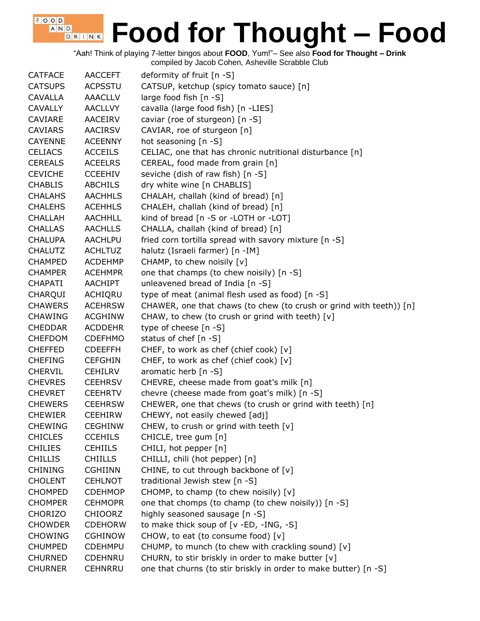"Aah! Think of playing 7-letter bingos about **FOOD**, Yum!"– See also **Food for Thought – Drink**

| <b>CATFACE</b> | <b>AACCEFT</b> | deformity of fruit $[n -S]$                                         |
|----------------|----------------|---------------------------------------------------------------------|
| <b>CATSUPS</b> | <b>ACPSSTU</b> | CATSUP, ketchup (spicy tomato sauce) [n]                            |
| <b>CAVALLA</b> | <b>AAACLLV</b> | large food fish $[n - S]$                                           |
| <b>CAVALLY</b> | <b>AACLLVY</b> | cavalla (large food fish) [n -LIES]                                 |
| CAVIARE        | AACEIRV        | caviar (roe of sturgeon) [n -S]                                     |
| <b>CAVIARS</b> | <b>AACIRSV</b> | CAVIAR, roe of sturgeon [n]                                         |
| <b>CAYENNE</b> | <b>ACEENNY</b> | hot seasoning $[n -S]$                                              |
| <b>CELIACS</b> | <b>ACCEILS</b> | CELIAC, one that has chronic nutritional disturbance [n]            |
| <b>CEREALS</b> | <b>ACEELRS</b> | CEREAL, food made from grain [n]                                    |
| <b>CEVICHE</b> | <b>CCEEHIV</b> | seviche (dish of raw fish) [n -S]                                   |
| <b>CHABLIS</b> | <b>ABCHILS</b> | dry white wine [n CHABLIS]                                          |
| <b>CHALAHS</b> | <b>AACHHLS</b> | CHALAH, challah (kind of bread) [n]                                 |
| <b>CHALEHS</b> | <b>ACEHHLS</b> | CHALEH, challah (kind of bread) [n]                                 |
| <b>CHALLAH</b> | <b>AACHHLL</b> | kind of bread [n -S or -LOTH or -LOT]                               |
| <b>CHALLAS</b> | <b>AACHLLS</b> | CHALLA, challah (kind of bread) [n]                                 |
| <b>CHALUPA</b> | <b>AACHLPU</b> | fried corn tortilla spread with savory mixture [n -S]               |
| <b>CHALUTZ</b> | <b>ACHLTUZ</b> | halutz (Israeli farmer) [n -IM]                                     |
| <b>CHAMPED</b> | <b>ACDEHMP</b> | CHAMP, to chew noisily [v]                                          |
| <b>CHAMPER</b> | <b>ACEHMPR</b> | one that champs (to chew noisily) [n -S]                            |
| <b>CHAPATI</b> | AACHIPT        | unleavened bread of India [n -S]                                    |
| CHARQUI        | ACHIQRU        | type of meat (animal flesh used as food) [n -S]                     |
| <b>CHAWERS</b> | <b>ACEHRSW</b> | CHAWER, one that chaws (to chew (to crush or grind with teeth)) [n] |
| <b>CHAWING</b> | <b>ACGHINW</b> | CHAW, to chew (to crush or grind with teeth) [v]                    |
| <b>CHEDDAR</b> | <b>ACDDEHR</b> | type of cheese [n -S]                                               |
| <b>CHEFDOM</b> | <b>CDEFHMO</b> | status of chef [n -S]                                               |
| <b>CHEFFED</b> | <b>CDEEFFH</b> | CHEF, to work as chef (chief cook) [v]                              |
| <b>CHEFING</b> | <b>CEFGHIN</b> | CHEF, to work as chef (chief cook) $[v]$                            |
| <b>CHERVIL</b> | <b>CEHILRV</b> | aromatic herb [n -S]                                                |
| <b>CHEVRES</b> | <b>CEEHRSV</b> | CHEVRE, cheese made from goat's milk [n]                            |
| <b>CHEVRET</b> | <b>CEEHRTV</b> | chevre (cheese made from goat's milk) [n -S]                        |
| <b>CHEWERS</b> | <b>CEEHRSW</b> | CHEWER, one that chews (to crush or grind with teeth) [n]           |
| <b>CHEWIER</b> | <b>CEEHIRW</b> | CHEWY, not easily chewed [adj]                                      |
| <b>CHEWING</b> | <b>CEGHINW</b> | CHEW, to crush or grind with teeth $[v]$                            |
| <b>CHICLES</b> | <b>CCEHILS</b> | CHICLE, tree gum [n]                                                |
| <b>CHILIES</b> | <b>CEHIILS</b> | CHILI, hot pepper [n]                                               |
| <b>CHILLIS</b> | <b>CHIILLS</b> | CHILLI, chili (hot pepper) [n]                                      |
| <b>CHINING</b> | <b>CGHIINN</b> | CHINE, to cut through backbone of [v]                               |
| <b>CHOLENT</b> | <b>CEHLNOT</b> | traditional Jewish stew [n -S]                                      |
| <b>CHOMPED</b> | <b>CDEHMOP</b> | CHOMP, to champ (to chew noisily) [v]                               |
| <b>CHOMPER</b> | <b>CEHMOPR</b> | one that chomps (to champ (to chew noisily)) [n -S]                 |
| <b>CHORIZO</b> | <b>CHIOORZ</b> | highly seasoned sausage [n -S]                                      |
| <b>CHOWDER</b> | <b>CDEHORW</b> | to make thick soup of [v -ED, -ING, -S]                             |
| <b>CHOWING</b> | <b>CGHINOW</b> | CHOW, to eat (to consume food) [v]                                  |
| <b>CHUMPED</b> | <b>CDEHMPU</b> | CHUMP, to munch (to chew with crackling sound) [v]                  |
| <b>CHURNED</b> | <b>CDEHNRU</b> | CHURN, to stir briskly in order to make butter [v]                  |
| <b>CHURNER</b> | <b>CEHNRRU</b> | one that churns (to stir briskly in order to make butter) [n -S]    |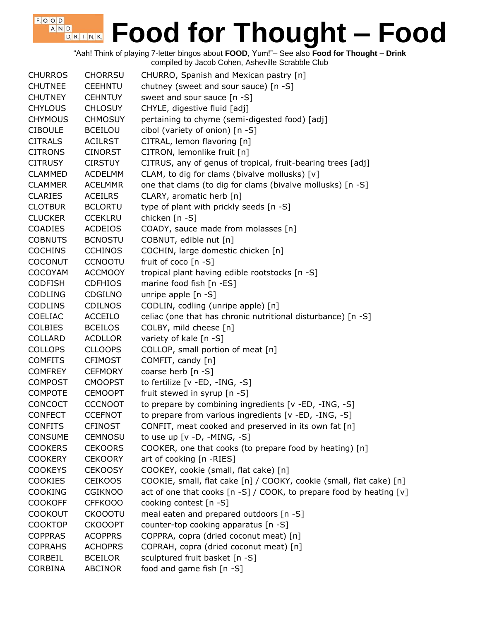"Aah! Think of playing 7-letter bingos about **FOOD**, Yum!"– See also **Food for Thought – Drink** compiled by Jacob Cohen, Asheville Scrabble Club

| <b>CHURROS</b> | <b>CHORRSU</b> | CHURRO, Spanish and Mexican pastry [n]                              |
|----------------|----------------|---------------------------------------------------------------------|
| <b>CHUTNEE</b> | <b>CEEHNTU</b> | chutney (sweet and sour sauce) [n -S]                               |
| <b>CHUTNEY</b> | <b>CEHNTUY</b> | sweet and sour sauce [n -S]                                         |
| <b>CHYLOUS</b> | <b>CHLOSUY</b> | CHYLE, digestive fluid [adj]                                        |
| <b>CHYMOUS</b> | <b>CHMOSUY</b> | pertaining to chyme (semi-digested food) [adj]                      |
| <b>CIBOULE</b> | <b>BCEILOU</b> | cibol (variety of onion) [n -S]                                     |
| <b>CITRALS</b> | <b>ACILRST</b> | CITRAL, lemon flavoring [n]                                         |
| <b>CITRONS</b> | <b>CINORST</b> | CITRON, lemonlike fruit [n]                                         |
| <b>CITRUSY</b> | <b>CIRSTUY</b> | CITRUS, any of genus of tropical, fruit-bearing trees [adj]         |
| <b>CLAMMED</b> | <b>ACDELMM</b> | CLAM, to dig for clams (bivalve mollusks) [v]                       |
| <b>CLAMMER</b> | <b>ACELMMR</b> | one that clams (to dig for clams (bivalve mollusks) [n -S]          |
| <b>CLARIES</b> | <b>ACEILRS</b> | CLARY, aromatic herb [n]                                            |
| <b>CLOTBUR</b> | <b>BCLORTU</b> | type of plant with prickly seeds [n -S]                             |
| <b>CLUCKER</b> | <b>CCEKLRU</b> | chicken [n -S]                                                      |
| <b>COADIES</b> | <b>ACDEIOS</b> | COADY, sauce made from molasses [n]                                 |
| <b>COBNUTS</b> | <b>BCNOSTU</b> | COBNUT, edible nut [n]                                              |
| <b>COCHINS</b> | <b>CCHINOS</b> | COCHIN, large domestic chicken [n]                                  |
| <b>COCONUT</b> | <b>CCNOOTU</b> | fruit of coco [n -S]                                                |
| <b>COCOYAM</b> | <b>ACCMOOY</b> | tropical plant having edible rootstocks [n -S]                      |
| <b>CODFISH</b> | <b>CDFHIOS</b> | marine food fish [n -ES]                                            |
| <b>CODLING</b> | CDGILNO        | unripe apple [n -S]                                                 |
| <b>CODLINS</b> | <b>CDILNOS</b> | CODLIN, codling (unripe apple) [n]                                  |
| <b>COELIAC</b> | ACCEILO        | celiac (one that has chronic nutritional disturbance) [n -S]        |
| <b>COLBIES</b> | <b>BCEILOS</b> | COLBY, mild cheese [n]                                              |
| <b>COLLARD</b> | <b>ACDLLOR</b> | variety of kale [n -S]                                              |
| <b>COLLOPS</b> | <b>CLLOOPS</b> | COLLOP, small portion of meat [n]                                   |
| <b>COMFITS</b> | <b>CFIMOST</b> | COMFIT, candy [n]                                                   |
| <b>COMFREY</b> | <b>CEFMORY</b> | coarse herb [n -S]                                                  |
| <b>COMPOST</b> | <b>CMOOPST</b> | to fertilize [v -ED, -ING, -S]                                      |
| <b>COMPOTE</b> | <b>CEMOOPT</b> | fruit stewed in syrup [n -S]                                        |
| <b>CONCOCT</b> | <b>CCCNOOT</b> | to prepare by combining ingredients [v -ED, -ING, -S]               |
| <b>CONFECT</b> | <b>CCEFNOT</b> | to prepare from various ingredients [v -ED, -ING, -S]               |
| <b>CONFITS</b> | <b>CFINOST</b> | CONFIT, meat cooked and preserved in its own fat [n]                |
| CONSUME        | <b>CEMNOSU</b> | to use up $[v -D, -MING, -S]$                                       |
| <b>COOKERS</b> | <b>CEKOORS</b> | COOKER, one that cooks (to prepare food by heating) [n]             |
| <b>COOKERY</b> | <b>CEKOORY</b> | art of cooking [n -RIES]                                            |
| <b>COOKEYS</b> | <b>CEKOOSY</b> | COOKEY, cookie (small, flat cake) [n]                               |
| <b>COOKIES</b> | <b>CEIKOOS</b> | COOKIE, small, flat cake [n] / COOKY, cookie (small, flat cake) [n] |
| <b>COOKING</b> | <b>CGIKNOO</b> | act of one that cooks [n -S] / COOK, to prepare food by heating [v] |
| <b>COOKOFF</b> | <b>CFFKOOO</b> | cooking contest [n -S]                                              |
| <b>COOKOUT</b> | <b>CKOOOTU</b> | meal eaten and prepared outdoors [n -S]                             |
| <b>COOKTOP</b> | <b>CKOOOPT</b> | counter-top cooking apparatus [n -S]                                |
| <b>COPPRAS</b> | <b>ACOPPRS</b> | COPPRA, copra (dried coconut meat) [n]                              |
| <b>COPRAHS</b> | <b>ACHOPRS</b> | COPRAH, copra (dried coconut meat) [n]                              |
| CORBEIL        | <b>BCEILOR</b> | sculptured fruit basket [n -S]                                      |
| <b>CORBINA</b> | <b>ABCINOR</b> | food and game fish [n -S]                                           |
|                |                |                                                                     |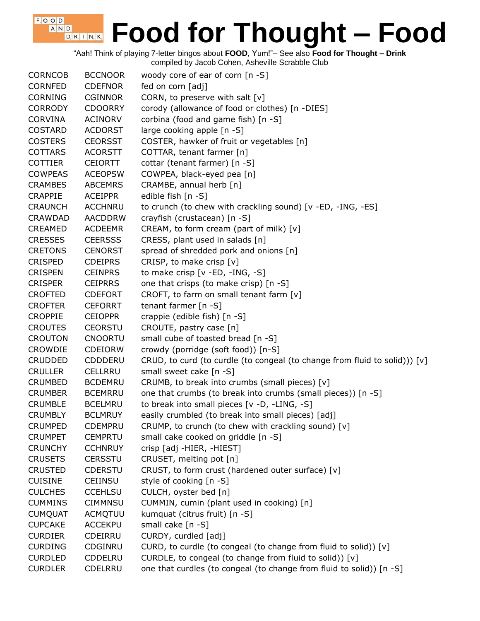"Aah! Think of playing 7-letter bingos about **FOOD**, Yum!"– See also **Food for Thought – Drink**

compiled by Jacob Cohen, Asheville Scrabble Club

| fed on corn [adj]<br><b>CORNFED</b><br><b>CDEFNOR</b><br><b>CORNING</b><br>CORN, to preserve with salt $[v]$<br><b>CGINNOR</b><br><b>CORRODY</b><br><b>CDOORRY</b><br>corody (allowance of food or clothes) [n -DIES]<br>corbina (food and game fish) [n -S]<br><b>CORVINA</b><br><b>ACINORV</b><br>large cooking apple [n -S]<br><b>COSTARD</b><br><b>ACDORST</b><br>COSTER, hawker of fruit or vegetables [n]<br><b>COSTERS</b><br><b>CEORSST</b><br><b>COTTARS</b><br>COTTAR, tenant farmer [n]<br><b>ACORSTT</b><br>cottar (tenant farmer) [n -S]<br><b>COTTIER</b><br><b>CEIORTT</b><br>COWPEA, black-eyed pea [n]<br><b>COWPEAS</b><br><b>ACEOPSW</b><br><b>ABCEMRS</b><br>CRAMBE, annual herb [n]<br><b>CRAMBES</b><br>edible fish [n -S]<br><b>CRAPPIE</b><br><b>ACEIPPR</b><br>to crunch (to chew with crackling sound) [v -ED, -ING, -ES]<br><b>CRAUNCH</b><br><b>ACCHNRU</b><br><b>CRAWDAD</b><br><b>AACDDRW</b><br>crayfish (crustacean) [n -S]<br>CREAM, to form cream (part of milk) [v]<br><b>CREAMED</b><br><b>ACDEEMR</b><br><b>CRESSES</b><br><b>CEERSSS</b><br>CRESS, plant used in salads [n]<br>spread of shredded pork and onions [n]<br><b>CRETONS</b><br><b>CENORST</b><br>CRISP, to make crisp [v]<br><b>CRISPED</b><br><b>CDEIPRS</b><br>to make crisp [v -ED, -ING, -S]<br><b>CRISPEN</b><br><b>CEINPRS</b><br>one that crisps (to make crisp) [n -S]<br><b>CRISPER</b><br><b>CEIPRRS</b><br>CROFT, to farm on small tenant farm [v]<br><b>CROFTED</b><br><b>CDEFORT</b><br><b>CROFTER</b><br>tenant farmer [n -S]<br><b>CEFORRT</b><br>crappie (edible fish) [n -S]<br><b>CROPPIE</b><br><b>CEIOPPR</b><br>CROUTE, pastry case [n]<br><b>CROUTES</b><br><b>CEORSTU</b><br><b>CROUTON</b><br>small cube of toasted bread [n -S]<br><b>CNOORTU</b><br>crowdy (porridge (soft food)) [n-S]<br>CROWDIE<br><b>CDEIORW</b><br>CRUD, to curd (to curdle (to congeal (to change from fluid to solid))) [v]<br><b>CRUDDED</b><br>CDDDERU<br><b>CRULLER</b><br><b>CELLRRU</b><br>small sweet cake [n -S]<br>CRUMB, to break into crumbs (small pieces) [v]<br><b>CRUMBED</b><br><b>BCDEMRU</b><br>one that crumbs (to break into crumbs (small pieces)) [n -S]<br><b>CRUMBER</b><br><b>BCEMRRU</b><br>to break into small pieces [v -D, -LING, -S]<br><b>CRUMBLE</b><br><b>BCELMRU</b><br><b>CRUMBLY</b><br>easily crumbled (to break into small pieces) [adj]<br><b>BCLMRUY</b><br><b>CRUMPED</b><br><b>CDEMPRU</b><br>CRUMP, to crunch (to chew with crackling sound) $[v]$<br>small cake cooked on griddle [n -S]<br><b>CRUMPET</b><br><b>CEMPRTU</b><br>crisp [adj -HIER, -HIEST]<br><b>CRUNCHY</b><br><b>CCHNRUY</b><br>CRUSET, melting pot [n]<br><b>CRUSETS</b><br><b>CERSSTU</b> |
|------------------------------------------------------------------------------------------------------------------------------------------------------------------------------------------------------------------------------------------------------------------------------------------------------------------------------------------------------------------------------------------------------------------------------------------------------------------------------------------------------------------------------------------------------------------------------------------------------------------------------------------------------------------------------------------------------------------------------------------------------------------------------------------------------------------------------------------------------------------------------------------------------------------------------------------------------------------------------------------------------------------------------------------------------------------------------------------------------------------------------------------------------------------------------------------------------------------------------------------------------------------------------------------------------------------------------------------------------------------------------------------------------------------------------------------------------------------------------------------------------------------------------------------------------------------------------------------------------------------------------------------------------------------------------------------------------------------------------------------------------------------------------------------------------------------------------------------------------------------------------------------------------------------------------------------------------------------------------------------------------------------------------------------------------------------------------------------------------------------------------------------------------------------------------------------------------------------------------------------------------------------------------------------------------------------------------------------------------------------------------------------------------------------------------------------------------------------------------------------------------------------------------------------------------------------------------------------------------------------------------------------------------------------------------------------------------------|
|                                                                                                                                                                                                                                                                                                                                                                                                                                                                                                                                                                                                                                                                                                                                                                                                                                                                                                                                                                                                                                                                                                                                                                                                                                                                                                                                                                                                                                                                                                                                                                                                                                                                                                                                                                                                                                                                                                                                                                                                                                                                                                                                                                                                                                                                                                                                                                                                                                                                                                                                                                                                                                                                                                            |
|                                                                                                                                                                                                                                                                                                                                                                                                                                                                                                                                                                                                                                                                                                                                                                                                                                                                                                                                                                                                                                                                                                                                                                                                                                                                                                                                                                                                                                                                                                                                                                                                                                                                                                                                                                                                                                                                                                                                                                                                                                                                                                                                                                                                                                                                                                                                                                                                                                                                                                                                                                                                                                                                                                            |
|                                                                                                                                                                                                                                                                                                                                                                                                                                                                                                                                                                                                                                                                                                                                                                                                                                                                                                                                                                                                                                                                                                                                                                                                                                                                                                                                                                                                                                                                                                                                                                                                                                                                                                                                                                                                                                                                                                                                                                                                                                                                                                                                                                                                                                                                                                                                                                                                                                                                                                                                                                                                                                                                                                            |
|                                                                                                                                                                                                                                                                                                                                                                                                                                                                                                                                                                                                                                                                                                                                                                                                                                                                                                                                                                                                                                                                                                                                                                                                                                                                                                                                                                                                                                                                                                                                                                                                                                                                                                                                                                                                                                                                                                                                                                                                                                                                                                                                                                                                                                                                                                                                                                                                                                                                                                                                                                                                                                                                                                            |
|                                                                                                                                                                                                                                                                                                                                                                                                                                                                                                                                                                                                                                                                                                                                                                                                                                                                                                                                                                                                                                                                                                                                                                                                                                                                                                                                                                                                                                                                                                                                                                                                                                                                                                                                                                                                                                                                                                                                                                                                                                                                                                                                                                                                                                                                                                                                                                                                                                                                                                                                                                                                                                                                                                            |
|                                                                                                                                                                                                                                                                                                                                                                                                                                                                                                                                                                                                                                                                                                                                                                                                                                                                                                                                                                                                                                                                                                                                                                                                                                                                                                                                                                                                                                                                                                                                                                                                                                                                                                                                                                                                                                                                                                                                                                                                                                                                                                                                                                                                                                                                                                                                                                                                                                                                                                                                                                                                                                                                                                            |
|                                                                                                                                                                                                                                                                                                                                                                                                                                                                                                                                                                                                                                                                                                                                                                                                                                                                                                                                                                                                                                                                                                                                                                                                                                                                                                                                                                                                                                                                                                                                                                                                                                                                                                                                                                                                                                                                                                                                                                                                                                                                                                                                                                                                                                                                                                                                                                                                                                                                                                                                                                                                                                                                                                            |
|                                                                                                                                                                                                                                                                                                                                                                                                                                                                                                                                                                                                                                                                                                                                                                                                                                                                                                                                                                                                                                                                                                                                                                                                                                                                                                                                                                                                                                                                                                                                                                                                                                                                                                                                                                                                                                                                                                                                                                                                                                                                                                                                                                                                                                                                                                                                                                                                                                                                                                                                                                                                                                                                                                            |
|                                                                                                                                                                                                                                                                                                                                                                                                                                                                                                                                                                                                                                                                                                                                                                                                                                                                                                                                                                                                                                                                                                                                                                                                                                                                                                                                                                                                                                                                                                                                                                                                                                                                                                                                                                                                                                                                                                                                                                                                                                                                                                                                                                                                                                                                                                                                                                                                                                                                                                                                                                                                                                                                                                            |
|                                                                                                                                                                                                                                                                                                                                                                                                                                                                                                                                                                                                                                                                                                                                                                                                                                                                                                                                                                                                                                                                                                                                                                                                                                                                                                                                                                                                                                                                                                                                                                                                                                                                                                                                                                                                                                                                                                                                                                                                                                                                                                                                                                                                                                                                                                                                                                                                                                                                                                                                                                                                                                                                                                            |
|                                                                                                                                                                                                                                                                                                                                                                                                                                                                                                                                                                                                                                                                                                                                                                                                                                                                                                                                                                                                                                                                                                                                                                                                                                                                                                                                                                                                                                                                                                                                                                                                                                                                                                                                                                                                                                                                                                                                                                                                                                                                                                                                                                                                                                                                                                                                                                                                                                                                                                                                                                                                                                                                                                            |
|                                                                                                                                                                                                                                                                                                                                                                                                                                                                                                                                                                                                                                                                                                                                                                                                                                                                                                                                                                                                                                                                                                                                                                                                                                                                                                                                                                                                                                                                                                                                                                                                                                                                                                                                                                                                                                                                                                                                                                                                                                                                                                                                                                                                                                                                                                                                                                                                                                                                                                                                                                                                                                                                                                            |
|                                                                                                                                                                                                                                                                                                                                                                                                                                                                                                                                                                                                                                                                                                                                                                                                                                                                                                                                                                                                                                                                                                                                                                                                                                                                                                                                                                                                                                                                                                                                                                                                                                                                                                                                                                                                                                                                                                                                                                                                                                                                                                                                                                                                                                                                                                                                                                                                                                                                                                                                                                                                                                                                                                            |
|                                                                                                                                                                                                                                                                                                                                                                                                                                                                                                                                                                                                                                                                                                                                                                                                                                                                                                                                                                                                                                                                                                                                                                                                                                                                                                                                                                                                                                                                                                                                                                                                                                                                                                                                                                                                                                                                                                                                                                                                                                                                                                                                                                                                                                                                                                                                                                                                                                                                                                                                                                                                                                                                                                            |
|                                                                                                                                                                                                                                                                                                                                                                                                                                                                                                                                                                                                                                                                                                                                                                                                                                                                                                                                                                                                                                                                                                                                                                                                                                                                                                                                                                                                                                                                                                                                                                                                                                                                                                                                                                                                                                                                                                                                                                                                                                                                                                                                                                                                                                                                                                                                                                                                                                                                                                                                                                                                                                                                                                            |
|                                                                                                                                                                                                                                                                                                                                                                                                                                                                                                                                                                                                                                                                                                                                                                                                                                                                                                                                                                                                                                                                                                                                                                                                                                                                                                                                                                                                                                                                                                                                                                                                                                                                                                                                                                                                                                                                                                                                                                                                                                                                                                                                                                                                                                                                                                                                                                                                                                                                                                                                                                                                                                                                                                            |
|                                                                                                                                                                                                                                                                                                                                                                                                                                                                                                                                                                                                                                                                                                                                                                                                                                                                                                                                                                                                                                                                                                                                                                                                                                                                                                                                                                                                                                                                                                                                                                                                                                                                                                                                                                                                                                                                                                                                                                                                                                                                                                                                                                                                                                                                                                                                                                                                                                                                                                                                                                                                                                                                                                            |
|                                                                                                                                                                                                                                                                                                                                                                                                                                                                                                                                                                                                                                                                                                                                                                                                                                                                                                                                                                                                                                                                                                                                                                                                                                                                                                                                                                                                                                                                                                                                                                                                                                                                                                                                                                                                                                                                                                                                                                                                                                                                                                                                                                                                                                                                                                                                                                                                                                                                                                                                                                                                                                                                                                            |
|                                                                                                                                                                                                                                                                                                                                                                                                                                                                                                                                                                                                                                                                                                                                                                                                                                                                                                                                                                                                                                                                                                                                                                                                                                                                                                                                                                                                                                                                                                                                                                                                                                                                                                                                                                                                                                                                                                                                                                                                                                                                                                                                                                                                                                                                                                                                                                                                                                                                                                                                                                                                                                                                                                            |
|                                                                                                                                                                                                                                                                                                                                                                                                                                                                                                                                                                                                                                                                                                                                                                                                                                                                                                                                                                                                                                                                                                                                                                                                                                                                                                                                                                                                                                                                                                                                                                                                                                                                                                                                                                                                                                                                                                                                                                                                                                                                                                                                                                                                                                                                                                                                                                                                                                                                                                                                                                                                                                                                                                            |
|                                                                                                                                                                                                                                                                                                                                                                                                                                                                                                                                                                                                                                                                                                                                                                                                                                                                                                                                                                                                                                                                                                                                                                                                                                                                                                                                                                                                                                                                                                                                                                                                                                                                                                                                                                                                                                                                                                                                                                                                                                                                                                                                                                                                                                                                                                                                                                                                                                                                                                                                                                                                                                                                                                            |
|                                                                                                                                                                                                                                                                                                                                                                                                                                                                                                                                                                                                                                                                                                                                                                                                                                                                                                                                                                                                                                                                                                                                                                                                                                                                                                                                                                                                                                                                                                                                                                                                                                                                                                                                                                                                                                                                                                                                                                                                                                                                                                                                                                                                                                                                                                                                                                                                                                                                                                                                                                                                                                                                                                            |
|                                                                                                                                                                                                                                                                                                                                                                                                                                                                                                                                                                                                                                                                                                                                                                                                                                                                                                                                                                                                                                                                                                                                                                                                                                                                                                                                                                                                                                                                                                                                                                                                                                                                                                                                                                                                                                                                                                                                                                                                                                                                                                                                                                                                                                                                                                                                                                                                                                                                                                                                                                                                                                                                                                            |
|                                                                                                                                                                                                                                                                                                                                                                                                                                                                                                                                                                                                                                                                                                                                                                                                                                                                                                                                                                                                                                                                                                                                                                                                                                                                                                                                                                                                                                                                                                                                                                                                                                                                                                                                                                                                                                                                                                                                                                                                                                                                                                                                                                                                                                                                                                                                                                                                                                                                                                                                                                                                                                                                                                            |
|                                                                                                                                                                                                                                                                                                                                                                                                                                                                                                                                                                                                                                                                                                                                                                                                                                                                                                                                                                                                                                                                                                                                                                                                                                                                                                                                                                                                                                                                                                                                                                                                                                                                                                                                                                                                                                                                                                                                                                                                                                                                                                                                                                                                                                                                                                                                                                                                                                                                                                                                                                                                                                                                                                            |
|                                                                                                                                                                                                                                                                                                                                                                                                                                                                                                                                                                                                                                                                                                                                                                                                                                                                                                                                                                                                                                                                                                                                                                                                                                                                                                                                                                                                                                                                                                                                                                                                                                                                                                                                                                                                                                                                                                                                                                                                                                                                                                                                                                                                                                                                                                                                                                                                                                                                                                                                                                                                                                                                                                            |
|                                                                                                                                                                                                                                                                                                                                                                                                                                                                                                                                                                                                                                                                                                                                                                                                                                                                                                                                                                                                                                                                                                                                                                                                                                                                                                                                                                                                                                                                                                                                                                                                                                                                                                                                                                                                                                                                                                                                                                                                                                                                                                                                                                                                                                                                                                                                                                                                                                                                                                                                                                                                                                                                                                            |
|                                                                                                                                                                                                                                                                                                                                                                                                                                                                                                                                                                                                                                                                                                                                                                                                                                                                                                                                                                                                                                                                                                                                                                                                                                                                                                                                                                                                                                                                                                                                                                                                                                                                                                                                                                                                                                                                                                                                                                                                                                                                                                                                                                                                                                                                                                                                                                                                                                                                                                                                                                                                                                                                                                            |
|                                                                                                                                                                                                                                                                                                                                                                                                                                                                                                                                                                                                                                                                                                                                                                                                                                                                                                                                                                                                                                                                                                                                                                                                                                                                                                                                                                                                                                                                                                                                                                                                                                                                                                                                                                                                                                                                                                                                                                                                                                                                                                                                                                                                                                                                                                                                                                                                                                                                                                                                                                                                                                                                                                            |
|                                                                                                                                                                                                                                                                                                                                                                                                                                                                                                                                                                                                                                                                                                                                                                                                                                                                                                                                                                                                                                                                                                                                                                                                                                                                                                                                                                                                                                                                                                                                                                                                                                                                                                                                                                                                                                                                                                                                                                                                                                                                                                                                                                                                                                                                                                                                                                                                                                                                                                                                                                                                                                                                                                            |
|                                                                                                                                                                                                                                                                                                                                                                                                                                                                                                                                                                                                                                                                                                                                                                                                                                                                                                                                                                                                                                                                                                                                                                                                                                                                                                                                                                                                                                                                                                                                                                                                                                                                                                                                                                                                                                                                                                                                                                                                                                                                                                                                                                                                                                                                                                                                                                                                                                                                                                                                                                                                                                                                                                            |
|                                                                                                                                                                                                                                                                                                                                                                                                                                                                                                                                                                                                                                                                                                                                                                                                                                                                                                                                                                                                                                                                                                                                                                                                                                                                                                                                                                                                                                                                                                                                                                                                                                                                                                                                                                                                                                                                                                                                                                                                                                                                                                                                                                                                                                                                                                                                                                                                                                                                                                                                                                                                                                                                                                            |
|                                                                                                                                                                                                                                                                                                                                                                                                                                                                                                                                                                                                                                                                                                                                                                                                                                                                                                                                                                                                                                                                                                                                                                                                                                                                                                                                                                                                                                                                                                                                                                                                                                                                                                                                                                                                                                                                                                                                                                                                                                                                                                                                                                                                                                                                                                                                                                                                                                                                                                                                                                                                                                                                                                            |
|                                                                                                                                                                                                                                                                                                                                                                                                                                                                                                                                                                                                                                                                                                                                                                                                                                                                                                                                                                                                                                                                                                                                                                                                                                                                                                                                                                                                                                                                                                                                                                                                                                                                                                                                                                                                                                                                                                                                                                                                                                                                                                                                                                                                                                                                                                                                                                                                                                                                                                                                                                                                                                                                                                            |
|                                                                                                                                                                                                                                                                                                                                                                                                                                                                                                                                                                                                                                                                                                                                                                                                                                                                                                                                                                                                                                                                                                                                                                                                                                                                                                                                                                                                                                                                                                                                                                                                                                                                                                                                                                                                                                                                                                                                                                                                                                                                                                                                                                                                                                                                                                                                                                                                                                                                                                                                                                                                                                                                                                            |
| CRUST, to form crust (hardened outer surface) [v]<br><b>CRUSTED</b><br><b>CDERSTU</b>                                                                                                                                                                                                                                                                                                                                                                                                                                                                                                                                                                                                                                                                                                                                                                                                                                                                                                                                                                                                                                                                                                                                                                                                                                                                                                                                                                                                                                                                                                                                                                                                                                                                                                                                                                                                                                                                                                                                                                                                                                                                                                                                                                                                                                                                                                                                                                                                                                                                                                                                                                                                                      |
| style of cooking [n -S]<br><b>CUISINE</b><br><b>CEIINSU</b>                                                                                                                                                                                                                                                                                                                                                                                                                                                                                                                                                                                                                                                                                                                                                                                                                                                                                                                                                                                                                                                                                                                                                                                                                                                                                                                                                                                                                                                                                                                                                                                                                                                                                                                                                                                                                                                                                                                                                                                                                                                                                                                                                                                                                                                                                                                                                                                                                                                                                                                                                                                                                                                |
| CULCH, oyster bed [n]<br><b>CULCHES</b><br><b>CCEHLSU</b>                                                                                                                                                                                                                                                                                                                                                                                                                                                                                                                                                                                                                                                                                                                                                                                                                                                                                                                                                                                                                                                                                                                                                                                                                                                                                                                                                                                                                                                                                                                                                                                                                                                                                                                                                                                                                                                                                                                                                                                                                                                                                                                                                                                                                                                                                                                                                                                                                                                                                                                                                                                                                                                  |
| CIMMNSU<br>CUMMIN, cumin (plant used in cooking) [n]<br><b>CUMMINS</b>                                                                                                                                                                                                                                                                                                                                                                                                                                                                                                                                                                                                                                                                                                                                                                                                                                                                                                                                                                                                                                                                                                                                                                                                                                                                                                                                                                                                                                                                                                                                                                                                                                                                                                                                                                                                                                                                                                                                                                                                                                                                                                                                                                                                                                                                                                                                                                                                                                                                                                                                                                                                                                     |
|                                                                                                                                                                                                                                                                                                                                                                                                                                                                                                                                                                                                                                                                                                                                                                                                                                                                                                                                                                                                                                                                                                                                                                                                                                                                                                                                                                                                                                                                                                                                                                                                                                                                                                                                                                                                                                                                                                                                                                                                                                                                                                                                                                                                                                                                                                                                                                                                                                                                                                                                                                                                                                                                                                            |
| <b>CUMQUAT</b><br>kumquat (citrus fruit) [n -S]<br><b>ACMQTUU</b>                                                                                                                                                                                                                                                                                                                                                                                                                                                                                                                                                                                                                                                                                                                                                                                                                                                                                                                                                                                                                                                                                                                                                                                                                                                                                                                                                                                                                                                                                                                                                                                                                                                                                                                                                                                                                                                                                                                                                                                                                                                                                                                                                                                                                                                                                                                                                                                                                                                                                                                                                                                                                                          |
| small cake [n -S]<br><b>CUPCAKE</b><br><b>ACCEKPU</b>                                                                                                                                                                                                                                                                                                                                                                                                                                                                                                                                                                                                                                                                                                                                                                                                                                                                                                                                                                                                                                                                                                                                                                                                                                                                                                                                                                                                                                                                                                                                                                                                                                                                                                                                                                                                                                                                                                                                                                                                                                                                                                                                                                                                                                                                                                                                                                                                                                                                                                                                                                                                                                                      |
| CURDY, curdled [adj]<br><b>CURDIER</b><br>CDEIRRU                                                                                                                                                                                                                                                                                                                                                                                                                                                                                                                                                                                                                                                                                                                                                                                                                                                                                                                                                                                                                                                                                                                                                                                                                                                                                                                                                                                                                                                                                                                                                                                                                                                                                                                                                                                                                                                                                                                                                                                                                                                                                                                                                                                                                                                                                                                                                                                                                                                                                                                                                                                                                                                          |
| <b>CURDING</b><br>CDGINRU<br>CURD, to curdle (to congeal (to change from fluid to solid)) [v]                                                                                                                                                                                                                                                                                                                                                                                                                                                                                                                                                                                                                                                                                                                                                                                                                                                                                                                                                                                                                                                                                                                                                                                                                                                                                                                                                                                                                                                                                                                                                                                                                                                                                                                                                                                                                                                                                                                                                                                                                                                                                                                                                                                                                                                                                                                                                                                                                                                                                                                                                                                                              |
| CURDLE, to congeal (to change from fluid to solid)) [v]<br><b>CURDLED</b><br><b>CDDELRU</b>                                                                                                                                                                                                                                                                                                                                                                                                                                                                                                                                                                                                                                                                                                                                                                                                                                                                                                                                                                                                                                                                                                                                                                                                                                                                                                                                                                                                                                                                                                                                                                                                                                                                                                                                                                                                                                                                                                                                                                                                                                                                                                                                                                                                                                                                                                                                                                                                                                                                                                                                                                                                                |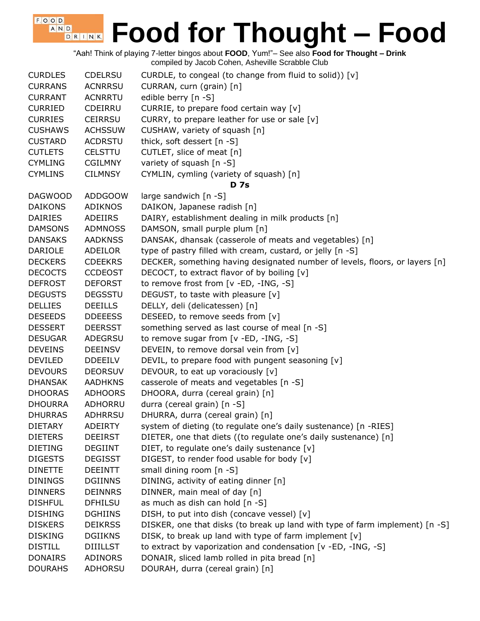"Aah! Think of playing 7-letter bingos about **FOOD**, Yum!"– See also **Food for Thought – Drink** compiled by Jacob Cohen, Asheville Scrabble Club

 $F$ , O, O, D, A N D

| <b>CURDLES</b> | <b>CDELRSU</b>  | CURDLE, to congeal (to change from fluid to solid)) [v]                      |
|----------------|-----------------|------------------------------------------------------------------------------|
| <b>CURRANS</b> | <b>ACNRRSU</b>  | CURRAN, curn (grain) [n]                                                     |
| <b>CURRANT</b> | <b>ACNRRTU</b>  | edible berry [n -S]                                                          |
| <b>CURRIED</b> | CDEIRRU         | CURRIE, to prepare food certain way [v]                                      |
| <b>CURRIES</b> | <b>CEIRRSU</b>  | CURRY, to prepare leather for use or sale [v]                                |
| <b>CUSHAWS</b> | <b>ACHSSUW</b>  | CUSHAW, variety of squash [n]                                                |
| <b>CUSTARD</b> | <b>ACDRSTU</b>  | thick, soft dessert [n -S]                                                   |
| <b>CUTLETS</b> | <b>CELSTTU</b>  | CUTLET, slice of meat [n]                                                    |
| <b>CYMLING</b> | <b>CGILMNY</b>  | variety of squash [n -S]                                                     |
| <b>CYMLINS</b> | <b>CILMNSY</b>  | CYMLIN, cymling (variety of squash) [n]                                      |
|                |                 | <b>D</b> 7s                                                                  |
| <b>DAGWOOD</b> | <b>ADDGOOW</b>  | large sandwich [n -S]                                                        |
| <b>DAIKONS</b> | <b>ADIKNOS</b>  | DAIKON, Japanese radish [n]                                                  |
| <b>DAIRIES</b> | ADEIIRS         | DAIRY, establishment dealing in milk products [n]                            |
| <b>DAMSONS</b> | <b>ADMNOSS</b>  | DAMSON, small purple plum [n]                                                |
| <b>DANSAKS</b> | <b>AADKNSS</b>  | DANSAK, dhansak (casserole of meats and vegetables) [n]                      |
| <b>DARIOLE</b> | ADEILOR         | type of pastry filled with cream, custard, or jelly [n -S]                   |
| <b>DECKERS</b> | <b>CDEEKRS</b>  | DECKER, something having designated number of levels, floors, or layers [n]  |
| <b>DECOCTS</b> | <b>CCDEOST</b>  | DECOCT, to extract flavor of by boiling [v]                                  |
| <b>DEFROST</b> | <b>DEFORST</b>  | to remove frost from [v -ED, -ING, -S]                                       |
| <b>DEGUSTS</b> | <b>DEGSSTU</b>  | DEGUST, to taste with pleasure [v]                                           |
| <b>DELLIES</b> | <b>DEEILLS</b>  | DELLY, deli (delicatessen) [n]                                               |
| <b>DESEEDS</b> | <b>DDEEESS</b>  | DESEED, to remove seeds from [v]                                             |
| <b>DESSERT</b> | <b>DEERSST</b>  | something served as last course of meal [n -S]                               |
| <b>DESUGAR</b> | ADEGRSU         | to remove sugar from [v -ED, -ING, -S]                                       |
| <b>DEVEINS</b> | <b>DEEINSV</b>  | DEVEIN, to remove dorsal vein from [v]                                       |
| <b>DEVILED</b> | <b>DDEEILV</b>  | DEVIL, to prepare food with pungent seasoning [v]                            |
| <b>DEVOURS</b> | <b>DEORSUV</b>  | DEVOUR, to eat up voraciously [v]                                            |
| <b>DHANSAK</b> | <b>AADHKNS</b>  | casserole of meats and vegetables [n -S]                                     |
| <b>DHOORAS</b> | <b>ADHOORS</b>  | DHOORA, durra (cereal grain) [n]                                             |
| <b>DHOURRA</b> | ADHORRU         | durra (cereal grain) [n -S]                                                  |
| <b>DHURRAS</b> | <b>ADHRRSU</b>  | DHURRA, durra (cereal grain) [n]                                             |
| <b>DIETARY</b> | <b>ADEIRTY</b>  | system of dieting (to regulate one's daily sustenance) [n -RIES]             |
| <b>DIETERS</b> | <b>DEEIRST</b>  | DIETER, one that diets ((to regulate one's daily sustenance) [n]             |
| <b>DIETING</b> | <b>DEGIINT</b>  | DIET, to regulate one's daily sustenance [v]                                 |
| <b>DIGESTS</b> | <b>DEGISST</b>  | DIGEST, to render food usable for body [v]                                   |
| <b>DINETTE</b> | <b>DEEINTT</b>  | small dining room $[n - S]$                                                  |
| <b>DININGS</b> | <b>DGIINNS</b>  | DINING, activity of eating dinner [n]                                        |
| <b>DINNERS</b> | <b>DEINNRS</b>  | DINNER, main meal of day [n]                                                 |
| <b>DISHFUL</b> | <b>DFHILSU</b>  | as much as dish can hold [n -S]                                              |
| <b>DISHING</b> | <b>DGHIINS</b>  | DISH, to put into dish (concave vessel) [v]                                  |
| <b>DISKERS</b> | <b>DEIKRSS</b>  | DISKER, one that disks (to break up land with type of farm implement) [n -S] |
| <b>DISKING</b> | <b>DGIIKNS</b>  | DISK, to break up land with type of farm implement [v]                       |
| <b>DISTILL</b> | <b>DIIILLST</b> | to extract by vaporization and condensation [v -ED, -ING, -S]                |
| <b>DONAIRS</b> | ADINORS         | DONAIR, sliced lamb rolled in pita bread [n]                                 |
| <b>DOURAHS</b> | ADHORSU         | DOURAH, durra (cereal grain) [n]                                             |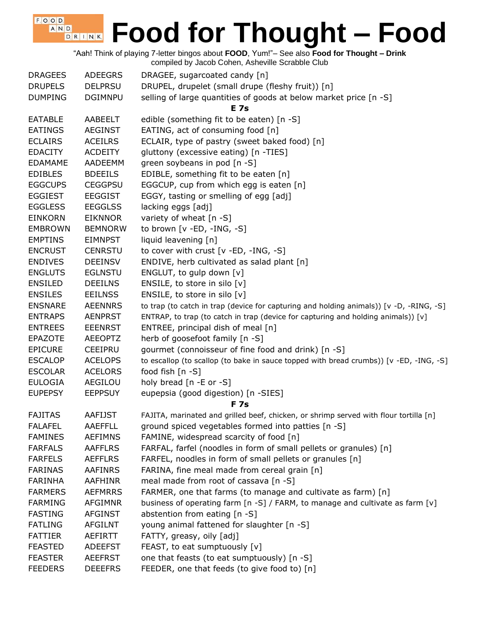"Aah! Think of playing 7-letter bingos about **FOOD**, Yum!"– See also **Food for Thought – Drink** compiled by Jacob Cohen, Asheville Scrabble Club

| <b>DRAGEES</b><br><b>DRUPELS</b> | <b>ADEEGRS</b><br><b>DELPRSU</b> | DRAGEE, sugarcoated candy [n]<br>DRUPEL, drupelet (small drupe (fleshy fruit)) [n]      |
|----------------------------------|----------------------------------|-----------------------------------------------------------------------------------------|
| <b>DUMPING</b>                   | <b>DGIMNPU</b>                   | selling of large quantities of goods at below market price [n -S]                       |
|                                  |                                  | <b>E</b> 7s                                                                             |
| <b>EATABLE</b>                   | AABEELT                          | edible (something fit to be eaten) [n -S]                                               |
| <b>EATINGS</b>                   | <b>AEGINST</b>                   | EATING, act of consuming food [n]                                                       |
| <b>ECLAIRS</b>                   | <b>ACEILRS</b>                   | ECLAIR, type of pastry (sweet baked food) [n]                                           |
| <b>EDACITY</b>                   | <b>ACDEITY</b>                   | gluttony (excessive eating) [n -TIES]                                                   |
| <b>EDAMAME</b>                   | AADEEMM                          | green soybeans in pod [n -S]                                                            |
| <b>EDIBLES</b>                   | <b>BDEEILS</b>                   | EDIBLE, something fit to be eaten [n]                                                   |
| <b>EGGCUPS</b>                   | <b>CEGGPSU</b>                   | EGGCUP, cup from which egg is eaten [n]                                                 |
| <b>EGGIEST</b>                   | <b>EEGGIST</b>                   | EGGY, tasting or smelling of egg [adj]                                                  |
| <b>EGGLESS</b>                   | <b>EEGGLSS</b>                   | lacking eggs [adj]                                                                      |
| <b>EINKORN</b>                   | <b>EIKNNOR</b>                   | variety of wheat [n -S]                                                                 |
| <b>EMBROWN</b>                   | <b>BEMNORW</b>                   | to brown $[v - ED, -ING, -S]$                                                           |
| <b>EMPTINS</b>                   | <b>EIMNPST</b>                   | liquid leavening [n]                                                                    |
| <b>ENCRUST</b>                   | <b>CENRSTU</b>                   | to cover with crust [v -ED, -ING, -S]                                                   |
| <b>ENDIVES</b>                   | <b>DEEINSV</b>                   | ENDIVE, herb cultivated as salad plant [n]                                              |
| <b>ENGLUTS</b>                   | <b>EGLNSTU</b>                   | ENGLUT, to gulp down [v]                                                                |
| <b>ENSILED</b>                   | <b>DEEILNS</b>                   | ENSILE, to store in silo [v]                                                            |
| <b>ENSILES</b>                   | <b>EEILNSS</b>                   | ENSILE, to store in silo [v]                                                            |
| <b>ENSNARE</b>                   | <b>AEENNRS</b>                   | to trap (to catch in trap (device for capturing and holding animals)) [v -D, -RING, -S] |
| <b>ENTRAPS</b>                   | <b>AENPRST</b>                   | ENTRAP, to trap (to catch in trap (device for capturing and holding animals)) [v]       |
| <b>ENTREES</b>                   | <b>EEENRST</b>                   | ENTREE, principal dish of meal [n]                                                      |
| <b>EPAZOTE</b>                   | <b>AEEOPTZ</b>                   |                                                                                         |
|                                  |                                  | herb of goosefoot family [n -S]                                                         |
| <b>EPICURE</b>                   | <b>CEEIPRU</b>                   | gourmet (connoisseur of fine food and drink) [n -S]                                     |
| <b>ESCALOP</b>                   | <b>ACELOPS</b>                   | to escallop (to scallop (to bake in sauce topped with bread crumbs)) [v -ED, -ING, -S]  |
| <b>ESCOLAR</b>                   | <b>ACELORS</b>                   | food fish [n -S]                                                                        |
| <b>EULOGIA</b>                   | AEGILOU                          | holy bread [n -E or -S]                                                                 |
| <b>EUPEPSY</b>                   | <b>EEPPSUY</b>                   | eupepsia (good digestion) [n -SIES]<br><b>F7s</b>                                       |
| <b>FAJITAS</b>                   | <b>AAFIJST</b>                   | FAJITA, marinated and grilled beef, chicken, or shrimp served with flour tortilla [n]   |
| <b>FALAFEL</b>                   | AAEFFLL                          | ground spiced vegetables formed into patties [n -S]                                     |
| <b>FAMINES</b>                   | <b>AEFIMNS</b>                   | FAMINE, widespread scarcity of food [n]                                                 |
| <b>FARFALS</b>                   | <b>AAFFLRS</b>                   | FARFAL, farfel (noodles in form of small pellets or granules) [n]                       |
| <b>FARFELS</b>                   | <b>AEFFLRS</b>                   | FARFEL, noodles in form of small pellets or granules [n]                                |
| <b>FARINAS</b>                   | <b>AAFINRS</b>                   | FARINA, fine meal made from cereal grain [n]                                            |
| <b>FARINHA</b>                   | <b>AAFHINR</b>                   | meal made from root of cassava [n -S]                                                   |
| <b>FARMERS</b>                   | <b>AEFMRRS</b>                   | FARMER, one that farms (to manage and cultivate as farm) [n]                            |
| <b>FARMING</b>                   | <b>AFGIMNR</b>                   | business of operating farm $[n -S]$ / FARM, to manage and cultivate as farm $[v]$       |
| <b>FASTING</b>                   | <b>AFGINST</b>                   | abstention from eating [n -S]                                                           |
| <b>FATLING</b>                   | AFGILNT                          | young animal fattened for slaughter [n -S]                                              |
| <b>FATTIER</b>                   | <b>AEFIRTT</b>                   | FATTY, greasy, oily [adj]                                                               |
| <b>FEASTED</b>                   | <b>ADEEFST</b>                   | FEAST, to eat sumptuously [v]                                                           |
| <b>FEASTER</b>                   | <b>AEEFRST</b>                   | one that feasts (to eat sumptuously) [n -S]                                             |
|                                  |                                  |                                                                                         |
| <b>FEEDERS</b>                   | <b>DEEEFRS</b>                   | FEEDER, one that feeds (to give food to) [n]                                            |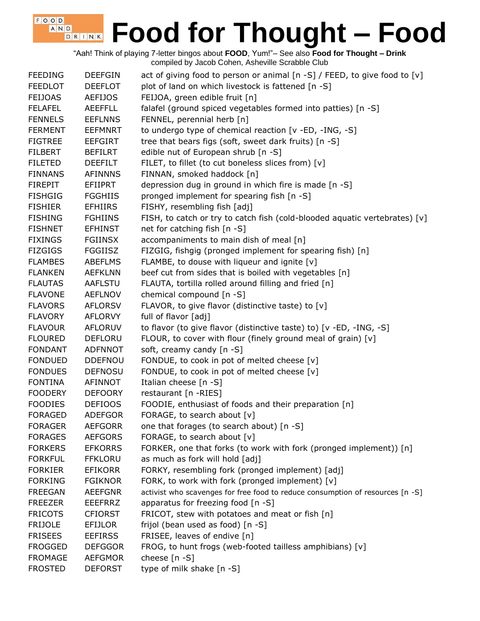"Aah! Think of playing 7-letter bingos about **FOOD**, Yum!"– See also **Food for Thought – Drink** compiled by Jacob Cohen, Asheville Scrabble Club

 $F$ , O, O, D, A N D

| <b>FEEDING</b> | <b>DEEFGIN</b> | act of giving food to person or animal [n -S] / FEED, to give food to [v]      |
|----------------|----------------|--------------------------------------------------------------------------------|
| <b>FEEDLOT</b> | <b>DEEFLOT</b> | plot of land on which livestock is fattened [n -S]                             |
| <b>FEIJOAS</b> | <b>AEFIJOS</b> | FEIJOA, green edible fruit [n]                                                 |
| <b>FELAFEL</b> | <b>AEEFFLL</b> | falafel (ground spiced vegetables formed into patties) [n -S]                  |
| <b>FENNELS</b> | <b>EEFLNNS</b> | FENNEL, perennial herb [n]                                                     |
| <b>FERMENT</b> | <b>EEFMNRT</b> | to undergo type of chemical reaction [v -ED, -ING, -S]                         |
| <b>FIGTREE</b> | <b>EEFGIRT</b> | tree that bears figs (soft, sweet dark fruits) [n -S]                          |
| <b>FILBERT</b> | <b>BEFILRT</b> | edible nut of European shrub [n -S]                                            |
| <b>FILETED</b> | <b>DEEFILT</b> | FILET, to fillet (to cut boneless slices from) [v]                             |
| <b>FINNANS</b> | <b>AFINNNS</b> | FINNAN, smoked haddock [n]                                                     |
| <b>FIREPIT</b> | <b>EFIIPRT</b> | depression dug in ground in which fire is made [n -S]                          |
| <b>FISHGIG</b> | <b>FGGHIIS</b> | pronged implement for spearing fish [n -S]                                     |
| <b>FISHIER</b> | <b>EFHIIRS</b> | FISHY, resembling fish [adj]                                                   |
| <b>FISHING</b> | <b>FGHIINS</b> | FISH, to catch or try to catch fish (cold-blooded aquatic vertebrates) [v]     |
| <b>FISHNET</b> | <b>EFHINST</b> | net for catching fish [n -S]                                                   |
| <b>FIXINGS</b> | <b>FGIINSX</b> | accompaniments to main dish of meal [n]                                        |
| <b>FIZGIGS</b> | <b>FGGIISZ</b> | FIZGIG, fishgig (pronged implement for spearing fish) [n]                      |
| <b>FLAMBES</b> | <b>ABEFLMS</b> | FLAMBE, to douse with liqueur and ignite [v]                                   |
| <b>FLANKEN</b> | <b>AEFKLNN</b> | beef cut from sides that is boiled with vegetables [n]                         |
| <b>FLAUTAS</b> | AAFLSTU        | FLAUTA, tortilla rolled around filling and fried [n]                           |
| <b>FLAVONE</b> | <b>AEFLNOV</b> | chemical compound [n -S]                                                       |
| <b>FLAVORS</b> | <b>AFLORSV</b> | FLAVOR, to give flavor (distinctive taste) to [v]                              |
| <b>FLAVORY</b> | <b>AFLORVY</b> | full of flavor [adj]                                                           |
| <b>FLAVOUR</b> | <b>AFLORUV</b> | to flavor (to give flavor (distinctive taste) to) [v -ED, -ING, -S]            |
| <b>FLOURED</b> | <b>DEFLORU</b> | FLOUR, to cover with flour (finely ground meal of grain) [v]                   |
| <b>FONDANT</b> | <b>ADFNNOT</b> | soft, creamy candy [n -S]                                                      |
| <b>FONDUED</b> | <b>DDEFNOU</b> | FONDUE, to cook in pot of melted cheese [v]                                    |
| <b>FONDUES</b> | <b>DEFNOSU</b> | FONDUE, to cook in pot of melted cheese [v]                                    |
| <b>FONTINA</b> | AFINNOT        | Italian cheese [n -S]                                                          |
| <b>FOODERY</b> | <b>DEFOORY</b> | restaurant [n -RIES]                                                           |
| <b>FOODIES</b> | <b>DEFIOOS</b> | FOODIE, enthusiast of foods and their preparation [n]                          |
| <b>FORAGED</b> | <b>ADEFGOR</b> | FORAGE, to search about [v]                                                    |
| <b>FORAGER</b> | <b>AEFGORR</b> | one that forages (to search about) [n -S]                                      |
| <b>FORAGES</b> | <b>AEFGORS</b> | FORAGE, to search about [v]                                                    |
| <b>FORKERS</b> | <b>EFKORRS</b> | FORKER, one that forks (to work with fork (pronged implement)) [n]             |
| <b>FORKFUL</b> | <b>FFKLORU</b> | as much as fork will hold [adj]                                                |
| <b>FORKIER</b> | <b>EFIKORR</b> | FORKY, resembling fork (pronged implement) [adj]                               |
| <b>FORKING</b> | <b>FGIKNOR</b> | FORK, to work with fork (pronged implement) [v]                                |
| <b>FREEGAN</b> | <b>AEEFGNR</b> | activist who scavenges for free food to reduce consumption of resources [n -S] |
| <b>FREEZER</b> | <b>EEEFRRZ</b> | apparatus for freezing food [n -S]                                             |
| <b>FRICOTS</b> | <b>CFIORST</b> | FRICOT, stew with potatoes and meat or fish [n]                                |
| <b>FRIJOLE</b> | <b>EFIJLOR</b> | frijol (bean used as food) [n -S]                                              |
| <b>FRISEES</b> | <b>EEFIRSS</b> | FRISEE, leaves of endive [n]                                                   |
| <b>FROGGED</b> | <b>DEFGGOR</b> | FROG, to hunt frogs (web-footed tailless amphibians) [v]                       |
| <b>FROMAGE</b> | <b>AEFGMOR</b> | cheese [n -S]                                                                  |
| <b>FROSTED</b> | <b>DEFORST</b> | type of milk shake [n -S]                                                      |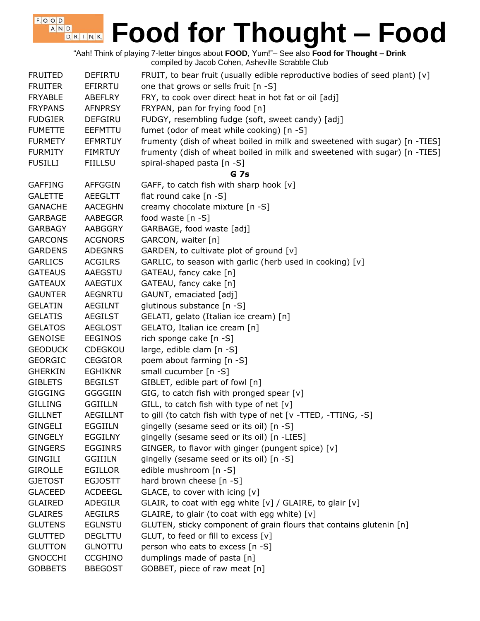"Aah! Think of playing 7-letter bingos about **FOOD**, Yum!"– See also **Food for Thought – Drink** compiled by Jacob Cohen, Asheville Scrabble Club

 $F$ , O, O, D, A N D

| <b>FRUITED</b> | <b>DEFIRTU</b>  | FRUIT, to bear fruit (usually edible reproductive bodies of seed plant) $[v]$ |
|----------------|-----------------|-------------------------------------------------------------------------------|
| <b>FRUITER</b> | EFIRRTU         | one that grows or sells fruit [n -S]                                          |
| <b>FRYABLE</b> | <b>ABEFLRY</b>  | FRY, to cook over direct heat in hot fat or oil [adj]                         |
| <b>FRYPANS</b> | <b>AFNPRSY</b>  | FRYPAN, pan for frying food [n]                                               |
| <b>FUDGIER</b> | <b>DEFGIRU</b>  | FUDGY, resembling fudge (soft, sweet candy) [adj]                             |
| <b>FUMETTE</b> | EEFMTTU         | fumet (odor of meat while cooking) [n -S]                                     |
| <b>FURMETY</b> | <b>EFMRTUY</b>  | frumenty (dish of wheat boiled in milk and sweetened with sugar) [n -TIES]    |
| <b>FURMITY</b> | <b>FIMRTUY</b>  | frumenty (dish of wheat boiled in milk and sweetened with sugar) [n -TIES]    |
| <b>FUSILLI</b> | <b>FIILLSU</b>  | spiral-shaped pasta [n -S]                                                    |
|                |                 | <b>G</b> 7s                                                                   |
| <b>GAFFING</b> | AFFGGIN         | GAFF, to catch fish with sharp hook [v]                                       |
| <b>GALETTE</b> | AEEGLTT         | flat round cake [n -S]                                                        |
| <b>GANACHE</b> | <b>AACEGHN</b>  | creamy chocolate mixture [n -S]                                               |
| <b>GARBAGE</b> | AABEGGR         | food waste [n -S]                                                             |
| <b>GARBAGY</b> | AABGGRY         | GARBAGE, food waste [adj]                                                     |
| <b>GARCONS</b> | <b>ACGNORS</b>  | GARCON, waiter [n]                                                            |
| <b>GARDENS</b> | <b>ADEGNRS</b>  | GARDEN, to cultivate plot of ground [v]                                       |
| <b>GARLICS</b> | <b>ACGILRS</b>  | GARLIC, to season with garlic (herb used in cooking) [v]                      |
| <b>GATEAUS</b> | AAEGSTU         | GATEAU, fancy cake [n]                                                        |
| <b>GATEAUX</b> | AAEGTUX         | GATEAU, fancy cake [n]                                                        |
| <b>GAUNTER</b> | <b>AEGNRTU</b>  | GAUNT, emaciated [adj]                                                        |
| <b>GELATIN</b> | AEGILNT         | glutinous substance [n -S]                                                    |
| <b>GELATIS</b> | <b>AEGILST</b>  | GELATI, gelato (Italian ice cream) [n]                                        |
| <b>GELATOS</b> | <b>AEGLOST</b>  | GELATO, Italian ice cream [n]                                                 |
| <b>GENOISE</b> | <b>EEGINOS</b>  | rich sponge cake [n -S]                                                       |
| <b>GEODUCK</b> | <b>CDEGKOU</b>  | large, edible clam [n -S]                                                     |
| <b>GEORGIC</b> | <b>CEGGIOR</b>  | poem about farming [n -S]                                                     |
| <b>GHERKIN</b> | <b>EGHIKNR</b>  | small cucumber [n -S]                                                         |
| <b>GIBLETS</b> | <b>BEGILST</b>  | GIBLET, edible part of fowl [n]                                               |
| <b>GIGGING</b> | <b>GGGGIIN</b>  | GIG, to catch fish with pronged spear [v]                                     |
| <b>GILLING</b> | <b>GGIILLN</b>  | GILL, to catch fish with type of net $[v]$                                    |
| <b>GILLNET</b> | <b>AEGILLNT</b> | to gill (to catch fish with type of net [v -TTED, -TTING, -S]                 |
| <b>GINGELI</b> | <b>EGGIILN</b>  | gingelly (sesame seed or its oil) [n -S]                                      |
| <b>GINGELY</b> | <b>EGGILNY</b>  | gingelly (sesame seed or its oil) [n -LIES]                                   |
| <b>GINGERS</b> | <b>EGGINRS</b>  | GINGER, to flavor with ginger (pungent spice) [v]                             |
|                |                 |                                                                               |
| GINGILI        | <b>GGIIILN</b>  | gingelly (sesame seed or its oil) [n -S]                                      |
| <b>GIROLLE</b> | <b>EGILLOR</b>  | edible mushroom [n -S]                                                        |
| <b>GJETOST</b> | <b>EGJOSTT</b>  | hard brown cheese [n -S]                                                      |
| <b>GLACEED</b> | <b>ACDEEGL</b>  | GLACE, to cover with icing [v]                                                |
| <b>GLAIRED</b> | <b>ADEGILR</b>  | GLAIR, to coat with egg white [v] / GLAIRE, to glair [v]                      |
| <b>GLAIRES</b> | AEGILRS         | GLAIRE, to glair (to coat with egg white) [v]                                 |
| <b>GLUTENS</b> | <b>EGLNSTU</b>  | GLUTEN, sticky component of grain flours that contains glutenin [n]           |
| <b>GLUTTED</b> | <b>DEGLTTU</b>  | GLUT, to feed or fill to excess [v]                                           |
| <b>GLUTTON</b> | <b>GLNOTTU</b>  | person who eats to excess [n -S]                                              |
| <b>GNOCCHI</b> | <b>CCGHINO</b>  | dumplings made of pasta [n]                                                   |
| <b>GOBBETS</b> | <b>BBEGOST</b>  | GOBBET, piece of raw meat [n]                                                 |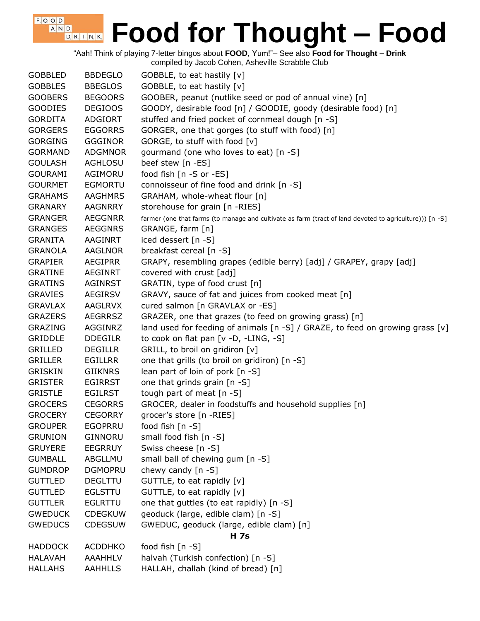"Aah! Think of playing 7-letter bingos about **FOOD**, Yum!"– See also **Food for Thought – Drink** compiled by Jacob Cohen, Asheville Scrabble Club

| <b>GOBBLED</b> | <b>BBDEGLO</b> | GOBBLE, to eat hastily [v]                                                                              |
|----------------|----------------|---------------------------------------------------------------------------------------------------------|
| <b>GOBBLES</b> | <b>BBEGLOS</b> | GOBBLE, to eat hastily [v]                                                                              |
| <b>GOOBERS</b> | <b>BEGOORS</b> | GOOBER, peanut (nutlike seed or pod of annual vine) [n]                                                 |
| <b>GOODIES</b> | <b>DEGIOOS</b> | GOODY, desirable food [n] / GOODIE, goody (desirable food) [n]                                          |
| <b>GORDITA</b> | <b>ADGIORT</b> | stuffed and fried pocket of cornmeal dough [n -S]                                                       |
| <b>GORGERS</b> | <b>EGGORRS</b> | GORGER, one that gorges (to stuff with food) [n]                                                        |
| <b>GORGING</b> | <b>GGGINOR</b> | GORGE, to stuff with food [v]                                                                           |
| <b>GORMAND</b> | <b>ADGMNOR</b> | gourmand (one who loves to eat) [n -S]                                                                  |
| <b>GOULASH</b> | AGHLOSU        | beef stew [n -ES]                                                                                       |
| <b>GOURAMI</b> | AGIMORU        | food fish [n -S or -ES]                                                                                 |
| <b>GOURMET</b> | <b>EGMORTU</b> | connoisseur of fine food and drink [n -S]                                                               |
| <b>GRAHAMS</b> | <b>AAGHMRS</b> | GRAHAM, whole-wheat flour [n]                                                                           |
| <b>GRANARY</b> | <b>AAGNRRY</b> | storehouse for grain [n -RIES]                                                                          |
| <b>GRANGER</b> | <b>AEGGNRR</b> | farmer (one that farms (to manage and cultivate as farm (tract of land devoted to agriculture))) [n -S] |
| <b>GRANGES</b> | <b>AEGGNRS</b> | GRANGE, farm [n]                                                                                        |
| <b>GRANITA</b> | <b>AAGINRT</b> | iced dessert [n -S]                                                                                     |
| <b>GRANOLA</b> | <b>AAGLNOR</b> | breakfast cereal [n -S]                                                                                 |
| <b>GRAPIER</b> | <b>AEGIPRR</b> | GRAPY, resembling grapes (edible berry) [adj] / GRAPEY, grapy [adj]                                     |
| <b>GRATINE</b> | <b>AEGINRT</b> | covered with crust [adj]                                                                                |
| <b>GRATINS</b> | <b>AGINRST</b> | GRATIN, type of food crust [n]                                                                          |
| <b>GRAVIES</b> | <b>AEGIRSV</b> | GRAVY, sauce of fat and juices from cooked meat [n]                                                     |
| <b>GRAVLAX</b> | <b>AAGLRVX</b> | cured salmon [n GRAVLAX or -ES]                                                                         |
| <b>GRAZERS</b> | <b>AEGRRSZ</b> | GRAZER, one that grazes (to feed on growing grass) [n]                                                  |
| <b>GRAZING</b> | AGGINRZ        | land used for feeding of animals $[n -S]$ / GRAZE, to feed on growing grass $[v]$                       |
| <b>GRIDDLE</b> | <b>DDEGILR</b> | to cook on flat pan [v -D, -LING, -S]                                                                   |
| GRILLED        | <b>DEGILLR</b> | GRILL, to broil on gridiron [v]                                                                         |
| <b>GRILLER</b> | <b>EGILLRR</b> | one that grills (to broil on gridiron) [n -S]                                                           |
| <b>GRISKIN</b> | <b>GIIKNRS</b> | lean part of loin of pork [n -S]                                                                        |
| <b>GRISTER</b> | <b>EGIRRST</b> | one that grinds grain [n -S]                                                                            |
| <b>GRISTLE</b> | <b>EGILRST</b> | tough part of meat [n -S]                                                                               |
| <b>GROCERS</b> | <b>CEGORRS</b> | GROCER, dealer in foodstuffs and household supplies [n]                                                 |
| <b>GROCERY</b> | <b>CEGORRY</b> | grocer's store [n -RIES]                                                                                |
| <b>GROUPER</b> | <b>EGOPRRU</b> | food fish [n -S]                                                                                        |
| <b>GRUNION</b> | GINNORU        | small food fish [n -S]                                                                                  |
| <b>GRUYERE</b> | <b>EEGRRUY</b> | Swiss cheese [n -S]                                                                                     |
| <b>GUMBALL</b> | ABGLLMU        | small ball of chewing gum [n -S]                                                                        |
| <b>GUMDROP</b> | <b>DGMOPRU</b> | chewy candy $[n -S]$                                                                                    |
| <b>GUTTLED</b> | <b>DEGLTTU</b> | GUTTLE, to eat rapidly [v]                                                                              |
| <b>GUTTLED</b> | <b>EGLSTTU</b> | GUTTLE, to eat rapidly [v]                                                                              |
| <b>GUTTLER</b> | <b>EGLRTTU</b> | one that guttles (to eat rapidly) [n -S]                                                                |
| <b>GWEDUCK</b> | <b>CDEGKUW</b> | geoduck (large, edible clam) [n -S]                                                                     |
| <b>GWEDUCS</b> | <b>CDEGSUW</b> | GWEDUC, geoduck (large, edible clam) [n]                                                                |
|                |                | <b>H</b> 7s                                                                                             |
| <b>HADDOCK</b> | <b>ACDDHKO</b> | food fish [n -S]                                                                                        |
| <b>HALAVAH</b> | AAAHHLV        | halvah (Turkish confection) [n -S]                                                                      |
| <b>HALLAHS</b> | <b>AAHHLLS</b> | HALLAH, challah (kind of bread) [n]                                                                     |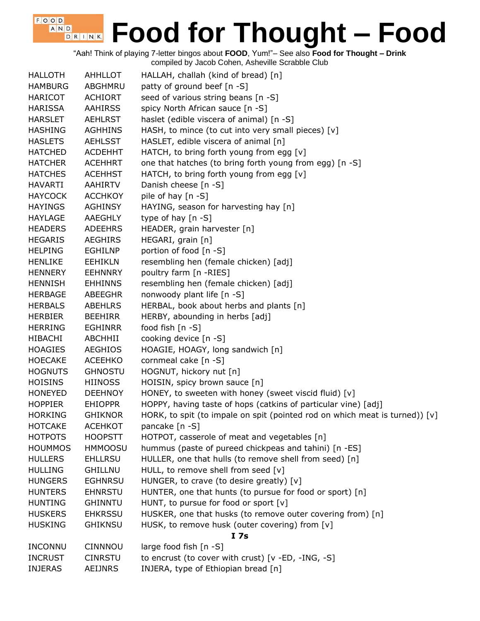"Aah! Think of playing 7-letter bingos about **FOOD**, Yum!"– See also **Food for Thought – Drink** compiled by Jacob Cohen, Asheville Scrabble Club

 $F$ , O, O, D, A N D

| <b>HALLOTH</b> | AHHLLOT        | HALLAH, challah (kind of bread) [n]                                           |
|----------------|----------------|-------------------------------------------------------------------------------|
| <b>HAMBURG</b> | ABGHMRU        | patty of ground beef [n -S]                                                   |
| <b>HARICOT</b> | <b>ACHIORT</b> | seed of various string beans [n -S]                                           |
| <b>HARISSA</b> | <b>AAHIRSS</b> | spicy North African sauce [n -S]                                              |
| <b>HARSLET</b> | <b>AEHLRST</b> | haslet (edible viscera of animal) [n -S]                                      |
| <b>HASHING</b> | <b>AGHHINS</b> | HASH, to mince (to cut into very small pieces) [v]                            |
| <b>HASLETS</b> | <b>AEHLSST</b> | HASLET, edible viscera of animal [n]                                          |
| <b>HATCHED</b> | <b>ACDEHHT</b> | HATCH, to bring forth young from egg [v]                                      |
| <b>HATCHER</b> | <b>ACEHHRT</b> | one that hatches (to bring forth young from egg) [n -S]                       |
| <b>HATCHES</b> | <b>ACEHHST</b> | HATCH, to bring forth young from egg [v]                                      |
| <b>HAVARTI</b> | <b>AAHIRTV</b> | Danish cheese [n -S]                                                          |
| <b>HAYCOCK</b> | <b>ACCHKOY</b> | pile of hay [n -S]                                                            |
| <b>HAYINGS</b> | <b>AGHINSY</b> | HAYING, season for harvesting hay [n]                                         |
| <b>HAYLAGE</b> | AAEGHLY        | type of hay $[n - S]$                                                         |
| <b>HEADERS</b> | <b>ADEEHRS</b> | HEADER, grain harvester [n]                                                   |
| <b>HEGARIS</b> | <b>AEGHIRS</b> | HEGARI, grain [n]                                                             |
| <b>HELPING</b> | <b>EGHILNP</b> | portion of food [n -S]                                                        |
| <b>HENLIKE</b> | <b>EEHIKLN</b> | resembling hen (female chicken) [adj]                                         |
| <b>HENNERY</b> | <b>EEHNNRY</b> | poultry farm [n -RIES]                                                        |
| <b>HENNISH</b> | <b>EHHINNS</b> | resembling hen (female chicken) [adj]                                         |
| <b>HERBAGE</b> | <b>ABEEGHR</b> | nonwoody plant life [n -S]                                                    |
| <b>HERBALS</b> | <b>ABEHLRS</b> | HERBAL, book about herbs and plants [n]                                       |
| <b>HERBIER</b> | <b>BEEHIRR</b> | HERBY, abounding in herbs [adj]                                               |
| <b>HERRING</b> | <b>EGHINRR</b> | food fish [n -S]                                                              |
| HIBACHI        | ABCHHII        | cooking device [n -S]                                                         |
| <b>HOAGIES</b> | <b>AEGHIOS</b> | HOAGIE, HOAGY, long sandwich [n]                                              |
| <b>HOECAKE</b> | <b>ACEEHKO</b> | cornmeal cake [n -S]                                                          |
| <b>HOGNUTS</b> | <b>GHNOSTU</b> | HOGNUT, hickory nut [n]                                                       |
| <b>HOISINS</b> | <b>HIINOSS</b> | HOISIN, spicy brown sauce [n]                                                 |
| <b>HONEYED</b> | <b>DEEHNOY</b> | HONEY, to sweeten with honey (sweet viscid fluid) [v]                         |
| <b>HOPPIER</b> | <b>EHIOPPR</b> | HOPPY, having taste of hops (catkins of particular vine) [adj]                |
| <b>HORKING</b> | <b>GHIKNOR</b> | HORK, to spit (to impale on spit (pointed rod on which meat is turned)) $[v]$ |
| <b>HOTCAKE</b> | <b>ACEHKOT</b> | pancake [n -S]                                                                |
| <b>HOTPOTS</b> | <b>HOOPSTT</b> | HOTPOT, casserole of meat and vegetables [n]                                  |
| <b>HOUMMOS</b> | <b>HMMOOSU</b> | hummus (paste of pureed chickpeas and tahini) [n -ES]                         |
| <b>HULLERS</b> | <b>EHLLRSU</b> | HULLER, one that hulls (to remove shell from seed) [n]                        |
| <b>HULLING</b> | <b>GHILLNU</b> | HULL, to remove shell from seed [v]                                           |
| <b>HUNGERS</b> |                |                                                                               |
|                | <b>EGHNRSU</b> | HUNGER, to crave (to desire greatly) [v]                                      |
| <b>HUNTERS</b> | <b>EHNRSTU</b> | HUNTER, one that hunts (to pursue for food or sport) [n]                      |
| <b>HUNTING</b> | <b>GHINNTU</b> | HUNT, to pursue for food or sport [v]                                         |
| <b>HUSKERS</b> | <b>EHKRSSU</b> | HUSKER, one that husks (to remove outer covering from) [n]                    |
| <b>HUSKING</b> | <b>GHIKNSU</b> | HUSK, to remove husk (outer covering) from [v]                                |
|                |                | I 7s                                                                          |
| <b>INCONNU</b> | <b>CINNNOU</b> | large food fish [n -S]                                                        |
| <b>INCRUST</b> | <b>CINRSTU</b> | to encrust (to cover with crust) [v -ED, -ING, -S]                            |
| <b>INJERAS</b> | AEIJNRS        | INJERA, type of Ethiopian bread [n]                                           |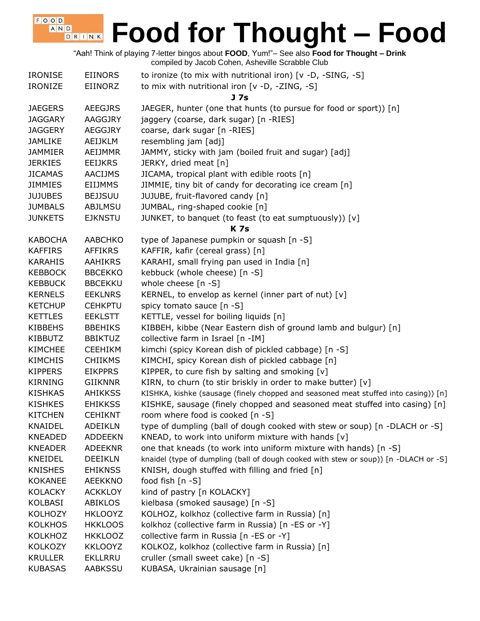"Aah! Think of playing 7-letter bingos about **FOOD**, Yum!"– See also **Food for Thought – Drink** compiled by Jacob Cohen, Asheville Scrabble Club

| <b>IRONISE</b> | <b>EIINORS</b> | to ironize (to mix with nutritional iron) [v -D, -SING, -S]                          |
|----------------|----------------|--------------------------------------------------------------------------------------|
| <b>IRONIZE</b> | EIINORZ        | to mix with nutritional iron [v -D, -ZING, -S]                                       |
|                |                | J <sub>7s</sub>                                                                      |
| <b>JAEGERS</b> | <b>AEEGJRS</b> | JAEGER, hunter (one that hunts (to pursue for food or sport)) [n]                    |
| <b>JAGGARY</b> | AAGGJRY        | jaggery (coarse, dark sugar) [n -RIES]                                               |
| <b>JAGGERY</b> | <b>AEGGJRY</b> | coarse, dark sugar [n -RIES]                                                         |
| <b>JAMLIKE</b> | AEIJKLM        | resembling jam [adj]                                                                 |
| <b>JAMMIER</b> | AEIJMMR        | JAMMY, sticky with jam (boiled fruit and sugar) [adj]                                |
| <b>JERKIES</b> | <b>EEIJKRS</b> | JERKY, dried meat [n]                                                                |
| <b>JICAMAS</b> | <b>AACIJMS</b> | JICAMA, tropical plant with edible roots [n]                                         |
| <b>JIMMIES</b> | <b>EIIJMMS</b> | JIMMIE, tiny bit of candy for decorating ice cream [n]                               |
| <b>JUJUBES</b> | <b>BEJJSUU</b> | JUJUBE, fruit-flavored candy [n]                                                     |
| <b>JUMBALS</b> | <b>ABJLMSU</b> | JUMBAL, ring-shaped cookie [n]                                                       |
| <b>JUNKETS</b> | <b>EJKNSTU</b> | JUNKET, to banquet (to feast (to eat sumptuously)) [v]                               |
|                |                | <b>K7s</b>                                                                           |
| <b>KABOCHA</b> | <b>AABCHKO</b> | type of Japanese pumpkin or squash [n -S]                                            |
| <b>KAFFIRS</b> | <b>AFFIKRS</b> | KAFFIR, kafir (cereal grass) [n]                                                     |
| <b>KARAHIS</b> | AAHIKRS        | KARAHI, small frying pan used in India [n]                                           |
| <b>KEBBOCK</b> | <b>BBCEKKO</b> | kebbuck (whole cheese) [n -S]                                                        |
| <b>KEBBUCK</b> | <b>BBCEKKU</b> | whole cheese [n -S]                                                                  |
| <b>KERNELS</b> | <b>EEKLNRS</b> | KERNEL, to envelop as kernel (inner part of nut) $[v]$                               |
| <b>KETCHUP</b> | <b>CEHKPTU</b> | spicy tomato sauce [n -S]                                                            |
| <b>KETTLES</b> | <b>EEKLSTT</b> | KETTLE, vessel for boiling liquids [n]                                               |
| <b>KIBBEHS</b> | <b>BBEHIKS</b> | KIBBEH, kibbe (Near Eastern dish of ground lamb and bulgur) [n]                      |
| <b>KIBBUTZ</b> | <b>BBIKTUZ</b> | collective farm in Israel [n -IM]                                                    |
| <b>KIMCHEE</b> | <b>CEEHIKM</b> | kimchi (spicy Korean dish of pickled cabbage) [n -S]                                 |
| <b>KIMCHIS</b> | <b>CHIIKMS</b> | KIMCHI, spicy Korean dish of pickled cabbage [n]                                     |
| <b>KIPPERS</b> | <b>EIKPPRS</b> | KIPPER, to cure fish by salting and smoking $[v]$                                    |
| <b>KIRNING</b> | <b>GIIKNNR</b> | KIRN, to churn (to stir briskly in order to make butter) [v]                         |
| <b>KISHKAS</b> | AHIKKSS        | KISHKA, kishke (sausage (finely chopped and seasoned meat stuffed into casing)) [n]  |
| <b>KISHKES</b> | <b>EHIKKSS</b> | KISHKE, sausage (finely chopped and seasoned meat stuffed into casing) [n]           |
| <b>KITCHEN</b> | <b>CEHIKNT</b> | room where food is cooked [n -S]                                                     |
| KNAIDEL        | <b>ADEIKLN</b> | type of dumpling (ball of dough cooked with stew or soup) [n -DLACH or -S]           |
| <b>KNEADED</b> | <b>ADDEEKN</b> | KNEAD, to work into uniform mixture with hands [v]                                   |
| <b>KNEADER</b> | <b>ADEEKNR</b> | one that kneads (to work into uniform mixture with hands) [n -S]                     |
| KNEIDEL        | <b>DEEIKLN</b> | knaidel (type of dumpling (ball of dough cooked with stew or soup)) [n -DLACH or -S] |
| <b>KNISHES</b> | <b>EHIKNSS</b> | KNISH, dough stuffed with filling and fried [n]                                      |
| <b>KOKANEE</b> | <b>AEEKKNO</b> | food fish [n -S]                                                                     |
| <b>KOLACKY</b> | <b>ACKKLOY</b> | kind of pastry [n KOLACKY]                                                           |
| KOLBASI        | <b>ABIKLOS</b> | kielbasa (smoked sausage) [n -S]                                                     |
| KOLHOZY        | <b>HKLOOYZ</b> | KOLHOZ, kolkhoz (collective farm in Russia) [n]                                      |
| <b>KOLKHOS</b> | <b>HKKLOOS</b> | kolkhoz (collective farm in Russia) [n -ES or -Y]                                    |
| <b>KOLKHOZ</b> | <b>HKKLOOZ</b> | collective farm in Russia [n -ES or -Y]                                              |
| <b>KOLKOZY</b> | <b>KKLOOYZ</b> | KOLKOZ, kolkhoz (collective farm in Russia) [n]                                      |
| <b>KRULLER</b> | <b>EKLLRRU</b> | cruller (small sweet cake) [n -S]                                                    |
| <b>KUBASAS</b> | AABKSSU        | KUBASA, Ukrainian sausage [n]                                                        |
|                |                |                                                                                      |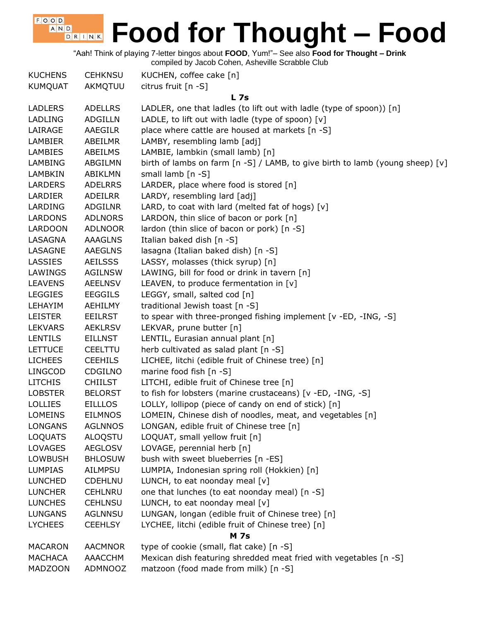"Aah! Think of playing 7-letter bingos about **FOOD**, Yum!"– See also **Food for Thought – Drink**

compiled by Jacob Cohen, Asheville Scrabble Club

 $F$ , O, O, D, A N D

| <b>KUCHENS</b> | <b>CEHKNSU</b> | KUCHEN, coffee cake [n]                                                                                    |
|----------------|----------------|------------------------------------------------------------------------------------------------------------|
| <b>KUMQUAT</b> | AKMQTUU        | citrus fruit [n -S]                                                                                        |
|                |                | L <sub>7s</sub>                                                                                            |
| <b>LADLERS</b> | <b>ADELLRS</b> | LADLER, one that ladles (to lift out with ladle (type of spoon)) [n]                                       |
| <b>LADLING</b> | <b>ADGILLN</b> | LADLE, to lift out with ladle (type of spoon) [v]                                                          |
| LAIRAGE        | <b>AAEGILR</b> | place where cattle are housed at markets [n -S]                                                            |
| <b>LAMBIER</b> | ABEILMR        | LAMBY, resembling lamb [adj]                                                                               |
| <b>LAMBIES</b> | ABEILMS        | LAMBIE, lambkin (small lamb) [n]                                                                           |
| LAMBING        | ABGILMN        | birth of lambs on farm $\lceil n - S \rceil$ / LAMB, to give birth to lamb (young sheep) $\lceil v \rceil$ |
| LAMBKIN        | ABIKLMN        | small lamb $[n -S]$                                                                                        |
| <b>LARDERS</b> | <b>ADELRRS</b> | LARDER, place where food is stored [n]                                                                     |
| LARDIER        | ADEILRR        | LARDY, resembling lard [adj]                                                                               |
| LARDING        | <b>ADGILNR</b> | LARD, to coat with lard (melted fat of hogs) $[v]$                                                         |
| LARDONS        | <b>ADLNORS</b> | LARDON, thin slice of bacon or pork [n]                                                                    |
| <b>LARDOON</b> | <b>ADLNOOR</b> | lardon (thin slice of bacon or pork) [n -S]                                                                |
| LASAGNA        | <b>AAAGLNS</b> | Italian baked dish [n -S]                                                                                  |
| LASAGNE        | <b>AAEGLNS</b> | lasagna (Italian baked dish) [n -S]                                                                        |
| LASSIES        | <b>AEILSSS</b> | LASSY, molasses (thick syrup) [n]                                                                          |
| LAWINGS        | <b>AGILNSW</b> | LAWING, bill for food or drink in tavern [n]                                                               |
| <b>LEAVENS</b> | <b>AEELNSV</b> | LEAVEN, to produce fermentation in $[v]$                                                                   |
| <b>LEGGIES</b> | <b>EEGGILS</b> | LEGGY, small, salted cod [n]                                                                               |
| LEHAYIM        | AEHILMY        | traditional Jewish toast [n -S]                                                                            |
| <b>LEISTER</b> | <b>EEILRST</b> | to spear with three-pronged fishing implement [v -ED, -ING, -S]                                            |
| <b>LEKVARS</b> | <b>AEKLRSV</b> | LEKVAR, prune butter [n]                                                                                   |
| <b>LENTILS</b> | <b>EILLNST</b> | LENTIL, Eurasian annual plant [n]                                                                          |
| <b>LETTUCE</b> | <b>CEELTTU</b> | herb cultivated as salad plant [n -S]                                                                      |
| <b>LICHEES</b> | <b>CEEHILS</b> | LICHEE, litchi (edible fruit of Chinese tree) [n]                                                          |
| <b>LINGCOD</b> | CDGILNO        | marine food fish [n -S]                                                                                    |
| <b>LITCHIS</b> | <b>CHIILST</b> | LITCHI, edible fruit of Chinese tree [n]                                                                   |
| <b>LOBSTER</b> | <b>BELORST</b> | to fish for lobsters (marine crustaceans) [v -ED, -ING, -S]                                                |
| <b>LOLLIES</b> | <b>EILLLOS</b> | LOLLY, lollipop (piece of candy on end of stick) [n]                                                       |
| <b>LOMEINS</b> | <b>EILMNOS</b> | LOMEIN, Chinese dish of noodles, meat, and vegetables [n]                                                  |
| <b>LONGANS</b> | <b>AGLNNOS</b> | LONGAN, edible fruit of Chinese tree [n]                                                                   |
| <b>LOQUATS</b> | ALOQSTU        | LOQUAT, small yellow fruit [n]                                                                             |
| <b>LOVAGES</b> | <b>AEGLOSV</b> | LOVAGE, perennial herb [n]                                                                                 |
| <b>LOWBUSH</b> | <b>BHLOSUW</b> | bush with sweet blueberries [n -ES]                                                                        |
| <b>LUMPIAS</b> | AILMPSU        | LUMPIA, Indonesian spring roll (Hokkien) [n]                                                               |
| <b>LUNCHED</b> | <b>CDEHLNU</b> | LUNCH, to eat noonday meal [v]                                                                             |
| <b>LUNCHER</b> | <b>CEHLNRU</b> | one that lunches (to eat noonday meal) [n -S]                                                              |
| <b>LUNCHES</b> | <b>CEHLNSU</b> | LUNCH, to eat noonday meal [v]                                                                             |
| <b>LUNGANS</b> | <b>AGLNNSU</b> | LUNGAN, longan (edible fruit of Chinese tree) [n]                                                          |
| <b>LYCHEES</b> | <b>CEEHLSY</b> | LYCHEE, litchi (edible fruit of Chinese tree) [n]                                                          |
|                |                | <b>M</b> 7s                                                                                                |
| <b>MACARON</b> | <b>AACMNOR</b> | type of cookie (small, flat cake) [n -S]                                                                   |
| <b>MACHACA</b> | AAACCHM        | Mexican dish featuring shredded meat fried with vegetables [n -S]                                          |
| <b>MADZOON</b> | ADMNOOZ        | matzoon (food made from milk) [n -S]                                                                       |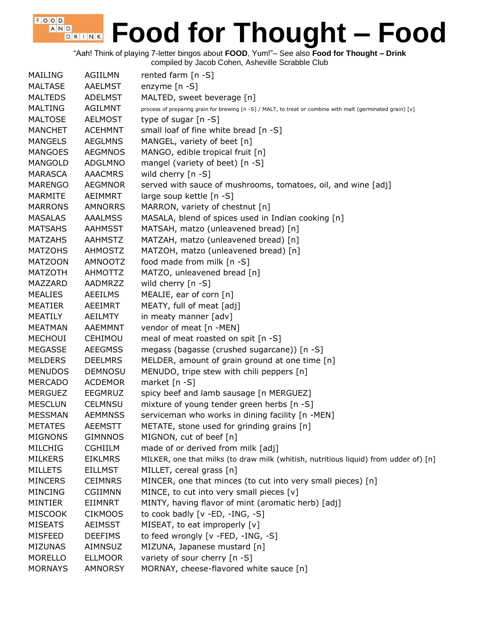"Aah! Think of playing 7-letter bingos about **FOOD**, Yum!"– See also **Food for Thought – Drink**

| MAILING        | <b>AGIILMN</b> | rented farm $[n - S]$                                                                                      |
|----------------|----------------|------------------------------------------------------------------------------------------------------------|
| <b>MALTASE</b> | <b>AAELMST</b> | enzyme [n -S]                                                                                              |
| <b>MALTEDS</b> | <b>ADELMST</b> | MALTED, sweet beverage [n]                                                                                 |
| <b>MALTING</b> | <b>AGILMNT</b> | process of preparing grain for brewing [n -S] / MALT, to treat or combine with malt (germinated grain) [v] |
| <b>MALTOSE</b> | <b>AELMOST</b> | type of sugar $[n - S]$                                                                                    |
| <b>MANCHET</b> | <b>ACEHMNT</b> | small loaf of fine white bread [n -S]                                                                      |
| <b>MANGELS</b> | <b>AEGLMNS</b> | MANGEL, variety of beet [n]                                                                                |
| <b>MANGOES</b> | <b>AEGMNOS</b> | MANGO, edible tropical fruit [n]                                                                           |
| <b>MANGOLD</b> | ADGLMNO        | mangel (variety of beet) [n -S]                                                                            |
| <b>MARASCA</b> | <b>AAACMRS</b> | wild cherry [n -S]                                                                                         |
| <b>MARENGO</b> | <b>AEGMNOR</b> | served with sauce of mushrooms, tomatoes, oil, and wine [adj]                                              |
| <b>MARMITE</b> | AEIMMRT        | large soup kettle [n -S]                                                                                   |
| <b>MARRONS</b> | <b>AMNORRS</b> | MARRON, variety of chestnut [n]                                                                            |
| <b>MASALAS</b> | <b>AAALMSS</b> | MASALA, blend of spices used in Indian cooking [n]                                                         |
| <b>MATSAHS</b> | <b>AAHMSST</b> | MATSAH, matzo (unleavened bread) [n]                                                                       |
| <b>MATZAHS</b> | <b>AAHMSTZ</b> | MATZAH, matzo (unleavened bread) [n]                                                                       |
| <b>MATZOHS</b> | <b>AHMOSTZ</b> | MATZOH, matzo (unleavened bread) [n]                                                                       |
| <b>MATZOON</b> | AMNOOTZ        | food made from milk [n -S]                                                                                 |
| <b>MATZOTH</b> | AHMOTTZ        | MATZO, unleavened bread [n]                                                                                |
| MAZZARD        | AADMRZZ        | wild cherry [n -S]                                                                                         |
| <b>MEALIES</b> | <b>AEEILMS</b> | MEALIE, ear of corn [n]                                                                                    |
| <b>MEATIER</b> | AEEIMRT        | MEATY, full of meat [adj]                                                                                  |
| <b>MEATILY</b> | <b>AEILMTY</b> | in meaty manner [adv]                                                                                      |
| MEATMAN        | <b>AAEMMNT</b> | vendor of meat [n -MEN]                                                                                    |
| MECHOUI        | <b>CEHIMOU</b> | meal of meat roasted on spit [n -S]                                                                        |
| <b>MEGASSE</b> | <b>AEEGMSS</b> | megass (bagasse (crushed sugarcane)) [n -S]                                                                |
| <b>MELDERS</b> | <b>DEELMRS</b> | MELDER, amount of grain ground at one time [n]                                                             |
| <b>MENUDOS</b> | <b>DEMNOSU</b> | MENUDO, tripe stew with chili peppers [n]                                                                  |
| <b>MERCADO</b> | <b>ACDEMOR</b> | market [n -S]                                                                                              |
| <b>MERGUEZ</b> | <b>EEGMRUZ</b> | spicy beef and lamb sausage [n MERGUEZ]                                                                    |
| <b>MESCLUN</b> | <b>CELMNSU</b> | mixture of young tender green herbs [n -S]                                                                 |
| <b>MESSMAN</b> | <b>AEMMNSS</b> | serviceman who works in dining facility [n -MEN]                                                           |
| <b>METATES</b> | <b>AEEMSTT</b> | METATE, stone used for grinding grains [n]                                                                 |
| <b>MIGNONS</b> | <b>GIMNNOS</b> | MIGNON, cut of beef [n]                                                                                    |
| <b>MILCHIG</b> | <b>CGHIILM</b> | made of or derived from milk [adj]                                                                         |
| <b>MILKERS</b> | <b>EIKLMRS</b> | MILKER, one that milks (to draw milk (whitish, nutritious liquid) from udder of) [n]                       |
| <b>MILLETS</b> | <b>EILLMST</b> | MILLET, cereal grass [n]                                                                                   |
| <b>MINCERS</b> | <b>CEIMNRS</b> | MINCER, one that minces (to cut into very small pieces) [n]                                                |
| <b>MINCING</b> | <b>CGIIMNN</b> | MINCE, to cut into very small pieces [v]                                                                   |
| MINTIER        | EIIMNRT        | MINTY, having flavor of mint (aromatic herb) [adj]                                                         |
| <b>MISCOOK</b> | <b>CIKMOOS</b> | to cook badly $[v - ED, -ING, -S]$                                                                         |
| <b>MISEATS</b> | <b>AEIMSST</b> | MISEAT, to eat improperly [v]                                                                              |
| <b>MISFEED</b> | <b>DEEFIMS</b> | to feed wrongly [v -FED, -ING, -S]                                                                         |
| <b>MIZUNAS</b> | AIMNSUZ        | MIZUNA, Japanese mustard [n]                                                                               |
| <b>MORELLO</b> | <b>ELLMOOR</b> | variety of sour cherry [n -S]                                                                              |
| <b>MORNAYS</b> | <b>AMNORSY</b> | MORNAY, cheese-flavored white sauce [n]                                                                    |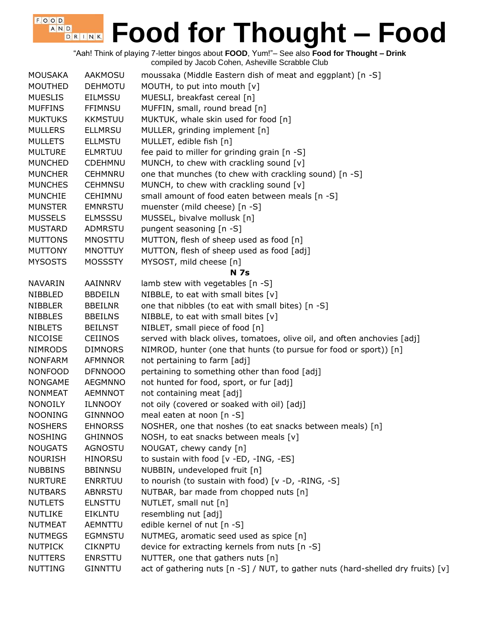"Aah! Think of playing 7-letter bingos about **FOOD**, Yum!"– See also **Food for Thought – Drink** compiled by Jacob Cohen, Asheville Scrabble Club

 $F$ , O, O, D, A N D

| MOUSAKA        | AAKMOSU        | moussaka (Middle Eastern dish of meat and eggplant) [n -S]                       |
|----------------|----------------|----------------------------------------------------------------------------------|
| <b>MOUTHED</b> | <b>DEHMOTU</b> | MOUTH, to put into mouth [v]                                                     |
| <b>MUESLIS</b> | <b>EILMSSU</b> | MUESLI, breakfast cereal [n]                                                     |
| <b>MUFFINS</b> | <b>FFIMNSU</b> | MUFFIN, small, round bread [n]                                                   |
| <b>MUKTUKS</b> | <b>KKMSTUU</b> | MUKTUK, whale skin used for food [n]                                             |
| <b>MULLERS</b> | <b>ELLMRSU</b> | MULLER, grinding implement [n]                                                   |
| <b>MULLETS</b> | <b>ELLMSTU</b> | MULLET, edible fish [n]                                                          |
| <b>MULTURE</b> | <b>ELMRTUU</b> | fee paid to miller for grinding grain [n -S]                                     |
| <b>MUNCHED</b> | <b>CDEHMNU</b> | MUNCH, to chew with crackling sound [v]                                          |
| <b>MUNCHER</b> | <b>CEHMNRU</b> | one that munches (to chew with crackling sound) [n -S]                           |
| <b>MUNCHES</b> | <b>CEHMNSU</b> | MUNCH, to chew with crackling sound [v]                                          |
| <b>MUNCHIE</b> | CEHIMNU        | small amount of food eaten between meals [n -S]                                  |
| <b>MUNSTER</b> | <b>EMNRSTU</b> | muenster (mild cheese) [n -S]                                                    |
| <b>MUSSELS</b> | <b>ELMSSSU</b> | MUSSEL, bivalve mollusk [n]                                                      |
| <b>MUSTARD</b> | <b>ADMRSTU</b> | pungent seasoning [n -S]                                                         |
| <b>MUTTONS</b> | <b>MNOSTTU</b> | MUTTON, flesh of sheep used as food [n]                                          |
| <b>MUTTONY</b> | <b>MNOTTUY</b> | MUTTON, flesh of sheep used as food [adj]                                        |
| <b>MYSOSTS</b> | <b>MOSSSTY</b> | MYSOST, mild cheese [n]                                                          |
|                |                | <b>N</b> 7s                                                                      |
| NAVARIN        | AAINNRV        | lamb stew with vegetables [n -S]                                                 |
| NIBBLED        | <b>BBDEILN</b> | NIBBLE, to eat with small bites $[v]$                                            |
| <b>NIBBLER</b> | <b>BBEILNR</b> | one that nibbles (to eat with small bites) [n -S]                                |
| <b>NIBBLES</b> | <b>BBEILNS</b> | NIBBLE, to eat with small bites [v]                                              |
| <b>NIBLETS</b> | <b>BEILNST</b> | NIBLET, small piece of food [n]                                                  |
| NICOISE        | <b>CEIINOS</b> | served with black olives, tomatoes, olive oil, and often anchovies [adj]         |
| <b>NIMRODS</b> | <b>DIMNORS</b> | NIMROD, hunter (one that hunts (to pursue for food or sport)) [n]                |
| <b>NONFARM</b> | <b>AFMNNOR</b> | not pertaining to farm [adj]                                                     |
| <b>NONFOOD</b> | <b>DFNNOOO</b> | pertaining to something other than food [adj]                                    |
| <b>NONGAME</b> | <b>AEGMNNO</b> | not hunted for food, sport, or fur [adj]                                         |
| <b>NONMEAT</b> | <b>AEMNNOT</b> | not containing meat [adj]                                                        |
| <b>NONOILY</b> | <b>ILNNOOY</b> | not oily (covered or soaked with oil) [adj]                                      |
| <b>NOONING</b> | <b>GINNNOO</b> | meal eaten at noon [n -S]                                                        |
| <b>NOSHERS</b> | <b>EHNORSS</b> | NOSHER, one that noshes (to eat snacks between meals) [n]                        |
| <b>NOSHING</b> | <b>GHINNOS</b> | NOSH, to eat snacks between meals [v]                                            |
| <b>NOUGATS</b> | <b>AGNOSTU</b> | NOUGAT, chewy candy [n]                                                          |
| <b>NOURISH</b> | <b>HINORSU</b> | to sustain with food [v -ED, -ING, -ES]                                          |
| <b>NUBBINS</b> | <b>BBINNSU</b> | NUBBIN, undeveloped fruit [n]                                                    |
| <b>NURTURE</b> | <b>ENRRTUU</b> | to nourish (to sustain with food) [v -D, -RING, -S]                              |
| <b>NUTBARS</b> | <b>ABNRSTU</b> | NUTBAR, bar made from chopped nuts [n]                                           |
| <b>NUTLETS</b> | <b>ELNSTTU</b> | NUTLET, small nut [n]                                                            |
| <b>NUTLIKE</b> | EIKLNTU        | resembling nut [adj]                                                             |
| <b>NUTMEAT</b> | <b>AEMNTTU</b> | edible kernel of nut [n -S]                                                      |
| <b>NUTMEGS</b> | <b>EGMNSTU</b> | NUTMEG, aromatic seed used as spice [n]                                          |
| <b>NUTPICK</b> | <b>CIKNPTU</b> | device for extracting kernels from nuts [n -S]                                   |
| <b>NUTTERS</b> | <b>ENRSTTU</b> | NUTTER, one that gathers nuts [n]                                                |
| <b>NUTTING</b> | <b>GINNTTU</b> | act of gathering nuts [n -S] / NUT, to gather nuts (hard-shelled dry fruits) [v] |
|                |                |                                                                                  |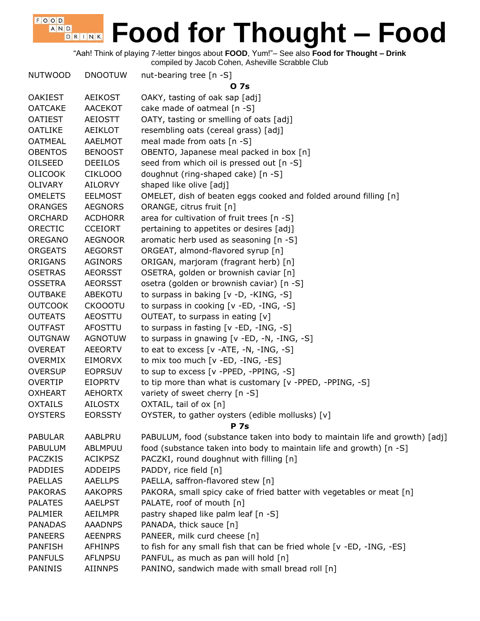"Aah! Think of playing 7-letter bingos about **FOOD**, Yum!"– See also **Food for Thought – Drink**

compiled by Jacob Cohen, Asheville Scrabble Club

 $F$ , O, O, D, A N D

| <b>NUTWOOD</b> | <b>DNOOTUW</b> | nut-bearing tree [n -S]                                                     |
|----------------|----------------|-----------------------------------------------------------------------------|
|                |                | 0 7s                                                                        |
| <b>OAKIEST</b> | <b>AEIKOST</b> | OAKY, tasting of oak sap [adj]                                              |
| <b>OATCAKE</b> | <b>AACEKOT</b> | cake made of oatmeal [n -S]                                                 |
| <b>OATIEST</b> | <b>AEIOSTT</b> | OATY, tasting or smelling of oats [adj]                                     |
| <b>OATLIKE</b> | AEIKLOT        | resembling oats (cereal grass) [adj]                                        |
| <b>OATMEAL</b> | <b>AAELMOT</b> | meal made from oats [n -S]                                                  |
| <b>OBENTOS</b> | <b>BENOOST</b> | OBENTO, Japanese meal packed in box [n]                                     |
| OILSEED        | <b>DEEILOS</b> | seed from which oil is pressed out [n -S]                                   |
| <b>OLICOOK</b> | CIKLOOO        | doughnut (ring-shaped cake) [n -S]                                          |
| <b>OLIVARY</b> | <b>AILORVY</b> | shaped like olive [adj]                                                     |
| <b>OMELETS</b> | <b>EELMOST</b> | OMELET, dish of beaten eggs cooked and folded around filling [n]            |
| <b>ORANGES</b> | <b>AEGNORS</b> | ORANGE, citrus fruit [n]                                                    |
| <b>ORCHARD</b> | <b>ACDHORR</b> | area for cultivation of fruit trees [n -S]                                  |
| ORECTIC        | <b>CCEIORT</b> | pertaining to appetites or desires [adj]                                    |
| OREGANO        | <b>AEGNOOR</b> | aromatic herb used as seasoning [n -S]                                      |
| <b>ORGEATS</b> | <b>AEGORST</b> | ORGEAT, almond-flavored syrup [n]                                           |
| <b>ORIGANS</b> | <b>AGINORS</b> | ORIGAN, marjoram (fragrant herb) [n]                                        |
| <b>OSETRAS</b> | <b>AEORSST</b> | OSETRA, golden or brownish caviar [n]                                       |
| <b>OSSETRA</b> | <b>AEORSST</b> | osetra (golden or brownish caviar) [n -S]                                   |
| <b>OUTBAKE</b> | <b>ABEKOTU</b> | to surpass in baking [v -D, -KING, -S]                                      |
| <b>OUTCOOK</b> | <b>CKOOOTU</b> | to surpass in cooking [v -ED, -ING, -S]                                     |
| <b>OUTEATS</b> | <b>AEOSTTU</b> | OUTEAT, to surpass in eating $[v]$                                          |
| <b>OUTFAST</b> | <b>AFOSTTU</b> | to surpass in fasting [v -ED, -ING, -S]                                     |
| <b>OUTGNAW</b> | <b>AGNOTUW</b> | to surpass in gnawing [v -ED, -N, -ING, -S]                                 |
| <b>OVEREAT</b> | <b>AEEORTV</b> | to eat to excess $[v -ATE, -N, -ING, -S]$                                   |
| <b>OVERMIX</b> | <b>EIMORVX</b> | to mix too much [v -ED, -ING, -ES]                                          |
| <b>OVERSUP</b> | <b>EOPRSUV</b> | to sup to excess [v -PPED, -PPING, -S]                                      |
| <b>OVERTIP</b> | <b>EIOPRTV</b> | to tip more than what is customary [v -PPED, -PPING, -S]                    |
| <b>OXHEART</b> | <b>AEHORTX</b> | variety of sweet cherry [n -S]                                              |
| <b>OXTAILS</b> | <b>AILOSTX</b> | OXTAIL, tail of ox [n]                                                      |
| <b>OYSTERS</b> | <b>EORSSTY</b> | OYSTER, to gather oysters (edible mollusks) [v]                             |
|                |                | <b>P</b> 7s                                                                 |
| <b>PABULAR</b> | AABLPRU        | PABULUM, food (substance taken into body to maintain life and growth) [adj] |
| <b>PABULUM</b> | ABLMPUU        | food (substance taken into body to maintain life and growth) [n -S]         |
| <b>PACZKIS</b> | <b>ACIKPSZ</b> | PACZKI, round doughnut with filling [n]                                     |
| <b>PADDIES</b> | <b>ADDEIPS</b> | PADDY, rice field [n]                                                       |
| <b>PAELLAS</b> | <b>AAELLPS</b> | PAELLA, saffron-flavored stew [n]                                           |
| <b>PAKORAS</b> | <b>AAKOPRS</b> | PAKORA, small spicy cake of fried batter with vegetables or meat [n]        |
| <b>PALATES</b> | <b>AAELPST</b> | PALATE, roof of mouth [n]                                                   |
| <b>PALMIER</b> | <b>AEILMPR</b> | pastry shaped like palm leaf [n -S]                                         |
| <b>PANADAS</b> | <b>AAADNPS</b> | PANADA, thick sauce [n]                                                     |
| <b>PANEERS</b> | <b>AEENPRS</b> | PANEER, milk curd cheese [n]                                                |
| <b>PANFISH</b> | <b>AFHINPS</b> | to fish for any small fish that can be fried whole [v -ED, -ING, -ES]       |
| <b>PANFULS</b> | <b>AFLNPSU</b> | PANFUL, as much as pan will hold [n]                                        |
| PANINIS        | <b>AIINNPS</b> | PANINO, sandwich made with small bread roll [n]                             |
|                |                |                                                                             |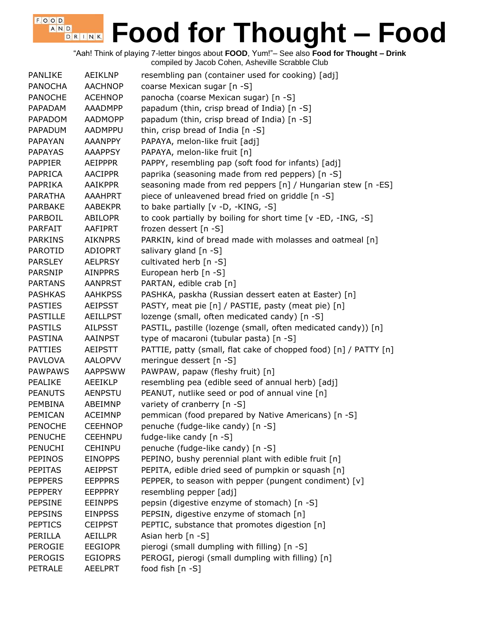"Aah! Think of playing 7-letter bingos about **FOOD**, Yum!"– See also **Food for Thought – Drink** compiled by Jacob Cohen, Asheville Scrabble Club

| <b>PANLIKE</b>  | AEIKLNP         | resembling pan (container used for cooking) [adj]                |
|-----------------|-----------------|------------------------------------------------------------------|
| <b>PANOCHA</b>  | <b>AACHNOP</b>  | coarse Mexican sugar [n -S]                                      |
| <b>PANOCHE</b>  | <b>ACEHNOP</b>  | panocha (coarse Mexican sugar) [n -S]                            |
| PAPADAM         | <b>AAADMPP</b>  | papadum (thin, crisp bread of India) [n -S]                      |
| PAPADOM         | <b>AADMOPP</b>  | papadum (thin, crisp bread of India) [n -S]                      |
| <b>PAPADUM</b>  | <b>AADMPPU</b>  | thin, crisp bread of India [n -S]                                |
| <b>PAPAYAN</b>  | <b>AAANPPY</b>  | PAPAYA, melon-like fruit [adj]                                   |
| <b>PAPAYAS</b>  | <b>AAAPPSY</b>  | PAPAYA, melon-like fruit [n]                                     |
| <b>PAPPIER</b>  | <b>AEIPPPR</b>  | PAPPY, resembling pap (soft food for infants) [adj]              |
| PAPRICA         | <b>AACIPPR</b>  | paprika (seasoning made from red peppers) [n -S]                 |
| PAPRIKA         | <b>AAIKPPR</b>  | seasoning made from red peppers [n] / Hungarian stew [n -ES]     |
| <b>PARATHA</b>  | <b>AAAHPRT</b>  | piece of unleavened bread fried on griddle [n -S]                |
| <b>PARBAKE</b>  | <b>AABEKPR</b>  | to bake partially [v -D, -KING, -S]                              |
| PARBOIL         | ABILOPR         | to cook partially by boiling for short time [v -ED, -ING, -S]    |
| <b>PARFAIT</b>  | AAFIPRT         | frozen dessert [n -S]                                            |
| <b>PARKINS</b>  | <b>AIKNPRS</b>  | PARKIN, kind of bread made with molasses and oatmeal [n]         |
| PAROTID         | <b>ADIOPRT</b>  | salivary gland $[n -S]$                                          |
| <b>PARSLEY</b>  | <b>AELPRSY</b>  | cultivated herb [n -S]                                           |
| <b>PARSNIP</b>  | <b>AINPPRS</b>  | European herb $[n -S]$                                           |
| <b>PARTANS</b>  | <b>AANPRST</b>  | PARTAN, edible crab [n]                                          |
| <b>PASHKAS</b>  | <b>AAHKPSS</b>  | PASHKA, paskha (Russian dessert eaten at Easter) [n]             |
| <b>PASTIES</b>  | <b>AEIPSST</b>  | PASTY, meat pie [n] / PASTIE, pasty (meat pie) [n]               |
| <b>PASTILLE</b> | <b>AEILLPST</b> | lozenge (small, often medicated candy) [n -S]                    |
| <b>PASTILS</b>  | <b>AILPSST</b>  | PASTIL, pastille (lozenge (small, often medicated candy)) [n]    |
| <b>PASTINA</b>  | <b>AAINPST</b>  | type of macaroni (tubular pasta) [n -S]                          |
| <b>PATTIES</b>  | <b>AEIPSTT</b>  | PATTIE, patty (small, flat cake of chopped food) [n] / PATTY [n] |
| <b>PAVLOVA</b>  | <b>AALOPVV</b>  | meringue dessert [n -S]                                          |
| <b>PAWPAWS</b>  | <b>AAPPSWW</b>  | PAWPAW, papaw (fleshy fruit) [n]                                 |
| <b>PEALIKE</b>  | AEEIKLP         | resembling pea (edible seed of annual herb) [adj]                |
| <b>PEANUTS</b>  | <b>AENPSTU</b>  | PEANUT, nutlike seed or pod of annual vine [n]                   |
| <b>PEMBINA</b>  | ABEIMNP         | variety of cranberry [n -S]                                      |
| PEMICAN         | <b>ACEIMNP</b>  | pemmican (food prepared by Native Americans) [n -S]              |
| <b>PENOCHE</b>  | <b>CEEHNOP</b>  | penuche (fudge-like candy) [n -S]                                |
| <b>PENUCHE</b>  | <b>CEEHNPU</b>  | fudge-like candy [n -S]                                          |
|                 |                 | penuche (fudge-like candy) [n -S]                                |
| <b>PENUCHI</b>  | <b>CEHINPU</b>  |                                                                  |
| <b>PEPINOS</b>  | <b>EINOPPS</b>  | PEPINO, bushy perennial plant with edible fruit [n]              |
| <b>PEPITAS</b>  | <b>AEIPPST</b>  | PEPITA, edible dried seed of pumpkin or squash [n]               |
| <b>PEPPERS</b>  | <b>EEPPPRS</b>  | PEPPER, to season with pepper (pungent condiment) [v]            |
| <b>PEPPERY</b>  | <b>EEPPPRY</b>  | resembling pepper [adj]                                          |
| <b>PEPSINE</b>  | <b>EEINPPS</b>  | pepsin (digestive enzyme of stomach) [n -S]                      |
| <b>PEPSINS</b>  | <b>EINPPSS</b>  | PEPSIN, digestive enzyme of stomach [n]                          |
| <b>PEPTICS</b>  | <b>CEIPPST</b>  | PEPTIC, substance that promotes digestion [n]                    |
| PERILLA         | AEILLPR         | Asian herb [n -S]                                                |
| <b>PEROGIE</b>  | <b>EEGIOPR</b>  | pierogi (small dumpling with filling) [n -S]                     |
| <b>PEROGIS</b>  | <b>EGIOPRS</b>  | PEROGI, pierogi (small dumpling with filling) [n]                |
| <b>PETRALE</b>  | <b>AEELPRT</b>  | food fish [n -S]                                                 |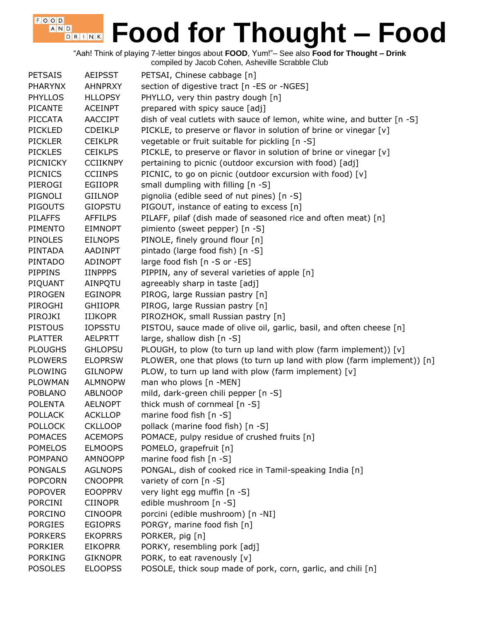"Aah! Think of playing 7-letter bingos about **FOOD**, Yum!"– See also **Food for Thought – Drink** compiled by Jacob Cohen, Asheville Scrabble Club

 $F$ , O, O, D, A N D

| <b>PETSAIS</b>  | <b>AEIPSST</b>  | PETSAI, Chinese cabbage [n]                                             |
|-----------------|-----------------|-------------------------------------------------------------------------|
| <b>PHARYNX</b>  | <b>AHNPRXY</b>  | section of digestive tract [n -ES or -NGES]                             |
| <b>PHYLLOS</b>  | <b>HLLOPSY</b>  | PHYLLO, very thin pastry dough [n]                                      |
| <b>PICANTE</b>  | <b>ACEINPT</b>  | prepared with spicy sauce [adj]                                         |
| <b>PICCATA</b>  | <b>AACCIPT</b>  | dish of veal cutlets with sauce of lemon, white wine, and butter [n -S] |
| <b>PICKLED</b>  | <b>CDEIKLP</b>  | PICKLE, to preserve or flavor in solution of brine or vinegar [v]       |
| <b>PICKLER</b>  | <b>CEIKLPR</b>  | vegetable or fruit suitable for pickling [n -S]                         |
| <b>PICKLES</b>  | <b>CEIKLPS</b>  | PICKLE, to preserve or flavor in solution of brine or vinegar [v]       |
| <b>PICNICKY</b> | <b>CCIIKNPY</b> | pertaining to picnic (outdoor excursion with food) [adj]                |
| <b>PICNICS</b>  | <b>CCIINPS</b>  | PICNIC, to go on picnic (outdoor excursion with food) [v]               |
| PIEROGI         | <b>EGIIOPR</b>  | small dumpling with filling [n -S]                                      |
| PIGNOLI         | <b>GIILNOP</b>  | pignolia (edible seed of nut pines) [n -S]                              |
| <b>PIGOUTS</b>  | <b>GIOPSTU</b>  | PIGOUT, instance of eating to excess [n]                                |
| <b>PILAFFS</b>  | <b>AFFILPS</b>  | PILAFF, pilaf (dish made of seasoned rice and often meat) [n]           |
| <b>PIMENTO</b>  | <b>EIMNOPT</b>  | pimiento (sweet pepper) [n -S]                                          |
| <b>PINOLES</b>  | <b>EILNOPS</b>  | PINOLE, finely ground flour [n]                                         |
| <b>PINTADA</b>  | <b>AADINPT</b>  | pintado (large food fish) [n -S]                                        |
| <b>PINTADO</b>  | <b>ADINOPT</b>  | large food fish [n -S or -ES]                                           |
| <b>PIPPINS</b>  | <b>IINPPPS</b>  | PIPPIN, any of several varieties of apple [n]                           |
|                 | AINPQTU         |                                                                         |
| PIQUANT         |                 | agreeably sharp in taste [adj]                                          |
| PIROGEN         | <b>EGINOPR</b>  | PIROG, large Russian pastry [n]                                         |
| PIROGHI         | <b>GHIIOPR</b>  | PIROG, large Russian pastry [n]                                         |
| PIROJKI         | <b>IIJKOPR</b>  | PIROZHOK, small Russian pastry [n]                                      |
| <b>PISTOUS</b>  | <b>IOPSSTU</b>  | PISTOU, sauce made of olive oil, garlic, basil, and often cheese [n]    |
| <b>PLATTER</b>  | <b>AELPRTT</b>  | large, shallow dish [n -S]                                              |
| <b>PLOUGHS</b>  | <b>GHLOPSU</b>  | PLOUGH, to plow (to turn up land with plow (farm implement)) [v]        |
| <b>PLOWERS</b>  | <b>ELOPRSW</b>  | PLOWER, one that plows (to turn up land with plow (farm implement)) [n] |
| <b>PLOWING</b>  | <b>GILNOPW</b>  | PLOW, to turn up land with plow (farm implement) [v]                    |
| <b>PLOWMAN</b>  | <b>ALMNOPW</b>  | man who plows [n -MEN]                                                  |
| <b>POBLANO</b>  | <b>ABLNOOP</b>  | mild, dark-green chili pepper [n -S]                                    |
| <b>POLENTA</b>  | <b>AELNOPT</b>  | thick mush of cornmeal [n -S]                                           |
| <b>POLLACK</b>  | <b>ACKLLOP</b>  | marine food fish [n -S]                                                 |
| <b>POLLOCK</b>  | <b>CKLLOOP</b>  | pollack (marine food fish) [n -S]                                       |
| <b>POMACES</b>  | <b>ACEMOPS</b>  | POMACE, pulpy residue of crushed fruits [n]                             |
| <b>POMELOS</b>  | <b>ELMOOPS</b>  | POMELO, grapefruit [n]                                                  |
| <b>POMPANO</b>  | <b>AMNOOPP</b>  | marine food fish [n -S]                                                 |
| <b>PONGALS</b>  | <b>AGLNOPS</b>  | PONGAL, dish of cooked rice in Tamil-speaking India [n]                 |
| <b>POPCORN</b>  | <b>CNOOPPR</b>  | variety of corn [n -S]                                                  |
| <b>POPOVER</b>  | <b>EOOPPRV</b>  | very light egg muffin [n -S]                                            |
| PORCINI         | <b>CIINOPR</b>  | edible mushroom [n -S]                                                  |
| <b>PORCINO</b>  | <b>CINOOPR</b>  | porcini (edible mushroom) [n -NI]                                       |
| <b>PORGIES</b>  | <b>EGIOPRS</b>  | PORGY, marine food fish [n]                                             |
| <b>PORKERS</b>  | <b>EKOPRRS</b>  | PORKER, pig [n]                                                         |
| <b>PORKIER</b>  | <b>EIKOPRR</b>  | PORKY, resembling pork [adj]                                            |
| <b>PORKING</b>  | <b>GIKNOPR</b>  | PORK, to eat ravenously [v]                                             |
| <b>POSOLES</b>  | <b>ELOOPSS</b>  | POSOLE, thick soup made of pork, corn, garlic, and chili [n]            |
|                 |                 |                                                                         |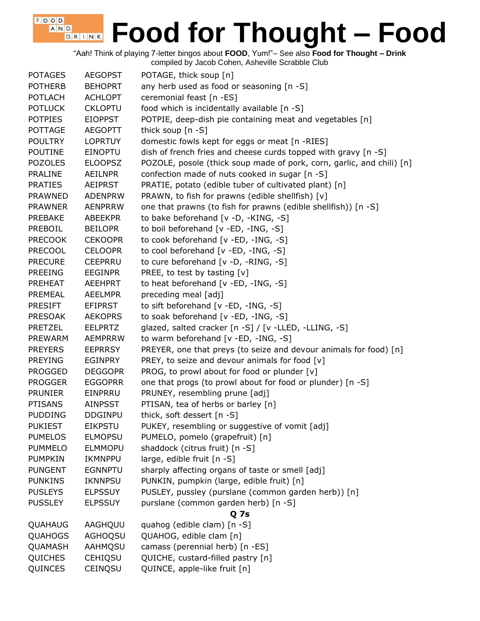"Aah! Think of playing 7-letter bingos about **FOOD**, Yum!"– See also **Food for Thought – Drink**

| <b>POTAGES</b> | <b>AEGOPST</b>            | POTAGE, thick soup [n]                                                                                     |
|----------------|---------------------------|------------------------------------------------------------------------------------------------------------|
| <b>POTHERB</b> | <b>BEHOPRT</b>            | any herb used as food or seasoning [n -S]                                                                  |
| <b>POTLACH</b> | <b>ACHLOPT</b>            | ceremonial feast [n -ES]                                                                                   |
| <b>POTLUCK</b> | <b>CKLOPTU</b>            | food which is incidentally available [n -S]                                                                |
| <b>POTPIES</b> | <b>EIOPPST</b>            | POTPIE, deep-dish pie containing meat and vegetables [n]                                                   |
| <b>POTTAGE</b> | <b>AEGOPTT</b>            | thick soup [n -S]                                                                                          |
| <b>POULTRY</b> | <b>LOPRTUY</b>            | domestic fowls kept for eggs or meat [n -RIES]                                                             |
| <b>POUTINE</b> | <b>EINOPTU</b>            | dish of french fries and cheese curds topped with gravy [n -S]                                             |
| <b>POZOLES</b> | <b>ELOOPSZ</b>            | POZOLE, posole (thick soup made of pork, corn, garlic, and chili) [n]                                      |
| <b>PRALINE</b> | AEILNPR                   | confection made of nuts cooked in sugar [n -S]                                                             |
| <b>PRATIES</b> | <b>AEIPRST</b>            | PRATIE, potato (edible tuber of cultivated plant) [n]                                                      |
| <b>PRAWNED</b> | <b>ADENPRW</b>            | PRAWN, to fish for prawns (edible shellfish) [v]                                                           |
| <b>PRAWNER</b> | <b>AENPRRW</b>            | one that prawns (to fish for prawns (edible shellfish)) [n -S]                                             |
| <b>PREBAKE</b> | ABEEKPR                   | to bake beforehand [v -D, -KING, -S]                                                                       |
| PREBOIL        | <b>BEILOPR</b>            | to boil beforehand [v -ED, -ING, -S]                                                                       |
| <b>PRECOOK</b> | <b>CEKOOPR</b>            | to cook beforehand [v -ED, -ING, -S]                                                                       |
| <b>PRECOOL</b> | <b>CELOOPR</b>            | to cool beforehand [v -ED, -ING, -S]                                                                       |
| <b>PRECURE</b> | <b>CEEPRRU</b>            | to cure beforehand [v -D, -RING, -S]                                                                       |
| <b>PREEING</b> | <b>EEGINPR</b>            | PREE, to test by tasting $[v]$                                                                             |
| <b>PREHEAT</b> | <b>AEEHPRT</b>            | to heat beforehand [v -ED, -ING, -S]                                                                       |
| PREMEAL        | <b>AEELMPR</b>            | preceding meal [adj]                                                                                       |
| <b>PRESIFT</b> | <b>EFIPRST</b>            | to sift beforehand [v -ED, -ING, -S]                                                                       |
| <b>PRESOAK</b> | <b>AEKOPRS</b>            | to soak beforehand [v -ED, -ING, -S]                                                                       |
| <b>PRETZEL</b> | EELPRTZ                   | glazed, salted cracker [n -S] / [v -LLED, -LLING, -S]                                                      |
| PREWARM        | <b>AEMPRRW</b>            | to warm beforehand [v -ED, -ING, -S]                                                                       |
| <b>PREYERS</b> | <b>EEPRRSY</b>            | PREYER, one that preys (to seize and devour animals for food) [n]                                          |
| <b>PREYING</b> | <b>EGINPRY</b>            | PREY, to seize and devour animals for food [v]                                                             |
| <b>PROGGED</b> | <b>DEGGOPR</b>            |                                                                                                            |
| <b>PROGGER</b> |                           | PROG, to prowl about for food or plunder [v]<br>one that progs (to prowl about for food or plunder) [n -S] |
| <b>PRUNIER</b> | <b>EGGOPRR</b><br>EINPRRU |                                                                                                            |
|                |                           | PRUNEY, resembling prune [adj]                                                                             |
| <b>PTISANS</b> | <b>AINPSST</b>            | PTISAN, tea of herbs or barley [n]                                                                         |
| <b>PUDDING</b> | <b>DDGINPU</b>            | thick, soft dessert [n -S]                                                                                 |
| <b>PUKIEST</b> | <b>EIKPSTU</b>            | PUKEY, resembling or suggestive of vomit [adj]                                                             |
| <b>PUMELOS</b> | <b>ELMOPSU</b>            | PUMELO, pomelo (grapefruit) [n]                                                                            |
| <b>PUMMELO</b> | <b>ELMMOPU</b>            | shaddock (citrus fruit) [n -S]                                                                             |
| <b>PUMPKIN</b> | IKMNPPU                   | large, edible fruit [n -S]                                                                                 |
| <b>PUNGENT</b> | <b>EGNNPTU</b>            | sharply affecting organs of taste or smell [adj]                                                           |
| <b>PUNKINS</b> | <b>IKNNPSU</b>            | PUNKIN, pumpkin (large, edible fruit) [n]                                                                  |
| <b>PUSLEYS</b> | <b>ELPSSUY</b>            | PUSLEY, pussley (purslane (common garden herb)) [n]                                                        |
| <b>PUSSLEY</b> | <b>ELPSSUY</b>            | purslane (common garden herb) [n -S]                                                                       |
|                |                           | <b>Q7s</b>                                                                                                 |
| QUAHAUG        | AAGHQUU                   | quahog (edible clam) [n -S]                                                                                |
| <b>QUAHOGS</b> | <b>AGHOQSU</b>            | QUAHOG, edible clam [n]                                                                                    |
| QUAMASH        | AAHMQSU                   | camass (perennial herb) [n -ES]                                                                            |
| <b>QUICHES</b> | <b>CEHIQSU</b>            | QUICHE, custard-filled pastry [n]                                                                          |
| QUINCES        | CEINQSU                   | QUINCE, apple-like fruit [n]                                                                               |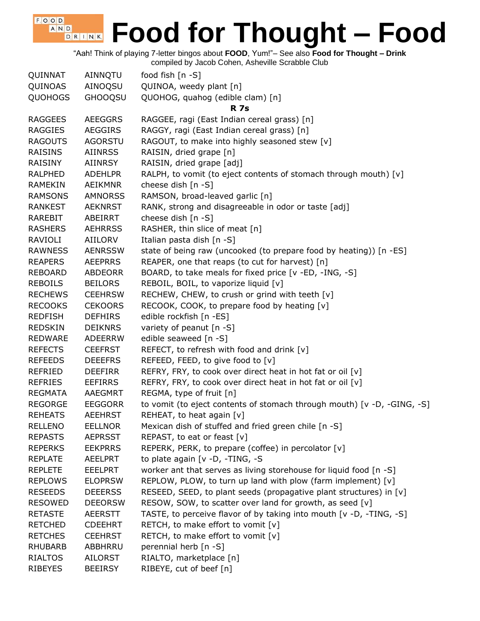"Aah! Think of playing 7-letter bingos about **FOOD**, Yum!"– See also **Food for Thought – Drink**

compiled by Jacob Cohen, Asheville Scrabble Club

| QUINNAT        | AINNQTU        | food fish $[n -S]$                                                      |
|----------------|----------------|-------------------------------------------------------------------------|
| QUINOAS        | AINOQSU        | QUINOA, weedy plant [n]                                                 |
| <b>QUOHOGS</b> | <b>GHOOQSU</b> | QUOHOG, quahog (edible clam) [n]                                        |
|                |                | <b>R</b> 7s                                                             |
| <b>RAGGEES</b> | <b>AEEGGRS</b> | RAGGEE, ragi (East Indian cereal grass) [n]                             |
| <b>RAGGIES</b> | <b>AEGGIRS</b> | RAGGY, ragi (East Indian cereal grass) [n]                              |
| <b>RAGOUTS</b> | <b>AGORSTU</b> | RAGOUT, to make into highly seasoned stew [v]                           |
| <b>RAISINS</b> | <b>AIINRSS</b> | RAISIN, dried grape [n]                                                 |
| RAISINY        | AIINRSY        | RAISIN, dried grape [adj]                                               |
| <b>RALPHED</b> | <b>ADEHLPR</b> | RALPH, to vomit (to eject contents of stomach through mouth) [v]        |
| <b>RAMEKIN</b> | <b>AEIKMNR</b> | cheese dish [n -S]                                                      |
| <b>RAMSONS</b> | <b>AMNORSS</b> | RAMSON, broad-leaved garlic [n]                                         |
| <b>RANKEST</b> | <b>AEKNRST</b> | RANK, strong and disagreeable in odor or taste [adj]                    |
| <b>RAREBIT</b> | ABEIRRT        | cheese dish [n -S]                                                      |
| <b>RASHERS</b> | <b>AEHRRSS</b> | RASHER, thin slice of meat [n]                                          |
| <b>RAVIOLI</b> | <b>AIILORV</b> | Italian pasta dish [n -S]                                               |
| <b>RAWNESS</b> | <b>AENRSSW</b> | state of being raw (uncooked (to prepare food by heating)) [n -ES]      |
| <b>REAPERS</b> | <b>AEEPRRS</b> | REAPER, one that reaps (to cut for harvest) [n]                         |
| <b>REBOARD</b> | <b>ABDEORR</b> | BOARD, to take meals for fixed price [v -ED, -ING, -S]                  |
| <b>REBOILS</b> | <b>BEILORS</b> | REBOIL, BOIL, to vaporize liquid [v]                                    |
| <b>RECHEWS</b> | <b>CEEHRSW</b> | RECHEW, CHEW, to crush or grind with teeth [v]                          |
| <b>RECOOKS</b> | <b>CEKOORS</b> | RECOOK, COOK, to prepare food by heating [v]                            |
| <b>REDFISH</b> | <b>DEFHIRS</b> | edible rockfish [n -ES]                                                 |
| <b>REDSKIN</b> | <b>DEIKNRS</b> | variety of peanut [n -S]                                                |
| <b>REDWARE</b> | ADEERRW        | edible seaweed [n -S]                                                   |
| <b>REFECTS</b> | <b>CEEFRST</b> | REFECT, to refresh with food and drink [v]                              |
| <b>REFEEDS</b> | <b>DEEEFRS</b> | REFEED, FEED, to give food to [v]                                       |
| <b>REFRIED</b> | <b>DEEFIRR</b> | REFRY, FRY, to cook over direct heat in hot fat or oil [v]              |
| <b>REFRIES</b> | <b>EEFIRRS</b> | REFRY, FRY, to cook over direct heat in hot fat or oil [v]              |
| <b>REGMATA</b> | AAEGMRT        | REGMA, type of fruit [n]                                                |
| <b>REGORGE</b> | <b>EEGGORR</b> | to vomit (to eject contents of stomach through mouth) [v -D, -GING, -S] |
| <b>REHEATS</b> | <b>AEEHRST</b> | REHEAT, to heat again [v]                                               |
| <b>RELLENO</b> | <b>EELLNOR</b> | Mexican dish of stuffed and fried green chile [n -S]                    |
| <b>REPASTS</b> | <b>AEPRSST</b> | REPAST, to eat or feast [v]                                             |
| <b>REPERKS</b> | <b>EEKPRRS</b> | REPERK, PERK, to prepare (coffee) in percolator [v]                     |
| <b>REPLATE</b> | <b>AEELPRT</b> | to plate again [v -D, -TING, -S                                         |
| <b>REPLETE</b> | <b>EEELPRT</b> | worker ant that serves as living storehouse for liquid food [n -S]      |
| <b>REPLOWS</b> | <b>ELOPRSW</b> | REPLOW, PLOW, to turn up land with plow (farm implement) [v]            |
| <b>RESEEDS</b> | <b>DEEERSS</b> | RESEED, SEED, to plant seeds (propagative plant structures) in [v]      |
| <b>RESOWED</b> | <b>DEEORSW</b> | RESOW, SOW, to scatter over land for growth, as seed [v]                |
| <b>RETASTE</b> | <b>AEERSTT</b> | TASTE, to perceive flavor of by taking into mouth [v -D, -TING, -S]     |
| <b>RETCHED</b> | <b>CDEEHRT</b> | RETCH, to make effort to vomit [v]                                      |
| <b>RETCHES</b> | <b>CEEHRST</b> | RETCH, to make effort to vomit [v]                                      |
| <b>RHUBARB</b> | ABBHRRU        | perennial herb [n -S]                                                   |
| <b>RIALTOS</b> | <b>AILORST</b> | RIALTO, marketplace [n]                                                 |
| <b>RIBEYES</b> | <b>BEEIRSY</b> | RIBEYE, cut of beef [n]                                                 |
|                |                |                                                                         |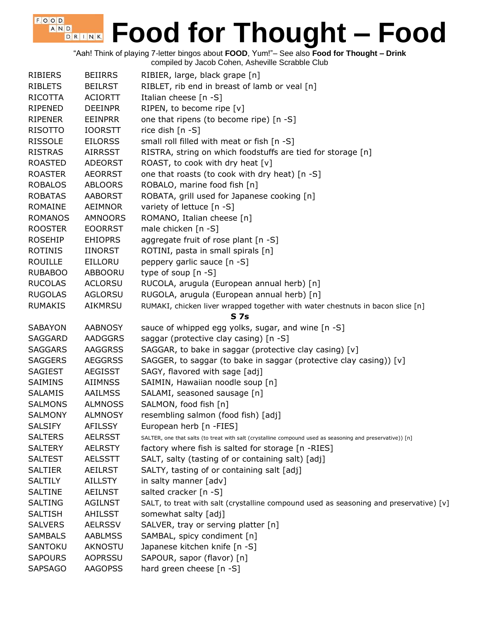"Aah! Think of playing 7-letter bingos about **FOOD**, Yum!"– See also **Food for Thought – Drink** compiled by Jacob Cohen, Asheville Scrabble Club

| <b>RIBIERS</b> | <b>BEIIRRS</b> | RIBIER, large, black grape [n]                                                                            |
|----------------|----------------|-----------------------------------------------------------------------------------------------------------|
| <b>RIBLETS</b> | <b>BEILRST</b> | RIBLET, rib end in breast of lamb or veal [n]                                                             |
| RICOTTA        | <b>ACIORTT</b> | Italian cheese $[n - S]$                                                                                  |
| RIPENED        | <b>DEEINPR</b> | RIPEN, to become ripe [v]                                                                                 |
| RIPENER        | EEINPRR        | one that ripens (to become ripe) [n -S]                                                                   |
| <b>RISOTTO</b> | <b>IOORSTT</b> | rice dish [n -S]                                                                                          |
| <b>RISSOLE</b> | <b>EILORSS</b> | small roll filled with meat or fish [n -S]                                                                |
| <b>RISTRAS</b> | <b>AIRRSST</b> | RISTRA, string on which foodstuffs are tied for storage [n]                                               |
| <b>ROASTED</b> | <b>ADEORST</b> | ROAST, to cook with dry heat [v]                                                                          |
| <b>ROASTER</b> | <b>AEORRST</b> | one that roasts (to cook with dry heat) [n -S]                                                            |
| <b>ROBALOS</b> | <b>ABLOORS</b> | ROBALO, marine food fish [n]                                                                              |
| <b>ROBATAS</b> | <b>AABORST</b> | ROBATA, grill used for Japanese cooking [n]                                                               |
| ROMAINE        | AEIMNOR        | variety of lettuce [n -S]                                                                                 |
| <b>ROMANOS</b> | <b>AMNOORS</b> | ROMANO, Italian cheese [n]                                                                                |
| <b>ROOSTER</b> | <b>EOORRST</b> | male chicken [n -S]                                                                                       |
| <b>ROSEHIP</b> | <b>EHIOPRS</b> | aggregate fruit of rose plant [n -S]                                                                      |
| <b>ROTINIS</b> | IINORST        | ROTINI, pasta in small spirals [n]                                                                        |
| <b>ROUILLE</b> | EILLORU        | peppery garlic sauce [n -S]                                                                               |
| <b>RUBABOO</b> | ABBOORU        | type of soup $[n - S]$                                                                                    |
| <b>RUCOLAS</b> | <b>ACLORSU</b> | RUCOLA, arugula (European annual herb) [n]                                                                |
| <b>RUGOLAS</b> | <b>AGLORSU</b> | RUGOLA, arugula (European annual herb) [n]                                                                |
| <b>RUMAKIS</b> | AIKMRSU        | RUMAKI, chicken liver wrapped together with water chestnuts in bacon slice [n]                            |
|                |                | <b>S7s</b>                                                                                                |
| <b>SABAYON</b> | <b>AABNOSY</b> | sauce of whipped egg yolks, sugar, and wine [n -S]                                                        |
| SAGGARD        | <b>AADGGRS</b> | saggar (protective clay casing) [n -S]                                                                    |
| <b>SAGGARS</b> | <b>AAGGRSS</b> | SAGGAR, to bake in saggar (protective clay casing) [v]                                                    |
| <b>SAGGERS</b> | <b>AEGGRSS</b> | SAGGER, to saggar (to bake in saggar (protective clay casing)) [v]                                        |
| <b>SAGIEST</b> | <b>AEGISST</b> | SAGY, flavored with sage [adj]                                                                            |
| SAIMINS        | AIIMNSS        | SAIMIN, Hawaiian noodle soup [n]                                                                          |
| <b>SALAMIS</b> | <b>AAILMSS</b> | SALAMI, seasoned sausage [n]                                                                              |
| <b>SALMONS</b> | <b>ALMNOSS</b> | SALMON, food fish [n]                                                                                     |
| <b>SALMONY</b> | <b>ALMNOSY</b> | resembling salmon (food fish) [adj]                                                                       |
| <b>SALSIFY</b> | <b>AFILSSY</b> | European herb [n -FIES]                                                                                   |
| <b>SALTERS</b> | <b>AELRSST</b> | SALTER, one that salts (to treat with salt (crystalline compound used as seasoning and preservative)) [n] |
| <b>SALTERY</b> | <b>AELRSTY</b> | factory where fish is salted for storage [n -RIES]                                                        |
| <b>SALTEST</b> | AELSSTT        | SALT, salty (tasting of or containing salt) [adj]                                                         |
| <b>SALTIER</b> | <b>AEILRST</b> | SALTY, tasting of or containing salt [adj]                                                                |
| <b>SALTILY</b> | <b>AILLSTY</b> | in salty manner [adv]                                                                                     |
| <b>SALTINE</b> | <b>AEILNST</b> | salted cracker [n -S]                                                                                     |
| SALTING        | <b>AGILNST</b> | SALT, to treat with salt (crystalline compound used as seasoning and preservative) [v]                    |
| <b>SALTISH</b> | AHILSST        | somewhat salty [adj]                                                                                      |
| <b>SALVERS</b> | <b>AELRSSV</b> | SALVER, tray or serving platter [n]                                                                       |
| <b>SAMBALS</b> | <b>AABLMSS</b> | SAMBAL, spicy condiment [n]                                                                               |
| SANTOKU        | AKNOSTU        | Japanese kitchen knife [n -S]                                                                             |
| <b>SAPOURS</b> | <b>AOPRSSU</b> | SAPOUR, sapor (flavor) [n]                                                                                |
| <b>SAPSAGO</b> | <b>AAGOPSS</b> | hard green cheese [n -S]                                                                                  |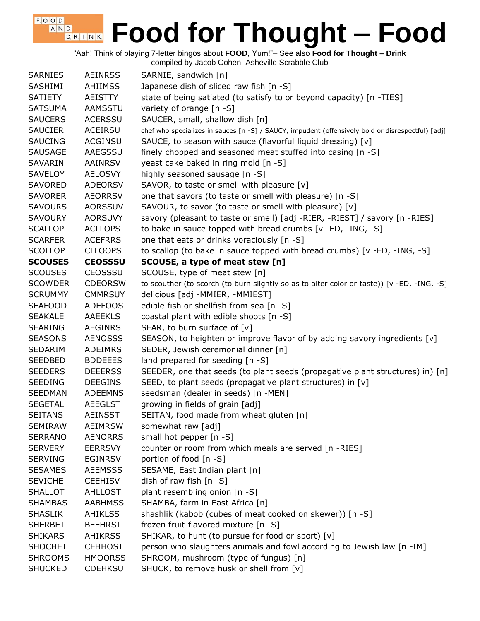"Aah! Think of playing 7-letter bingos about **FOOD**, Yum!"– See also **Food for Thought – Drink**

| <b>SARNIES</b> | <b>AEINRSS</b> | SARNIE, sandwich [n]                                                                              |
|----------------|----------------|---------------------------------------------------------------------------------------------------|
| SASHIMI        | <b>AHIIMSS</b> | Japanese dish of sliced raw fish [n -S]                                                           |
| <b>SATIETY</b> | <b>AEISTTY</b> | state of being satiated (to satisfy to or beyond capacity) [n -TIES]                              |
| <b>SATSUMA</b> | AAMSSTU        | variety of orange [n -S]                                                                          |
| <b>SAUCERS</b> | <b>ACERSSU</b> | SAUCER, small, shallow dish [n]                                                                   |
| <b>SAUCIER</b> | ACEIRSU        | chef who specializes in sauces [n -S] / SAUCY, impudent (offensively bold or disrespectful) [adj] |
| <b>SAUCING</b> | <b>ACGINSU</b> | SAUCE, to season with sauce (flavorful liquid dressing) [v]                                       |
| <b>SAUSAGE</b> | AAEGSSU        | finely chopped and seasoned meat stuffed into casing [n -S]                                       |
| <b>SAVARIN</b> | AAINRSV        | yeast cake baked in ring mold [n -S]                                                              |
| <b>SAVELOY</b> | <b>AELOSVY</b> | highly seasoned sausage [n -S]                                                                    |
| <b>SAVORED</b> | <b>ADEORSV</b> | SAVOR, to taste or smell with pleasure [v]                                                        |
| <b>SAVORER</b> | <b>AEORRSV</b> | one that savors (to taste or smell with pleasure) [n -S]                                          |
| <b>SAVOURS</b> | <b>AORSSUV</b> | SAVOUR, to savor (to taste or smell with pleasure) [v]                                            |
| <b>SAVOURY</b> | <b>AORSUVY</b> | savory (pleasant to taste or smell) [adj -RIER, -RIEST] / savory [n -RIES]                        |
| <b>SCALLOP</b> | <b>ACLLOPS</b> | to bake in sauce topped with bread crumbs [v -ED, -ING, -S]                                       |
| <b>SCARFER</b> | <b>ACEFRRS</b> | one that eats or drinks voraciously [n -S]                                                        |
| <b>SCOLLOP</b> | <b>CLLOOPS</b> | to scallop (to bake in sauce topped with bread crumbs) [v -ED, -ING, -S]                          |
| <b>SCOUSES</b> | <b>CEOSSSU</b> | SCOUSE, a type of meat stew [n]                                                                   |
| <b>SCOUSES</b> | <b>CEOSSSU</b> | SCOUSE, type of meat stew [n]                                                                     |
| <b>SCOWDER</b> | <b>CDEORSW</b> | to scouther (to scorch (to burn slightly so as to alter color or taste)) [v -ED, -ING, -S]        |
| <b>SCRUMMY</b> | <b>CMMRSUY</b> | delicious [adj -MMIER, -MMIEST]                                                                   |
| <b>SEAFOOD</b> | <b>ADEFOOS</b> | edible fish or shellfish from sea [n -S]                                                          |
| <b>SEAKALE</b> | <b>AAEEKLS</b> | coastal plant with edible shoots [n -S]                                                           |
| <b>SEARING</b> | <b>AEGINRS</b> | SEAR, to burn surface of $[v]$                                                                    |
| <b>SEASONS</b> | <b>AENOSSS</b> | SEASON, to heighten or improve flavor of by adding savory ingredients [v]                         |
| SEDARIM        | <b>ADEIMRS</b> | SEDER, Jewish ceremonial dinner [n]                                                               |
| <b>SEEDBED</b> | <b>BDDEEES</b> | land prepared for seeding [n -S]                                                                  |
| <b>SEEDERS</b> | <b>DEEERSS</b> | SEEDER, one that seeds (to plant seeds (propagative plant structures) in) [n]                     |
| <b>SEEDING</b> | <b>DEEGINS</b> | SEED, to plant seeds (propagative plant structures) in [v]                                        |
| <b>SEEDMAN</b> | <b>ADEEMNS</b> | seedsman (dealer in seeds) [n -MEN]                                                               |
| <b>SEGETAL</b> | <b>AEEGLST</b> | growing in fields of grain [adj]                                                                  |
| <b>SEITANS</b> | <b>AEINSST</b> | SEITAN, food made from wheat gluten [n]                                                           |
| <b>SEMIRAW</b> | <b>AEIMRSW</b> | somewhat raw [adj]                                                                                |
| <b>SERRANO</b> | <b>AENORRS</b> | small hot pepper [n -S]                                                                           |
| <b>SERVERY</b> | <b>EERRSVY</b> | counter or room from which meals are served [n -RIES]                                             |
| <b>SERVING</b> | <b>EGINRSV</b> | portion of food [n -S]                                                                            |
| <b>SESAMES</b> | <b>AEEMSSS</b> | SESAME, East Indian plant [n]                                                                     |
| <b>SEVICHE</b> | <b>CEEHISV</b> | dish of raw fish [n -S]                                                                           |
| <b>SHALLOT</b> | <b>AHLLOST</b> | plant resembling onion [n -S]                                                                     |
| <b>SHAMBAS</b> | <b>AABHMSS</b> | SHAMBA, farm in East Africa [n]                                                                   |
| <b>SHASLIK</b> | <b>AHIKLSS</b> | shashlik (kabob (cubes of meat cooked on skewer)) [n -S]                                          |
| <b>SHERBET</b> | <b>BEEHRST</b> | frozen fruit-flavored mixture [n -S]                                                              |
| <b>SHIKARS</b> | <b>AHIKRSS</b> | SHIKAR, to hunt (to pursue for food or sport) [v]                                                 |
| <b>SHOCHET</b> | <b>CEHHOST</b> | person who slaughters animals and fowl according to Jewish law [n -IM]                            |
| <b>SHROOMS</b> | <b>HMOORSS</b> | SHROOM, mushroom (type of fungus) [n]                                                             |
| <b>SHUCKED</b> | <b>CDEHKSU</b> | SHUCK, to remove husk or shell from [v]                                                           |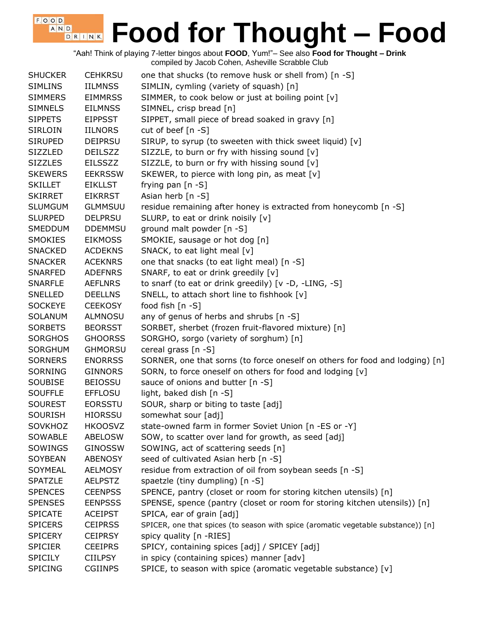"Aah! Think of playing 7-letter bingos about **FOOD**, Yum!"– See also **Food for Thought – Drink** compiled by Jacob Cohen, Asheville Scrabble Club

| <b>SHUCKER</b> | <b>CEHKRSU</b> | one that shucks (to remove husk or shell from) [n -S]                             |
|----------------|----------------|-----------------------------------------------------------------------------------|
| <b>SIMLINS</b> | <b>IILMNSS</b> | SIMLIN, cymling (variety of squash) [n]                                           |
| <b>SIMMERS</b> | <b>EIMMRSS</b> | SIMMER, to cook below or just at boiling point [v]                                |
| <b>SIMNELS</b> | <b>EILMNSS</b> | SIMNEL, crisp bread [n]                                                           |
| <b>SIPPETS</b> | <b>EIPPSST</b> | SIPPET, small piece of bread soaked in gravy [n]                                  |
| <b>SIRLOIN</b> | <b>IILNORS</b> | cut of beef [n -S]                                                                |
| <b>SIRUPED</b> | <b>DEIPRSU</b> | SIRUP, to syrup (to sweeten with thick sweet liquid) [v]                          |
| <b>SIZZLED</b> | <b>DEILSZZ</b> | SIZZLE, to burn or fry with hissing sound [v]                                     |
| <b>SIZZLES</b> | <b>EILSSZZ</b> | SIZZLE, to burn or fry with hissing sound [v]                                     |
| <b>SKEWERS</b> | <b>EEKRSSW</b> | SKEWER, to pierce with long pin, as meat [v]                                      |
| <b>SKILLET</b> | <b>EIKLLST</b> | frying pan [n -S]                                                                 |
| <b>SKIRRET</b> | <b>EIKRRST</b> | Asian herb [n -S]                                                                 |
| <b>SLUMGUM</b> | <b>GLMMSUU</b> | residue remaining after honey is extracted from honeycomb [n -S]                  |
| <b>SLURPED</b> | <b>DELPRSU</b> | SLURP, to eat or drink noisily [v]                                                |
| <b>SMEDDUM</b> | <b>DDEMMSU</b> | ground malt powder [n -S]                                                         |
| <b>SMOKIES</b> | <b>EIKMOSS</b> | SMOKIE, sausage or hot dog [n]                                                    |
| <b>SNACKED</b> | <b>ACDEKNS</b> | SNACK, to eat light meal [v]                                                      |
| <b>SNACKER</b> | <b>ACEKNRS</b> | one that snacks (to eat light meal) [n -S]                                        |
| <b>SNARFED</b> | <b>ADEFNRS</b> | SNARF, to eat or drink greedily [v]                                               |
| <b>SNARFLE</b> | <b>AEFLNRS</b> | to snarf (to eat or drink greedily) [v -D, -LING, -S]                             |
| <b>SNELLED</b> | <b>DEELLNS</b> | SNELL, to attach short line to fishhook [v]                                       |
| <b>SOCKEYE</b> | <b>CEEKOSY</b> | food fish [n -S]                                                                  |
| <b>SOLANUM</b> | ALMNOSU        | any of genus of herbs and shrubs [n -S]                                           |
| <b>SORBETS</b> | <b>BEORSST</b> | SORBET, sherbet (frozen fruit-flavored mixture) [n]                               |
| <b>SORGHOS</b> | <b>GHOORSS</b> | SORGHO, sorgo (variety of sorghum) [n]                                            |
| <b>SORGHUM</b> | <b>GHMORSU</b> | cereal grass [n -S]                                                               |
| <b>SORNERS</b> | <b>ENORRSS</b> | SORNER, one that sorns (to force oneself on others for food and lodging) [n]      |
| <b>SORNING</b> | <b>GINNORS</b> | SORN, to force oneself on others for food and lodging [v]                         |
| <b>SOUBISE</b> | <b>BEIOSSU</b> | sauce of onions and butter [n -S]                                                 |
| <b>SOUFFLE</b> | <b>EFFLOSU</b> | light, baked dish [n -S]                                                          |
| <b>SOUREST</b> | <b>EORSSTU</b> | SOUR, sharp or biting to taste [adj]                                              |
| <b>SOURISH</b> | <b>HIORSSU</b> | somewhat sour [adj]                                                               |
| SOVKHOZ        | <b>HKOOSVZ</b> | state-owned farm in former Soviet Union [n -ES or -Y]                             |
| SOWABLE        | <b>ABELOSW</b> | SOW, to scatter over land for growth, as seed [adj]                               |
| SOWINGS        | <b>GINOSSW</b> | SOWING, act of scattering seeds [n]                                               |
| SOYBEAN        | <b>ABENOSY</b> | seed of cultivated Asian herb [n -S]                                              |
| SOYMEAL        | <b>AELMOSY</b> | residue from extraction of oil from soybean seeds [n -S]                          |
| <b>SPATZLE</b> | <b>AELPSTZ</b> | spaetzle (tiny dumpling) [n -S]                                                   |
| <b>SPENCES</b> | <b>CEENPSS</b> | SPENCE, pantry (closet or room for storing kitchen utensils) [n]                  |
| <b>SPENSES</b> | <b>EENPSSS</b> | SPENSE, spence (pantry (closet or room for storing kitchen utensils)) [n]         |
| <b>SPICATE</b> | <b>ACEIPST</b> | SPICA, ear of grain [adj]                                                         |
| <b>SPICERS</b> | <b>CEIPRSS</b> | SPICER, one that spices (to season with spice (aromatic vegetable substance)) [n] |
| <b>SPICERY</b> | <b>CEIPRSY</b> | spicy quality [n -RIES]                                                           |
| <b>SPICIER</b> | <b>CEEIPRS</b> | SPICY, containing spices [adj] / SPICEY [adj]                                     |
| <b>SPICILY</b> | <b>CIILPSY</b> | in spicy (containing spices) manner [adv]                                         |
| <b>SPICING</b> | <b>CGIINPS</b> | SPICE, to season with spice (aromatic vegetable substance) [v]                    |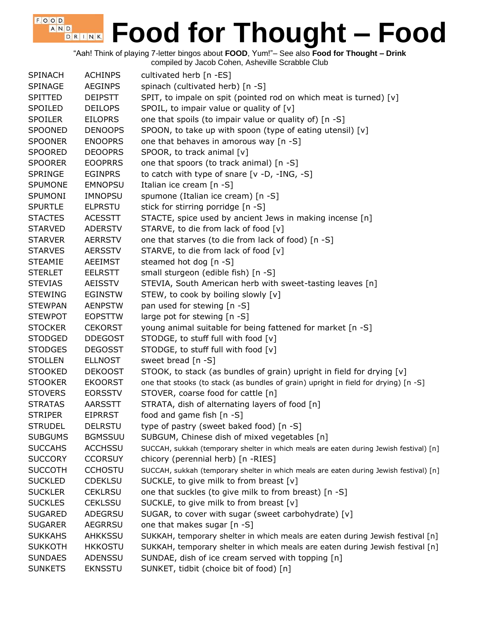"Aah! Think of playing 7-letter bingos about **FOOD**, Yum!"– See also **Food for Thought – Drink**

compiled by Jacob Cohen, Asheville Scrabble Club

 $F$ , O, O, D,

| <b>SPINACH</b> | <b>ACHINPS</b> | cultivated herb [n -ES]                                                                |
|----------------|----------------|----------------------------------------------------------------------------------------|
| <b>SPINAGE</b> | <b>AEGINPS</b> | spinach (cultivated herb) [n -S]                                                       |
| <b>SPITTED</b> | <b>DEIPSTT</b> | SPIT, to impale on spit (pointed rod on which meat is turned) [v]                      |
| SPOILED        | <b>DEILOPS</b> | SPOIL, to impair value or quality of [v]                                               |
| <b>SPOILER</b> | <b>EILOPRS</b> | one that spoils (to impair value or quality of) [n -S]                                 |
| <b>SPOONED</b> | <b>DENOOPS</b> | SPOON, to take up with spoon (type of eating utensil) [v]                              |
| <b>SPOONER</b> | <b>ENOOPRS</b> | one that behaves in amorous way [n -S]                                                 |
| <b>SPOORED</b> | <b>DEOOPRS</b> | SPOOR, to track animal [v]                                                             |
| <b>SPOORER</b> | <b>EOOPRRS</b> | one that spoors (to track animal) [n -S]                                               |
| <b>SPRINGE</b> | <b>EGINPRS</b> | to catch with type of snare $[v -D, -ING, -S]$                                         |
| <b>SPUMONE</b> | <b>EMNOPSU</b> | Italian ice cream [n -S]                                                               |
| <b>SPUMONI</b> | <b>IMNOPSU</b> | spumone (Italian ice cream) [n -S]                                                     |
| <b>SPURTLE</b> | <b>ELPRSTU</b> | stick for stirring porridge [n -S]                                                     |
| <b>STACTES</b> | <b>ACESSTT</b> | STACTE, spice used by ancient Jews in making incense [n]                               |
| <b>STARVED</b> | <b>ADERSTV</b> | STARVE, to die from lack of food [v]                                                   |
| <b>STARVER</b> | <b>AERRSTV</b> | one that starves (to die from lack of food) [n -S]                                     |
| <b>STARVES</b> | <b>AERSSTV</b> | STARVE, to die from lack of food [v]                                                   |
| <b>STEAMIE</b> | <b>AEEIMST</b> | steamed hot dog [n -S]                                                                 |
| <b>STERLET</b> | <b>EELRSTT</b> | small sturgeon (edible fish) [n -S]                                                    |
| <b>STEVIAS</b> | AEISSTV        | STEVIA, South American herb with sweet-tasting leaves [n]                              |
| <b>STEWING</b> | <b>EGINSTW</b> | STEW, to cook by boiling slowly [v]                                                    |
| <b>STEWPAN</b> | <b>AENPSTW</b> | pan used for stewing [n -S]                                                            |
| <b>STEWPOT</b> | <b>EOPSTTW</b> | large pot for stewing [n -S]                                                           |
| <b>STOCKER</b> | <b>CEKORST</b> | young animal suitable for being fattened for market [n -S]                             |
| <b>STODGED</b> | <b>DDEGOST</b> | STODGE, to stuff full with food [v]                                                    |
| <b>STODGES</b> | <b>DEGOSST</b> | STODGE, to stuff full with food [v]                                                    |
| <b>STOLLEN</b> | <b>ELLNOST</b> | sweet bread [n -S]                                                                     |
| <b>STOOKED</b> | <b>DEKOOST</b> | STOOK, to stack (as bundles of grain) upright in field for drying [v]                  |
| <b>STOOKER</b> | <b>EKOORST</b> | one that stooks (to stack (as bundles of grain) upright in field for drying) [n -S]    |
| <b>STOVERS</b> | <b>EORSSTV</b> | STOVER, coarse food for cattle [n]                                                     |
| <b>STRATAS</b> | <b>AARSSTT</b> | STRATA, dish of alternating layers of food [n]                                         |
| <b>STRIPER</b> | <b>EIPRRST</b> | food and game fish [n -S]                                                              |
| <b>STRUDEL</b> | <b>DELRSTU</b> | type of pastry (sweet baked food) [n -S]                                               |
| <b>SUBGUMS</b> | <b>BGMSSUU</b> | SUBGUM, Chinese dish of mixed vegetables [n]                                           |
| <b>SUCCAHS</b> | <b>ACCHSSU</b> | SUCCAH, sukkah (temporary shelter in which meals are eaten during Jewish festival) [n] |
| <b>SUCCORY</b> | <b>CCORSUY</b> | chicory (perennial herb) [n -RIES]                                                     |
| <b>SUCCOTH</b> | <b>CCHOSTU</b> | SUCCAH, sukkah (temporary shelter in which meals are eaten during Jewish festival) [n] |
| <b>SUCKLED</b> | <b>CDEKLSU</b> | SUCKLE, to give milk to from breast [v]                                                |
| <b>SUCKLER</b> | <b>CEKLRSU</b> | one that suckles (to give milk to from breast) [n -S]                                  |
| <b>SUCKLES</b> | <b>CEKLSSU</b> | SUCKLE, to give milk to from breast [v]                                                |
| <b>SUGARED</b> | ADEGRSU        | SUGAR, to cover with sugar (sweet carbohydrate) [v]                                    |
| <b>SUGARER</b> | <b>AEGRRSU</b> | one that makes sugar [n -S]                                                            |
| <b>SUKKAHS</b> | <b>AHKKSSU</b> | SUKKAH, temporary shelter in which meals are eaten during Jewish festival [n]          |
| <b>SUKKOTH</b> | <b>HKKOSTU</b> | SUKKAH, temporary shelter in which meals are eaten during Jewish festival [n]          |
| <b>SUNDAES</b> | ADENSSU        | SUNDAE, dish of ice cream served with topping [n]                                      |
| <b>SUNKETS</b> | <b>EKNSSTU</b> | SUNKET, tidbit (choice bit of food) [n]                                                |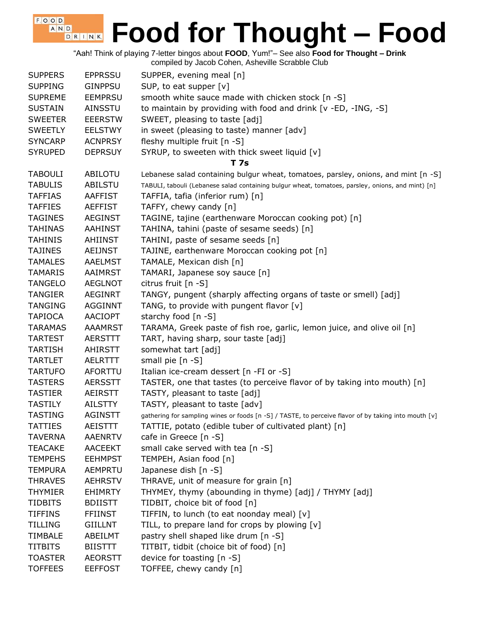"Aah! Think of playing 7-letter bingos about **FOOD**, Yum!"– See also **Food for Thought – Drink**

compiled by Jacob Cohen, Asheville Scrabble Club

 $F$ , O, O, D, A N D

| <b>SUPPERS</b> | <b>EPPRSSU</b> | SUPPER, evening meal [n]                                                                             |
|----------------|----------------|------------------------------------------------------------------------------------------------------|
| <b>SUPPING</b> | <b>GINPPSU</b> | SUP, to eat supper [v]                                                                               |
| <b>SUPREME</b> | <b>EEMPRSU</b> | smooth white sauce made with chicken stock [n -S]                                                    |
| <b>SUSTAIN</b> | AINSSTU        | to maintain by providing with food and drink [v -ED, -ING, -S]                                       |
| <b>SWEETER</b> | <b>EEERSTW</b> | SWEET, pleasing to taste [adj]                                                                       |
| <b>SWEETLY</b> | <b>EELSTWY</b> | in sweet (pleasing to taste) manner [adv]                                                            |
| <b>SYNCARP</b> | <b>ACNPRSY</b> | fleshy multiple fruit [n -S]                                                                         |
| <b>SYRUPED</b> | <b>DEPRSUY</b> | SYRUP, to sweeten with thick sweet liquid [v]                                                        |
|                |                | T 7s                                                                                                 |
| <b>TABOULI</b> | ABILOTU        | Lebanese salad containing bulgur wheat, tomatoes, parsley, onions, and mint [n -S]                   |
| <b>TABULIS</b> | <b>ABILSTU</b> | TABULI, tabouli (Lebanese salad containing bulgur wheat, tomatoes, parsley, onions, and mint) [n]    |
| <b>TAFFIAS</b> | <b>AAFFIST</b> | TAFFIA, tafia (inferior rum) [n]                                                                     |
| <b>TAFFIES</b> | <b>AEFFIST</b> | TAFFY, chewy candy [n]                                                                               |
| <b>TAGINES</b> | <b>AEGINST</b> | TAGINE, tajine (earthenware Moroccan cooking pot) [n]                                                |
| <b>TAHINAS</b> | <b>AAHINST</b> | TAHINA, tahini (paste of sesame seeds) [n]                                                           |
| <b>TAHINIS</b> | AHIINST        | TAHINI, paste of sesame seeds [n]                                                                    |
| <b>TAJINES</b> | <b>AEIJNST</b> | TAJINE, earthenware Moroccan cooking pot [n]                                                         |
| <b>TAMALES</b> | <b>AAELMST</b> | TAMALE, Mexican dish [n]                                                                             |
| <b>TAMARIS</b> | <b>AAIMRST</b> | TAMARI, Japanese soy sauce [n]                                                                       |
| <b>TANGELO</b> | <b>AEGLNOT</b> | citrus fruit [n -S]                                                                                  |
| <b>TANGIER</b> | <b>AEGINRT</b> | TANGY, pungent (sharply affecting organs of taste or smell) [adj]                                    |
| <b>TANGING</b> | AGGINNT        | TANG, to provide with pungent flavor [v]                                                             |
| <b>TAPIOCA</b> | <b>AACIOPT</b> | starchy food [n -S]                                                                                  |
| <b>TARAMAS</b> | <b>AAAMRST</b> | TARAMA, Greek paste of fish roe, garlic, lemon juice, and olive oil [n]                              |
| <b>TARTEST</b> | AERSTTT        | TART, having sharp, sour taste [adj]                                                                 |
| <b>TARTISH</b> | AHIRSTT        | somewhat tart [adj]                                                                                  |
| <b>TARTLET</b> | <b>AELRTTT</b> | small pie $[n -S]$                                                                                   |
| <b>TARTUFO</b> | AFORTTU        | Italian ice-cream dessert [n -FI or -S]                                                              |
| <b>TASTERS</b> | <b>AERSSTT</b> | TASTER, one that tastes (to perceive flavor of by taking into mouth) [n]                             |
| <b>TASTIER</b> | <b>AEIRSTT</b> | TASTY, pleasant to taste [adj]                                                                       |
| <b>TASTILY</b> | AILSTTY        | TASTY, pleasant to taste [adv]                                                                       |
| <b>TASTING</b> | <b>AGINSTT</b> | gathering for sampling wines or foods [n -S] / TASTE, to perceive flavor of by taking into mouth [v] |
| <b>TATTIES</b> | <b>AEISTTT</b> | TATTIE, potato (edible tuber of cultivated plant) [n]                                                |
| <b>TAVERNA</b> | <b>AAENRTV</b> | cafe in Greece [n -S]                                                                                |
| <b>TEACAKE</b> | <b>AACEEKT</b> | small cake served with tea [n -S]                                                                    |
| <b>TEMPEHS</b> | <b>EEHMPST</b> | TEMPEH, Asian food [n]                                                                               |
| <b>TEMPURA</b> | AEMPRTU        | Japanese dish [n -S]                                                                                 |
| <b>THRAVES</b> | <b>AEHRSTV</b> | THRAVE, unit of measure for grain [n]                                                                |
| <b>THYMIER</b> | <b>EHIMRTY</b> | THYMEY, thymy (abounding in thyme) [adj] / THYMY [adj]                                               |
| <b>TIDBITS</b> | <b>BDIISTT</b> | TIDBIT, choice bit of food [n]                                                                       |
| <b>TIFFINS</b> | <b>FFIINST</b> | TIFFIN, to lunch (to eat noonday meal) [v]                                                           |
| <b>TILLING</b> | <b>GIILLNT</b> | TILL, to prepare land for crops by plowing [v]                                                       |
| <b>TIMBALE</b> | ABEILMT        | pastry shell shaped like drum [n -S]                                                                 |
| <b>TITBITS</b> | <b>BIISTTT</b> | TITBIT, tidbit (choice bit of food) [n]                                                              |
| <b>TOASTER</b> | <b>AEORSTT</b> | device for toasting $[n - S]$                                                                        |
| <b>TOFFEES</b> | <b>EEFFOST</b> | TOFFEE, chewy candy [n]                                                                              |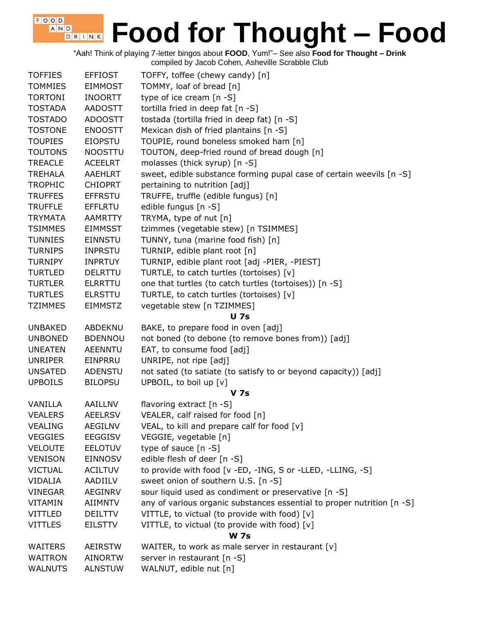"Aah! Think of playing 7-letter bingos about **FOOD**, Yum!"– See also **Food for Thought – Drink** compiled by Jacob Cohen, Asheville Scrabble Club

| <b>TOFFIES</b>                   | <b>EFFIOST</b>                   | TOFFY, toffee (chewy candy) [n]                                        |
|----------------------------------|----------------------------------|------------------------------------------------------------------------|
| <b>TOMMIES</b>                   | <b>EIMMOST</b>                   | TOMMY, loaf of bread [n]                                               |
| <b>TORTONI</b>                   | <b>INOORTT</b>                   | type of ice cream [n -S]                                               |
| <b>TOSTADA</b>                   | <b>AADOSTT</b>                   | tortilla fried in deep fat [n -S]                                      |
| <b>TOSTADO</b>                   | <b>ADOOSTT</b>                   | tostada (tortilla fried in deep fat) [n -S]                            |
| <b>TOSTONE</b>                   | <b>ENOOSTT</b>                   | Mexican dish of fried plantains [n -S]                                 |
| <b>TOUPIES</b>                   | <b>EIOPSTU</b>                   | TOUPIE, round boneless smoked ham [n]                                  |
| <b>TOUTONS</b>                   | <b>NOOSTTU</b>                   | TOUTON, deep-fried round of bread dough [n]                            |
| <b>TREACLE</b>                   | <b>ACEELRT</b>                   | molasses (thick syrup) [n -S]                                          |
| <b>TREHALA</b>                   | <b>AAEHLRT</b>                   | sweet, edible substance forming pupal case of certain weevils [n -S]   |
| <b>TROPHIC</b>                   | <b>CHIOPRT</b>                   | pertaining to nutrition [adj]                                          |
| <b>TRUFFES</b>                   | <b>EFFRSTU</b>                   | TRUFFE, truffle (edible fungus) [n]                                    |
| <b>TRUFFLE</b>                   | <b>EFFLRTU</b>                   | edible fungus [n -S]                                                   |
| <b>TRYMATA</b>                   | <b>AAMRTTY</b>                   | TRYMA, type of nut [n]                                                 |
| <b>TSIMMES</b>                   | <b>EIMMSST</b>                   | tzimmes (vegetable stew) [n TSIMMES]                                   |
| <b>TUNNIES</b>                   | <b>EINNSTU</b>                   | TUNNY, tuna (marine food fish) [n]                                     |
| <b>TURNIPS</b>                   | <b>INPRSTU</b>                   | TURNIP, edible plant root [n]                                          |
| <b>TURNIPY</b>                   | <b>INPRTUY</b>                   | TURNIP, edible plant root [adj -PIER, -PIEST]                          |
| <b>TURTLED</b>                   | <b>DELRTTU</b>                   | TURTLE, to catch turtles (tortoises) [v]                               |
| <b>TURTLER</b>                   | <b>ELRRTTU</b>                   | one that turtles (to catch turtles (tortoises)) [n -S]                 |
| <b>TURTLES</b>                   | <b>ELRSTTU</b>                   | TURTLE, to catch turtles (tortoises) [v]                               |
| <b>TZIMMES</b>                   | <b>EIMMSTZ</b>                   | vegetable stew [n TZIMMES]                                             |
|                                  |                                  | <b>U</b> 7s                                                            |
|                                  |                                  |                                                                        |
| <b>UNBAKED</b>                   | ABDEKNU                          | BAKE, to prepare food in oven [adj]                                    |
| <b>UNBONED</b>                   | <b>BDENNOU</b>                   | not boned (to debone (to remove bones from)) [adj]                     |
| <b>UNEATEN</b>                   | <b>AEENNTU</b>                   | EAT, to consume food [adj]                                             |
| <b>UNRIPER</b>                   | EINPRRU                          | UNRIPE, not ripe [adj]                                                 |
| <b>UNSATED</b>                   | <b>ADENSTU</b>                   | not sated (to satiate (to satisfy to or beyond capacity)) [adj]        |
| <b>UPBOILS</b>                   | <b>BILOPSU</b>                   | UPBOIL, to boil up [v]                                                 |
|                                  |                                  | <b>V</b> 7s                                                            |
| VANILLA                          | AAILLNV                          | flavoring extract [n -S]                                               |
| <b>VEALERS</b>                   | <b>AEELRSV</b>                   | VEALER, calf raised for food [n]                                       |
| <b>VEALING</b>                   | <b>AEGILNV</b>                   | VEAL, to kill and prepare calf for food $[v]$                          |
| <b>VEGGIES</b>                   | <b>EEGGISV</b>                   | VEGGIE, vegetable [n]                                                  |
| <b>VELOUTE</b>                   | <b>EELOTUV</b>                   | type of sauce $[n - S]$                                                |
| <b>VENISON</b>                   | <b>EINNOSV</b>                   | edible flesh of deer [n -S]                                            |
| <b>VICTUAL</b>                   | <b>ACILTUV</b>                   | to provide with food [v -ED, -ING, S or -LLED, -LLING, -S]             |
| <b>VIDALIA</b>                   | AADIILV                          | sweet onion of southern U.S. [n -S]                                    |
| <b>VINEGAR</b>                   | AEGINRV                          | sour liquid used as condiment or preservative [n -S]                   |
| <b>VITAMIN</b>                   | <b>AIIMNTV</b>                   | any of various organic substances essential to proper nutrition [n -S] |
| <b>VITTLED</b>                   | <b>DEILTTV</b>                   | VITTLE, to victual (to provide with food) [v]                          |
| <b>VITTLES</b>                   | <b>EILSTTV</b>                   | VITTLE, to victual (to provide with food) [v]                          |
|                                  |                                  | <b>W</b> 7s                                                            |
| <b>WAITERS</b>                   | <b>AEIRSTW</b>                   | WAITER, to work as male server in restaurant [v]                       |
| <b>WAITRON</b><br><b>WALNUTS</b> | <b>AINORTW</b><br><b>ALNSTUW</b> | server in restaurant [n -S]<br>WALNUT, edible nut [n]                  |